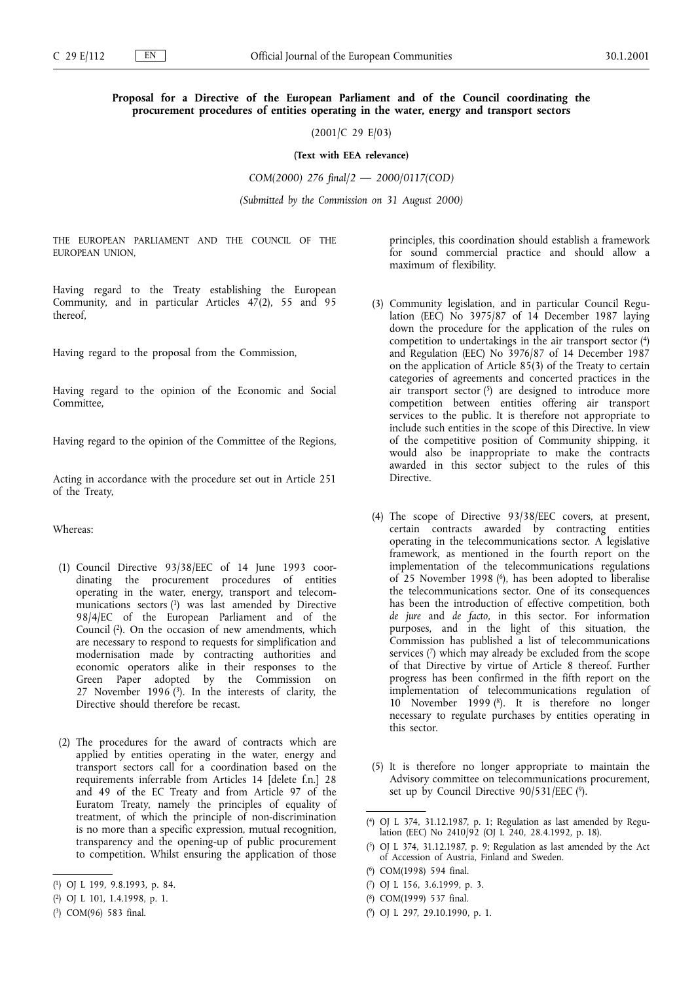# Proposal for a Directive of the European Parliament and of the Council coordinating the procurement procedures of entities operating in the water, energy and transport sectors

(2001/C 29 E/03)

(Text with EEA relevance)

COM(2000) 276 final/2  $-$  2000/0117(COD)

(Submitted by the Commission on 31 August 2000)

THE EUROPEAN PARLIAMENT AND THE COUNCIL OF THE EUROPEAN UNION,

Having regard to the Treaty establishing the European Community, and in particular Articles  $47(2)$ , 55 and 95 thereof,

Having regard to the proposal from the Commission,

Having regard to the opinion of the Economic and Social Committee,

Having regard to the opinion of the Committee of the Regions,

Acting in accordance with the procedure set out in Article 251 of the Treaty,

# Whereas:

- (1) Council Directive 93/38/EEC of 14 June 1993 coordinating the procurement procedures of entities operating in the water, energy, transport and telecommunications sectors (1) was last amended by Directive 98/4/EC of the European Parliament and of the Council (2). On the occasion of new amendments, which are necessary to respond to requests for simplification and modernisation made by contracting authorities and economic operators alike in their responses to the Green Paper adopted by the Commission on 27 November 1996<sup>(3)</sup>. In the interests of clarity, the Directive should therefore be recast.
- (2) The procedures for the award of contracts which are applied by entities operating in the water, energy and transport sectors call for a coordination based on the requirements inferrable from Articles 14 [delete f.n.] 28 and 49 of the EC Treaty and from Article 97 of the Euratom Treaty, namely the principles of equality of treatment, of which the principle of non-discrimination is no more than a specific expression, mutual recognition, transparency and the opening-up of public procurement to competition. Whilst ensuring the application of those
- ( 1) OJ L 199, 9.8.1993, p. 84.
- ( 2) OJ L 101, 1.4.1998, p. 1.

principles, this coordination should establish a framework for sound commercial practice and should allow a maximum of flexibility.

- (3) Community legislation, and in particular Council Regulation (EEC) No  $3975/87$  of  $14$  December 1987 laying down the procedure for the application of the rules on competition to undertakings in the air transport sector (4) and Regulation (EEC) No 3976/87 of 14 December 1987 on the application of Article 85(3) of the Treaty to certain categories of agreements and concerted practices in the air transport sector  $(5)$  are designed to introduce more competition between entities offering air transport services to the public. It is therefore not appropriate to include such entities in the scope of this Directive. In view of the competitive position of Community shipping, it would also be inappropriate to make the contracts awarded in this sector subject to the rules of this Directive.
- (4) The scope of Directive 93/38/EEC covers, at present, certain contracts awarded by contracting entities operating in the telecommunications sector. A legislative framework, as mentioned in the fourth report on the implementation of the telecommunications regulations of 25 November 1998 (<sup>6</sup>), has been adopted to liberalise the telecommunications sector. One of its consequences has been the introduction of effective competition, both de jure and de facto, in this sector. For information purposes, and in the light of this situation, the Commission has published a list of telecommunications services  $(7)$  which may already be excluded from the scope of that Directive by virtue of Article 8 thereof. Further progress has been confirmed in the fifth report on the implementation of telecommunications regulation of 10 November 1999 (8). It is therefore no longer necessary to regulate purchases by entities operating in this sector.
- (5) It is therefore no longer appropriate to maintain the Advisory committee on telecommunications procurement, set up by Council Directive 90/531/EEC (9).

- ( 7) OJ L 156, 3.6.1999, p. 3.
- ( 8) COM(1999) 537 final.
- ( 9) OJ L 297, 29.10.1990, p. 1.

<sup>(</sup> 3) COM(96) 583 final.

<sup>(</sup> 4) OJ L 374, 31.12.1987, p. 1; Regulation as last amended by Regulation (EEC) No 2410/92 (OJ L 240, 28.4.1992, p. 18).

<sup>(</sup> 5) OJ L 374, 31.12.1987, p. 9; Regulation as last amended by the Act of Accession of Austria, Finland and Sweden.

<sup>(</sup> 6) COM(1998) 594 final.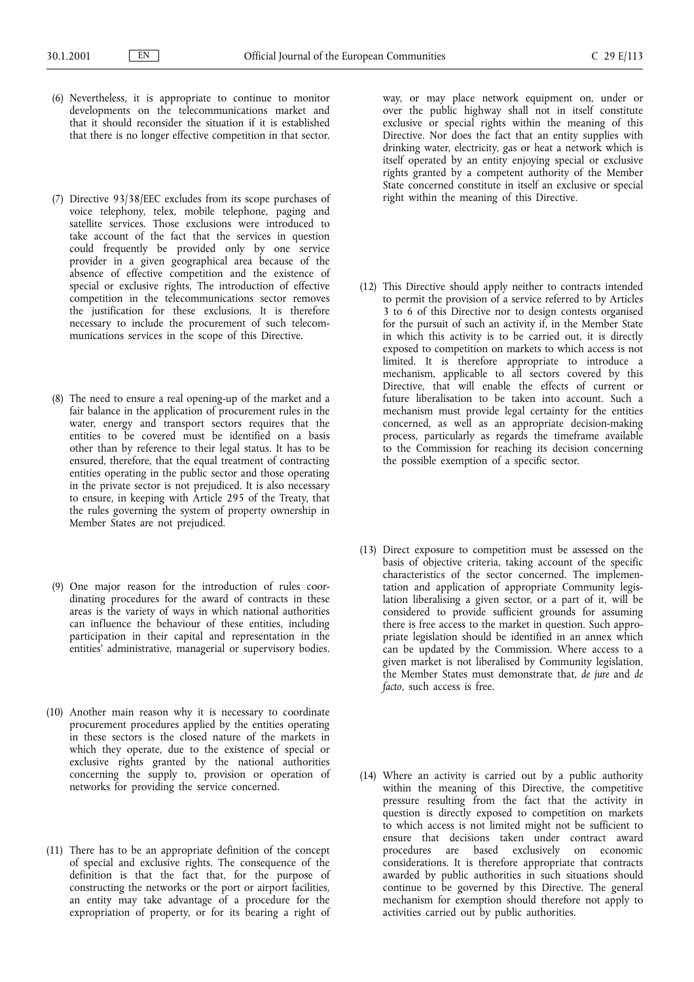- (6) Nevertheless, it is appropriate to continue to monitor developments on the telecommunications market and that it should reconsider the situation if it is established that there is no longer effective competition in that sector.
- (7) Directive 93/38/EEC excludes from its scope purchases of voice telephony, telex, mobile telephone, paging and satellite services. Those exclusions were introduced to take account of the fact that the services in question could frequently be provided only by one service provider in a given geographical area because of the absence of effective competition and the existence of special or exclusive rights. The introduction of effective competition in the telecommunications sector removes the justification for these exclusions. It is therefore necessary to include the procurement of such telecommunications services in the scope of this Directive.
- (8) The need to ensure a real opening-up of the market and a fair balance in the application of procurement rules in the water, energy and transport sectors requires that the entities to be covered must be identified on a basis other than by reference to their legal status. It has to be ensured, therefore, that the equal treatment of contracting entities operating in the public sector and those operating in the private sector is not prejudiced. It is also necessary to ensure, in keeping with Article 295 of the Treaty, that the rules governing the system of property ownership in Member States are not prejudiced.
- (9) One major reason for the introduction of rules coordinating procedures for the award of contracts in these areas is the variety of ways in which national authorities can influence the behaviour of these entities, including participation in their capital and representation in the entities' administrative, managerial or supervisory bodies.
- (10) Another main reason why it is necessary to coordinate procurement procedures applied by the entities operating in these sectors is the closed nature of the markets in which they operate, due to the existence of special or exclusive rights granted by the national authorities concerning the supply to, provision or operation of networks for providing the service concerned.
- (11) There has to be an appropriate definition of the concept of special and exclusive rights. The consequence of the definition is that the fact that, for the purpose of constructing the networks or the port or airport facilities, an entity may take advantage of a procedure for the expropriation of property, or for its bearing a right of

way, or may place network equipment on, under or over the public highway shall not in itself constitute exclusive or special rights within the meaning of this Directive. Nor does the fact that an entity supplies with drinking water, electricity, gas or heat a network which is itself operated by an entity enjoying special or exclusive rights granted by a competent authority of the Member State concerned constitute in itself an exclusive or special right within the meaning of this Directive.

- (12) This Directive should apply neither to contracts intended to permit the provision of a service referred to by Articles 3 to 6 of this Directive nor to design contests organised for the pursuit of such an activity if, in the Member State in which this activity is to be carried out, it is directly exposed to competition on markets to which access is not limited. It is therefore appropriate to introduce a mechanism, applicable to all sectors covered by this Directive, that will enable the effects of current or future liberalisation to be taken into account. Such a mechanism must provide legal certainty for the entities concerned, as well as an appropriate decision-making process, particularly as regards the timeframe available to the Commission for reaching its decision concerning the possible exemption of a specific sector.
- (13) Direct exposure to competition must be assessed on the basis of objective criteria, taking account of the specific characteristics of the sector concerned. The implementation and application of appropriate Community legislation liberalising a given sector, or a part of it, will be considered to provide sufficient grounds for assuming there is free access to the market in question. Such appropriate legislation should be identified in an annex which can be updated by the Commission. Where access to a given market is not liberalised by Community legislation, the Member States must demonstrate that, de jure and de facto, such access is free.
- (14) Where an activity is carried out by a public authority within the meaning of this Directive, the competitive pressure resulting from the fact that the activity in question is directly exposed to competition on markets to which access is not limited might not be sufficient to ensure that decisions taken under contract award procedures are based exclusively on economic considerations. It is therefore appropriate that contracts awarded by public authorities in such situations should continue to be governed by this Directive. The general mechanism for exemption should therefore not apply to activities carried out by public authorities.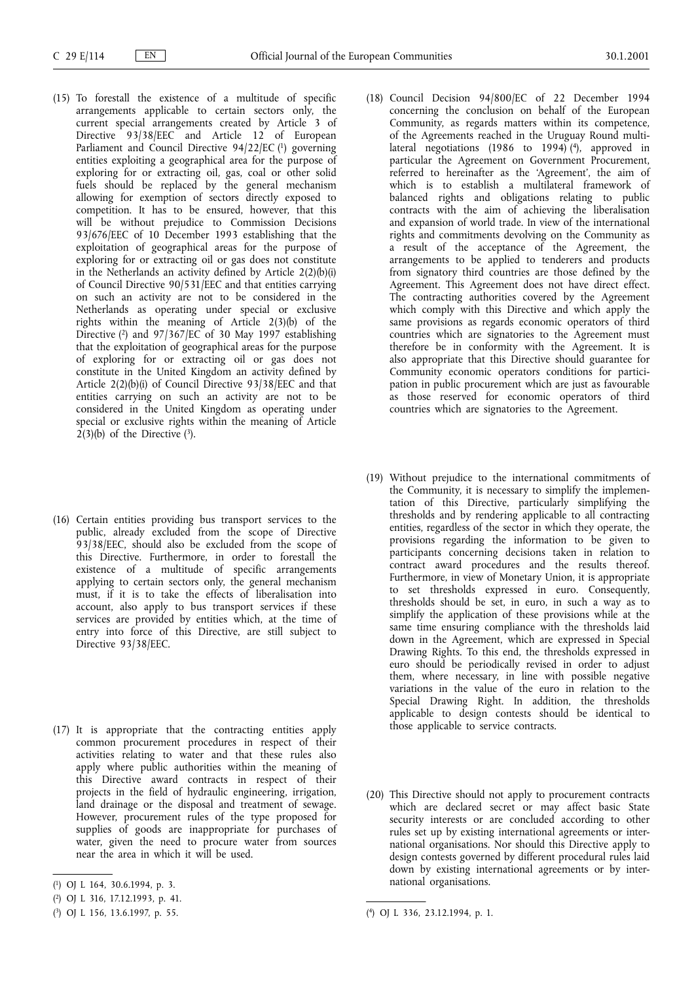- (15) To forestall the existence of a multitude of specific arrangements applicable to certain sectors only, the current special arrangements created by Article 3 of Directive 93/38/EEC and Article 12 of European Parliament and Council Directive 94/22/EC (1) governing entities exploiting a geographical area for the purpose of exploring for or extracting oil, gas, coal or other solid fuels should be replaced by the general mechanism allowing for exemption of sectors directly exposed to competition. It has to be ensured, however, that this will be without prejudice to Commission Decisions 93/676/EEC of 10 December 1993 establishing that the exploitation of geographical areas for the purpose of exploring for or extracting oil or gas does not constitute in the Netherlands an activity defined by Article 2(2)(b)(i) of Council Directive 90/531/EEC and that entities carrying on such an activity are not to be considered in the Netherlands as operating under special or exclusive rights within the meaning of Article 2(3)(b) of the Directive (2) and  $97/367/EC$  of 30 May 1997 establishing that the exploitation of geographical areas for the purpose of exploring for or extracting oil or gas does not constitute in the United Kingdom an activity defined by Article 2(2)(b)(i) of Council Directive 93/38/EEC and that entities carrying on such an activity are not to be considered in the United Kingdom as operating under special or exclusive rights within the meaning of Article  $2(3)(b)$  of the Directive  $(3)$ .
- (16) Certain entities providing bus transport services to the public, already excluded from the scope of Directive 93/38/EEC, should also be excluded from the scope of this Directive. Furthermore, in order to forestall the existence of a multitude of specific arrangements applying to certain sectors only, the general mechanism must, if it is to take the effects of liberalisation into account, also apply to bus transport services if these services are provided by entities which, at the time of entry into force of this Directive, are still subject to Directive 93/38/EEC.
- (17) It is appropriate that the contracting entities apply common procurement procedures in respect of their activities relating to water and that these rules also apply where public authorities within the meaning of this Directive award contracts in respect of their projects in the field of hydraulic engineering, irrigation, land drainage or the disposal and treatment of sewage. However, procurement rules of the type proposed for supplies of goods are inappropriate for purchases of water, given the need to procure water from sources near the area in which it will be used.
- (18) Council Decision 94/800/EC of 22 December 1994 concerning the conclusion on behalf of the European Community, as regards matters within its competence, of the Agreements reached in the Uruguay Round multilateral negotiations (1986 to 1994) $(4)$ , approved in particular the Agreement on Government Procurement, referred to hereinafter as the 'Agreement', the aim of which is to establish a multilateral framework of balanced rights and obligations relating to public contracts with the aim of achieving the liberalisation and expansion of world trade. In view of the international rights and commitments devolving on the Community as a result of the acceptance of the Agreement, the arrangements to be applied to tenderers and products from signatory third countries are those defined by the Agreement. This Agreement does not have direct effect. The contracting authorities covered by the Agreement which comply with this Directive and which apply the same provisions as regards economic operators of third countries which are signatories to the Agreement must therefore be in conformity with the Agreement. It is also appropriate that this Directive should guarantee for Community economic operators conditions for participation in public procurement which are just as favourable as those reserved for economic operators of third countries which are signatories to the Agreement.
- (19) Without prejudice to the international commitments of the Community, it is necessary to simplify the implementation of this Directive, particularly simplifying the thresholds and by rendering applicable to all contracting entities, regardless of the sector in which they operate, the provisions regarding the information to be given to participants concerning decisions taken in relation to contract award procedures and the results thereof. Furthermore, in view of Monetary Union, it is appropriate to set thresholds expressed in euro. Consequently, thresholds should be set, in euro, in such a way as to simplify the application of these provisions while at the same time ensuring compliance with the thresholds laid down in the Agreement, which are expressed in Special Drawing Rights. To this end, the thresholds expressed in euro should be periodically revised in order to adjust them, where necessary, in line with possible negative variations in the value of the euro in relation to the Special Drawing Right. In addition, the thresholds applicable to design contests should be identical to those applicable to service contracts.
- (20) This Directive should not apply to procurement contracts which are declared secret or may affect basic State security interests or are concluded according to other rules set up by existing international agreements or international organisations. Nor should this Directive apply to design contests governed by different procedural rules laid down by existing international agreements or by international organisations.

<sup>(</sup> 1) OJ L 164, 30.6.1994, p. 3.

<sup>(</sup> 2) OJ L 316, 17.12.1993, p. 41.

<sup>(</sup> 3) OJ L 156, 13.6.1997, p. 55. (

<sup>4)</sup> OJ L 336, 23.12.1994, p. 1.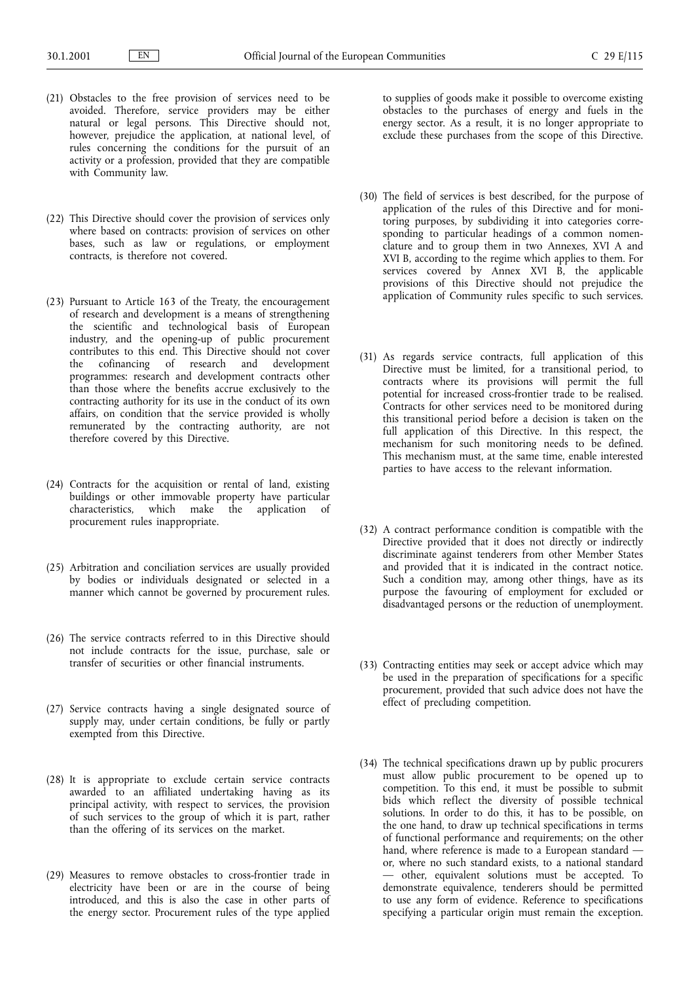- (21) Obstacles to the free provision of services need to be avoided. Therefore, service providers may be either natural or legal persons. This Directive should not, however, prejudice the application, at national level, of rules concerning the conditions for the pursuit of an activity or a profession, provided that they are compatible with Community law.
- (22) This Directive should cover the provision of services only where based on contracts: provision of services on other bases, such as law or regulations, or employment contracts, is therefore not covered.
- (23) Pursuant to Article 163 of the Treaty, the encouragement of research and development is a means of strengthening the scientific and technological basis of European industry, and the opening-up of public procurement contributes to this end. This Directive should not cover the cofinancing of research and development programmes: research and development contracts other than those where the benefits accrue exclusively to the contracting authority for its use in the conduct of its own affairs, on condition that the service provided is wholly remunerated by the contracting authority, are not therefore covered by this Directive.
- (24) Contracts for the acquisition or rental of land, existing buildings or other immovable property have particular characteristics, which make the application of procurement rules inappropriate.
- (25) Arbitration and conciliation services are usually provided by bodies or individuals designated or selected in a manner which cannot be governed by procurement rules.
- (26) The service contracts referred to in this Directive should not include contracts for the issue, purchase, sale or transfer of securities or other financial instruments.
- (27) Service contracts having a single designated source of supply may, under certain conditions, be fully or partly exempted from this Directive.
- (28) It is appropriate to exclude certain service contracts awarded to an affiliated undertaking having as its principal activity, with respect to services, the provision of such services to the group of which it is part, rather than the offering of its services on the market.
- (29) Measures to remove obstacles to cross-frontier trade in electricity have been or are in the course of being introduced, and this is also the case in other parts of the energy sector. Procurement rules of the type applied

to supplies of goods make it possible to overcome existing obstacles to the purchases of energy and fuels in the energy sector. As a result, it is no longer appropriate to exclude these purchases from the scope of this Directive.

- (30) The field of services is best described, for the purpose of application of the rules of this Directive and for monitoring purposes, by subdividing it into categories corresponding to particular headings of a common nomenclature and to group them in two Annexes, XVI A and XVI B, according to the regime which applies to them. For services covered by Annex XVI B, the applicable provisions of this Directive should not prejudice the application of Community rules specific to such services.
- (31) As regards service contracts, full application of this Directive must be limited, for a transitional period, to contracts where its provisions will permit the full potential for increased cross-frontier trade to be realised. Contracts for other services need to be monitored during this transitional period before a decision is taken on the full application of this Directive. In this respect, the mechanism for such monitoring needs to be defined. This mechanism must, at the same time, enable interested parties to have access to the relevant information.
- (32) A contract performance condition is compatible with the Directive provided that it does not directly or indirectly discriminate against tenderers from other Member States and provided that it is indicated in the contract notice. Such a condition may, among other things, have as its purpose the favouring of employment for excluded or disadvantaged persons or the reduction of unemployment.
- (33) Contracting entities may seek or accept advice which may be used in the preparation of specifications for a specific procurement, provided that such advice does not have the effect of precluding competition.
- (34) The technical specifications drawn up by public procurers must allow public procurement to be opened up to competition. To this end, it must be possible to submit bids which reflect the diversity of possible technical solutions. In order to do this, it has to be possible, on the one hand, to draw up technical specifications in terms of functional performance and requirements; on the other hand, where reference is made to a European standard or, where no such standard exists, to a national standard - other, equivalent solutions must be accepted. To demonstrate equivalence, tenderers should be permitted to use any form of evidence. Reference to specifications specifying a particular origin must remain the exception.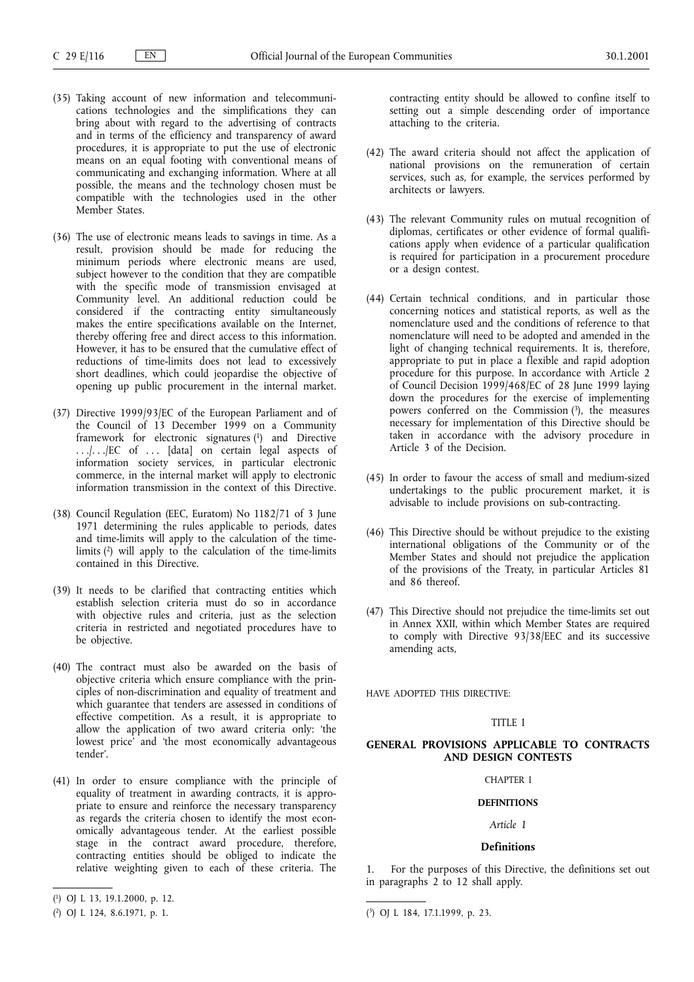- (35) Taking account of new information and telecommunications technologies and the simplifications they can bring about with regard to the advertising of contracts and in terms of the efficiency and transparency of award procedures, it is appropriate to put the use of electronic means on an equal footing with conventional means of communicating and exchanging information. Where at all possible, the means and the technology chosen must be compatible with the technologies used in the other Member States.
- (36) The use of electronic means leads to savings in time. As a result, provision should be made for reducing the minimum periods where electronic means are used, subject however to the condition that they are compatible with the specific mode of transmission envisaged at Community level. An additional reduction could be considered if the contracting entity simultaneously makes the entire specifications available on the Internet, thereby offering free and direct access to this information. However, it has to be ensured that the cumulative effect of reductions of time-limits does not lead to excessively short deadlines, which could jeopardise the objective of opening up public procurement in the internal market.
- (37) Directive 1999/93/EC of the European Parliament and of the Council of 13 December 1999 on a Community framework for electronic signatures (1) and Directive .../.../EC of ... [data] on certain legal aspects of information society services, in particular electronic commerce, in the internal market will apply to electronic information transmission in the context of this Directive.
- (38) Council Regulation (EEC, Euratom) No 1182/71 of 3 June 1971 determining the rules applicable to periods, dates and time-limits will apply to the calculation of the timelimits (2) will apply to the calculation of the time-limits contained in this Directive.
- (39) It needs to be clarified that contracting entities which establish selection criteria must do so in accordance with objective rules and criteria, just as the selection criteria in restricted and negotiated procedures have to be objective.
- (40) The contract must also be awarded on the basis of objective criteria which ensure compliance with the principles of non-discrimination and equality of treatment and which guarantee that tenders are assessed in conditions of effective competition. As a result, it is appropriate to allow the application of two award criteria only: the lowest price' and 'the most economically advantageous tender'.
- (41) In order to ensure compliance with the principle of equality of treatment in awarding contracts, it is appropriate to ensure and reinforce the necessary transparency as regards the criteria chosen to identify the most economically advantageous tender. At the earliest possible stage in the contract award procedure, therefore, contracting entities should be obliged to indicate the relative weighting given to each of these criteria. The

contracting entity should be allowed to confine itself to setting out a simple descending order of importance attaching to the criteria.

- (42) The award criteria should not affect the application of national provisions on the remuneration of certain services, such as, for example, the services performed by architects or lawyers.
- (43) The relevant Community rules on mutual recognition of diplomas, certificates or other evidence of formal qualifications apply when evidence of a particular qualification is required for participation in a procurement procedure or a design contest.
- (44) Certain technical conditions, and in particular those concerning notices and statistical reports, as well as the nomenclature used and the conditions of reference to that nomenclature will need to be adopted and amended in the light of changing technical requirements. It is, therefore, appropriate to put in place a flexible and rapid adoption procedure for this purpose. In accordance with Article 2 of Council Decision 1999/468/EC of 28 June 1999 laying down the procedures for the exercise of implementing powers conferred on the Commission  $(3)$ , the measures necessary for implementation of this Directive should be taken in accordance with the advisory procedure in Article 3 of the Decision.
- (45) In order to favour the access of small and medium-sized undertakings to the public procurement market, it is advisable to include provisions on sub-contracting.
- (46) This Directive should be without prejudice to the existing international obligations of the Community or of the Member States and should not prejudice the application of the provisions of the Treaty, in particular Articles 81 and 86 thereof.
- (47) This Directive should not prejudice the time-limits set out in Annex XXII, within which Member States are required to comply with Directive 93/38/EEC and its successive amending acts,

HAVE ADOPTED THIS DIRECTIVE:

# TITLE I

# GENERAL PROVISIONS APPLICABLE TO CONTRACTS AND DESIGN CONTESTS

### CHAPTER I

# **DEFINITIONS**

# Article 1

#### **Definitions**

1. For the purposes of this Directive, the definitions set out in paragraphs 2 to 12 shall apply.

<sup>(</sup> 1) OJ L 13, 19.1.2000, p. 12.

<sup>(</sup> 2) OJ L 124, 8.6.1971, p. 1. (

<sup>3)</sup> OJ L 184, 17.1.1999, p. 23.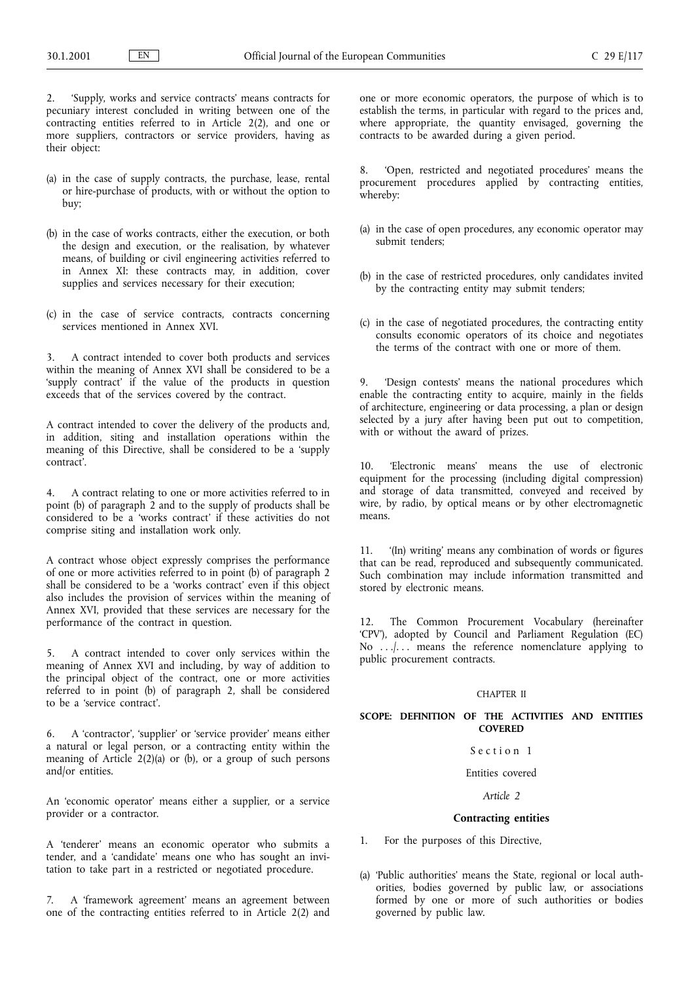2. Supply, works and service contracts means contracts for pecuniary interest concluded in writing between one of the contracting entities referred to in Article 2(2), and one or more suppliers, contractors or service providers, having as their object:

- (a) in the case of supply contracts, the purchase, lease, rental or hire-purchase of products, with or without the option to buy;
- (b) in the case of works contracts, either the execution, or both the design and execution, or the realisation, by whatever means, of building or civil engineering activities referred to in Annex XI: these contracts may, in addition, cover supplies and services necessary for their execution;
- (c) in the case of service contracts, contracts concerning services mentioned in Annex XVI.

3. A contract intended to cover both products and services within the meaning of Annex XVI shall be considered to be a supply contract if the value of the products in question exceeds that of the services covered by the contract.

A contract intended to cover the delivery of the products and, in addition, siting and installation operations within the meaning of this Directive, shall be considered to be a 'supply contract.

4. A contract relating to one or more activities referred to in point (b) of paragraph 2 and to the supply of products shall be considered to be a works contract' if these activities do not comprise siting and installation work only.

A contract whose object expressly comprises the performance of one or more activities referred to in point (b) of paragraph 2 shall be considered to be a 'works contract' even if this object also includes the provision of services within the meaning of Annex XVI, provided that these services are necessary for the performance of the contract in question.

5. A contract intended to cover only services within the meaning of Annex XVI and including, by way of addition to the principal object of the contract, one or more activities referred to in point (b) of paragraph 2, shall be considered to be a 'service contract'.

6. A 'contractor', 'supplier' or 'service provider' means either a natural or legal person, or a contracting entity within the meaning of Article 2(2)(a) or (b), or a group of such persons and/or entities.

An 'economic operator' means either a supplier, or a service provider or a contractor.

A 'tenderer' means an economic operator who submits a tender, and a 'candidate' means one who has sought an invitation to take part in a restricted or negotiated procedure.

7. A 'framework agreement' means an agreement between one of the contracting entities referred to in Article 2(2) and

one or more economic operators, the purpose of which is to establish the terms, in particular with regard to the prices and, where appropriate, the quantity envisaged, governing the contracts to be awarded during a given period.

8. 'Open, restricted and negotiated procedures' means the procurement procedures applied by contracting entities, whereby:

- (a) in the case of open procedures, any economic operator may submit tenders:
- (b) in the case of restricted procedures, only candidates invited by the contracting entity may submit tenders;
- (c) in the case of negotiated procedures, the contracting entity consults economic operators of its choice and negotiates the terms of the contract with one or more of them.

9. Design contests' means the national procedures which enable the contracting entity to acquire, mainly in the fields of architecture, engineering or data processing, a plan or design selected by a jury after having been put out to competition, with or without the award of prizes.

10. Electronic means means the use of electronic equipment for the processing (including digital compression) and storage of data transmitted, conveyed and received by wire, by radio, by optical means or by other electromagnetic means.

11. (In) writing' means any combination of words or figures that can be read, reproduced and subsequently communicated. Such combination may include information transmitted and stored by electronic means.

12. The Common Procurement Vocabulary (hereinafter CPV), adopted by Council and Parliament Regulation (EC) No . . ./. . . means the reference nomenclature applying to public procurement contracts.

# CHAPTER II

#### SCOPE: DEFINITION OF THE ACTIVITIES AND ENTITIES **COVERED**

### Section 1

#### Entities covered

#### Article 2

### Contracting entities

- 1. For the purposes of this Directive,
- (a) 'Public authorities' means the State, regional or local authorities, bodies governed by public law, or associations formed by one or more of such authorities or bodies governed by public law.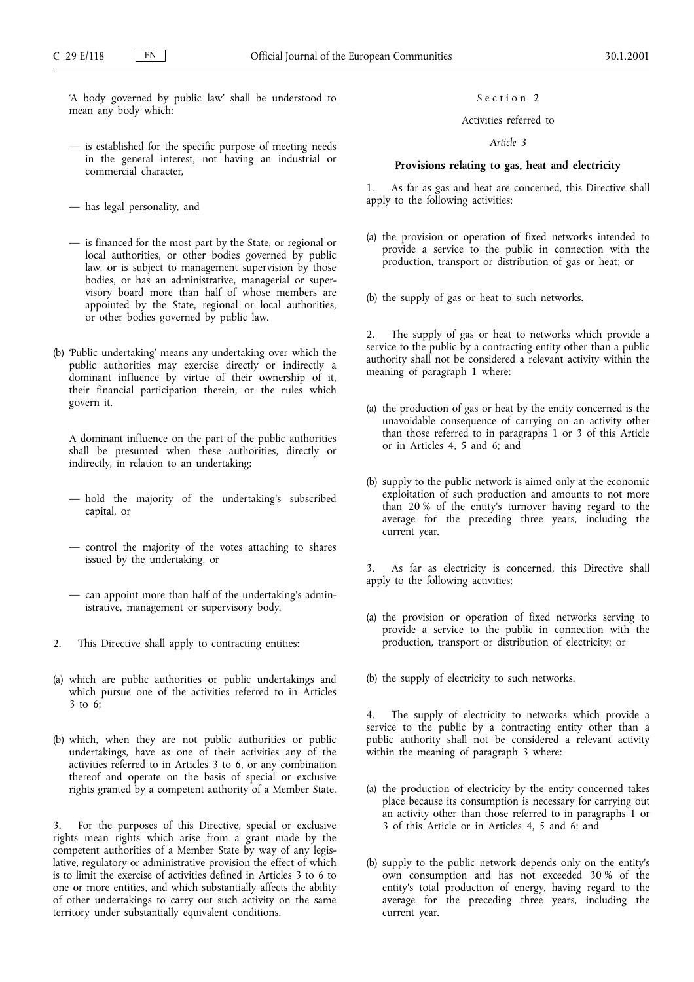A body governed by public law shall be understood to mean any body which:

- is established for the specific purpose of meeting needs in the general interest, not having an industrial or commercial character,
- has legal personality, and
- $-$  is financed for the most part by the State, or regional or local authorities, or other bodies governed by public law, or is subject to management supervision by those bodies, or has an administrative, managerial or supervisory board more than half of whose members are appointed by the State, regional or local authorities, or other bodies governed by public law.
- (b) Public undertaking' means any undertaking over which the public authorities may exercise directly or indirectly a dominant influence by virtue of their ownership of it, their financial participation therein, or the rules which govern it.

A dominant influence on the part of the public authorities shall be presumed when these authorities, directly or indirectly, in relation to an undertaking:

- hold the majority of the undertaking's subscribed capital, or
- control the majority of the votes attaching to shares issued by the undertaking, or
- $\sim$  can appoint more than half of the undertaking's administrative, management or supervisory body.
- 2. This Directive shall apply to contracting entities:
- (a) which are public authorities or public undertakings and which pursue one of the activities referred to in Articles 3 to 6;
- (b) which, when they are not public authorities or public undertakings, have as one of their activities any of the activities referred to in Articles 3 to 6, or any combination thereof and operate on the basis of special or exclusive rights granted by a competent authority of a Member State.

3. For the purposes of this Directive, special or exclusive rights mean rights which arise from a grant made by the competent authorities of a Member State by way of any legislative, regulatory or administrative provision the effect of which is to limit the exercise of activities defined in Articles 3 to 6 to one or more entities, and which substantially affects the ability of other undertakings to carry out such activity on the same territory under substantially equivalent conditions.

# Section<sub>2</sub>

### Activities referred to

#### Article 3

### Provisions relating to gas, heat and electricity

As far as gas and heat are concerned, this Directive shall apply to the following activities:

(a) the provision or operation of fixed networks intended to provide a service to the public in connection with the production, transport or distribution of gas or heat; or

(b) the supply of gas or heat to such networks.

2. The supply of gas or heat to networks which provide a service to the public by a contracting entity other than a public authority shall not be considered a relevant activity within the meaning of paragraph 1 where:

- (a) the production of gas or heat by the entity concerned is the unavoidable consequence of carrying on an activity other than those referred to in paragraphs 1 or 3 of this Article or in Articles 4, 5 and 6; and
- (b) supply to the public network is aimed only at the economic exploitation of such production and amounts to not more than 20 % of the entity's turnover having regard to the average for the preceding three years, including the current year.

3. As far as electricity is concerned, this Directive shall apply to the following activities:

(a) the provision or operation of fixed networks serving to provide a service to the public in connection with the production, transport or distribution of electricity; or

(b) the supply of electricity to such networks.

4. The supply of electricity to networks which provide a service to the public by a contracting entity other than a public authority shall not be considered a relevant activity within the meaning of paragraph 3 where:

- (a) the production of electricity by the entity concerned takes place because its consumption is necessary for carrying out an activity other than those referred to in paragraphs 1 or 3 of this Article or in Articles 4, 5 and 6; and
- (b) supply to the public network depends only on the entity's own consumption and has not exceeded 30 % of the entity's total production of energy, having regard to the average for the preceding three years, including the current year.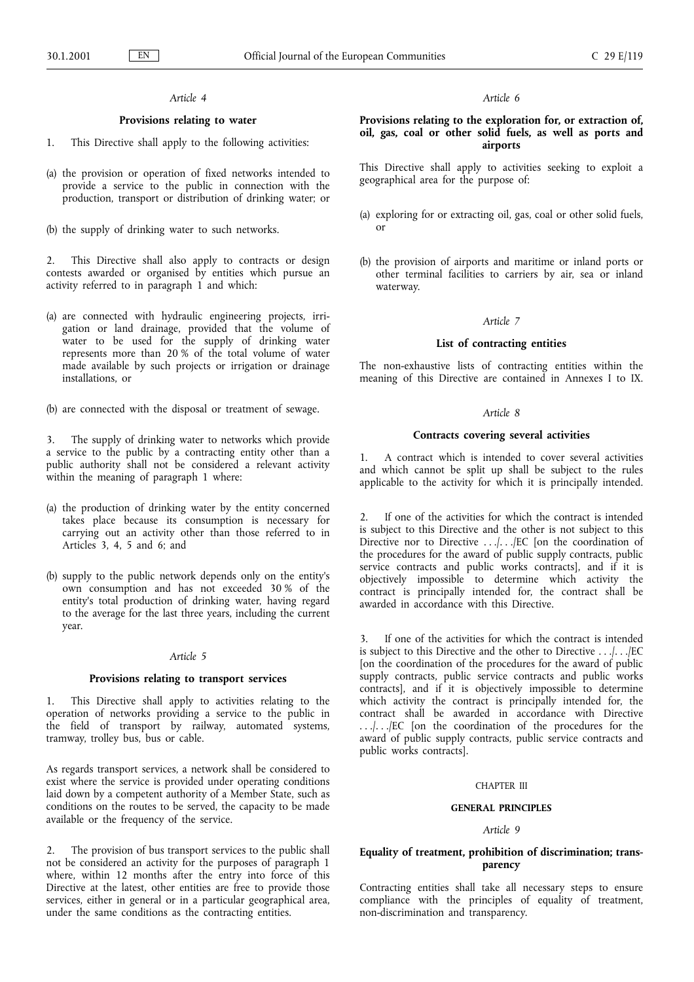# Provisions relating to water

- 1. This Directive shall apply to the following activities:
- (a) the provision or operation of fixed networks intended to provide a service to the public in connection with the production, transport or distribution of drinking water; or
- (b) the supply of drinking water to such networks.

2. This Directive shall also apply to contracts or design contests awarded or organised by entities which pursue an activity referred to in paragraph 1 and which:

(a) are connected with hydraulic engineering projects, irrigation or land drainage, provided that the volume of water to be used for the supply of drinking water represents more than 20 % of the total volume of water made available by such projects or irrigation or drainage installations, or

(b) are connected with the disposal or treatment of sewage.

3. The supply of drinking water to networks which provide a service to the public by a contracting entity other than a public authority shall not be considered a relevant activity within the meaning of paragraph 1 where:

- (a) the production of drinking water by the entity concerned takes place because its consumption is necessary for carrying out an activity other than those referred to in Articles 3, 4, 5 and 6; and
- (b) supply to the public network depends only on the entity's own consumption and has not exceeded 30 % of the entity's total production of drinking water, having regard to the average for the last three years, including the current year.

#### Article 5

### Provisions relating to transport services

1. This Directive shall apply to activities relating to the operation of networks providing a service to the public in the field of transport by railway, automated systems, tramway, trolley bus, bus or cable.

As regards transport services, a network shall be considered to exist where the service is provided under operating conditions laid down by a competent authority of a Member State, such as conditions on the routes to be served, the capacity to be made available or the frequency of the service.

2. The provision of bus transport services to the public shall not be considered an activity for the purposes of paragraph 1 where, within 12 months after the entry into force of this Directive at the latest, other entities are free to provide those services, either in general or in a particular geographical area, under the same conditions as the contracting entities.

#### Article 6

# Provisions relating to the exploration for, or extraction of, oil, gas, coal or other solid fuels, as well as ports and airports

This Directive shall apply to activities seeking to exploit a geographical area for the purpose of:

- (a) exploring for or extracting oil, gas, coal or other solid fuels, or
- (b) the provision of airports and maritime or inland ports or other terminal facilities to carriers by air, sea or inland waterway.

### Article 7

### List of contracting entities

The non-exhaustive lists of contracting entities within the meaning of this Directive are contained in Annexes I to IX.

# Article 8

### Contracts covering several activities

1. A contract which is intended to cover several activities and which cannot be split up shall be subject to the rules applicable to the activity for which it is principally intended.

2. If one of the activities for which the contract is intended is subject to this Directive and the other is not subject to this Directive nor to Directive ... ... ... JEC [on the coordination of the procedures for the award of public supply contracts, public service contracts and public works contracts], and if it is objectively impossible to determine which activity the contract is principally intended for, the contract shall be awarded in accordance with this Directive.

3. If one of the activities for which the contract is intended is subject to this Directive and the other to Directive . . ./. . ./EC [on the coordination of the procedures for the award of public supply contracts, public service contracts and public works contracts], and if it is objectively impossible to determine which activity the contract is principally intended for, the contract shall be awarded in accordance with Directive . . ./. . ./EC [on the coordination of the procedures for the award of public supply contracts, public service contracts and public works contracts].

#### CHAPTER III

### GENERAL PRINCIPLES

#### Article 9

# Equality of treatment, prohibition of discrimination; transparency

Contracting entities shall take all necessary steps to ensure compliance with the principles of equality of treatment, non-discrimination and transparency.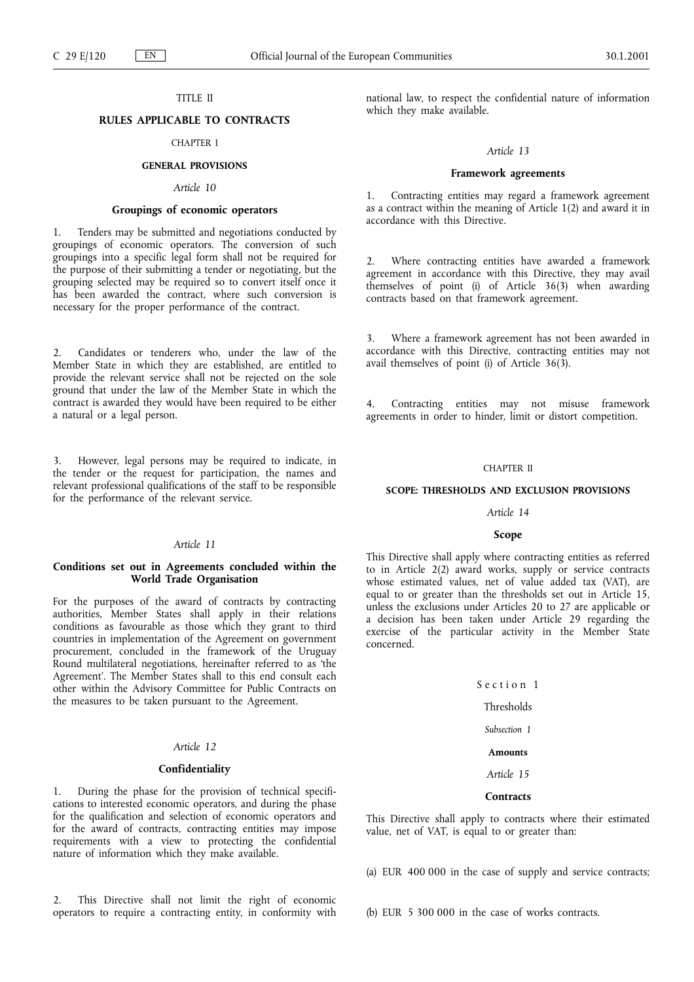# TITLE II

# RULES APPLICABLE TO CONTRACTS

#### CHAPTER I

# GENERAL PROVISIONS

#### Article 10

# Groupings of economic operators

1. Tenders may be submitted and negotiations conducted by groupings of economic operators. The conversion of such groupings into a specific legal form shall not be required for the purpose of their submitting a tender or negotiating, but the grouping selected may be required so to convert itself once it has been awarded the contract, where such conversion is necessary for the proper performance of the contract.

Candidates or tenderers who, under the law of the Member State in which they are established, are entitled to provide the relevant service shall not be rejected on the sole ground that under the law of the Member State in which the contract is awarded they would have been required to be either a natural or a legal person.

3. However, legal persons may be required to indicate, in the tender or the request for participation, the names and relevant professional qualifications of the staff to be responsible for the performance of the relevant service.

# Article 11

# Conditions set out in Agreements concluded within the World Trade Organisation

For the purposes of the award of contracts by contracting authorities, Member States shall apply in their relations conditions as favourable as those which they grant to third countries in implementation of the Agreement on government procurement, concluded in the framework of the Uruguay Round multilateral negotiations, hereinafter referred to as 'the Agreement. The Member States shall to this end consult each other within the Advisory Committee for Public Contracts on the measures to be taken pursuant to the Agreement.

### Article 12

### Confidentiality

1. During the phase for the provision of technical specifications to interested economic operators, and during the phase for the qualification and selection of economic operators and for the award of contracts, contracting entities may impose requirements with a view to protecting the confidential nature of information which they make available.

This Directive shall not limit the right of economic operators to require a contracting entity, in conformity with national law, to respect the confidential nature of information which they make available.

#### Article 13

### Framework agreements

Contracting entities may regard a framework agreement as a contract within the meaning of Article 1(2) and award it in accordance with this Directive.

Where contracting entities have awarded a framework agreement in accordance with this Directive, they may avail themselves of point (i) of Article 36(3) when awarding contracts based on that framework agreement.

3. Where a framework agreement has not been awarded in accordance with this Directive, contracting entities may not avail themselves of point (i) of Article  $36(3)$ .

4. Contracting entities may not misuse framework agreements in order to hinder, limit or distort competition.

#### CHAPTER II

#### SCOPE: THRESHOLDS AND EXCLUSION PROVISIONS

#### Article 14

#### Scope

This Directive shall apply where contracting entities as referred to in Article 2(2) award works, supply or service contracts whose estimated values, net of value added tax (VAT), are equal to or greater than the thresholds set out in Article 15, unless the exclusions under Articles 20 to 27 are applicable or a decision has been taken under Article 29 regarding the exercise of the particular activity in the Member State concerned.

# Section 1 Thresholds Subsection 1 Amounts Article 15

### **Contracts**

This Directive shall apply to contracts where their estimated value, net of VAT, is equal to or greater than:

(a) EUR 400 000 in the case of supply and service contracts;

(b) EUR 5 300 000 in the case of works contracts.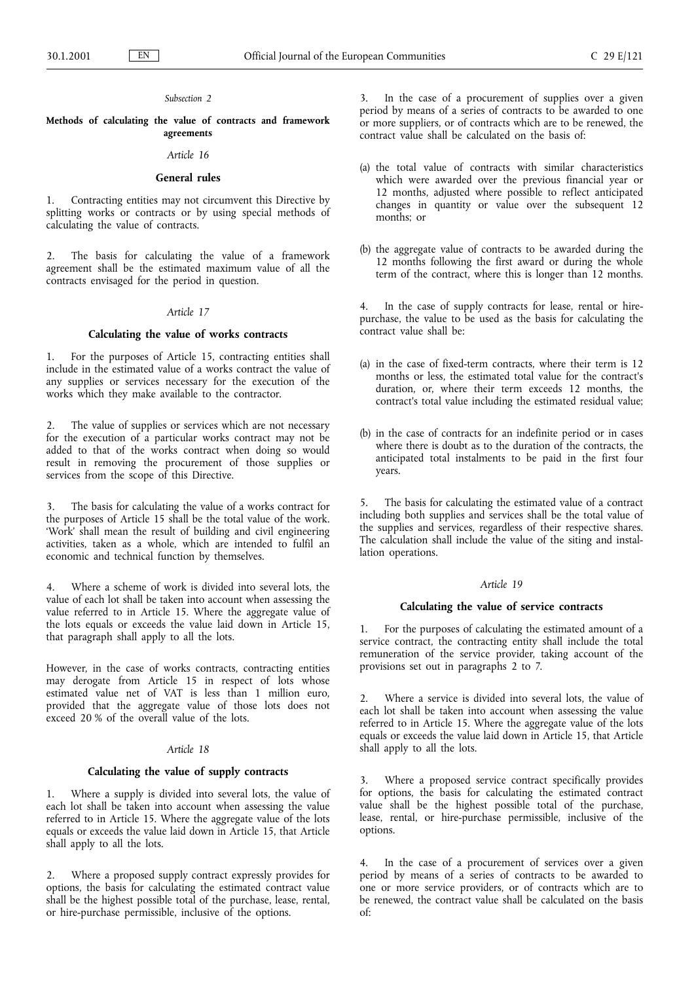### Subsection 2

### Methods of calculating the value of contracts and framework agreements

#### Article 16

### General rules

1. Contracting entities may not circumvent this Directive by splitting works or contracts or by using special methods of calculating the value of contracts.

2. The basis for calculating the value of a framework agreement shall be the estimated maximum value of all the contracts envisaged for the period in question.

### Article 17

### Calculating the value of works contracts

1. For the purposes of Article 15, contracting entities shall include in the estimated value of a works contract the value of any supplies or services necessary for the execution of the works which they make available to the contractor.

2. The value of supplies or services which are not necessary for the execution of a particular works contract may not be added to that of the works contract when doing so would result in removing the procurement of those supplies or services from the scope of this Directive.

3. The basis for calculating the value of a works contract for the purposes of Article 15 shall be the total value of the work. 'Work' shall mean the result of building and civil engineering activities, taken as a whole, which are intended to fulfil an economic and technical function by themselves.

4. Where a scheme of work is divided into several lots, the value of each lot shall be taken into account when assessing the value referred to in Article 15. Where the aggregate value of the lots equals or exceeds the value laid down in Article 15, that paragraph shall apply to all the lots.

However, in the case of works contracts, contracting entities may derogate from Article 15 in respect of lots whose estimated value net of VAT is less than 1 million euro, provided that the aggregate value of those lots does not exceed 20 % of the overall value of the lots.

# Article 18

# Calculating the value of supply contracts

1. Where a supply is divided into several lots, the value of each lot shall be taken into account when assessing the value referred to in Article 15. Where the aggregate value of the lots equals or exceeds the value laid down in Article 15, that Article shall apply to all the lots.

2. Where a proposed supply contract expressly provides for options, the basis for calculating the estimated contract value shall be the highest possible total of the purchase, lease, rental, or hire-purchase permissible, inclusive of the options.

In the case of a procurement of supplies over a given period by means of a series of contracts to be awarded to one or more suppliers, or of contracts which are to be renewed, the contract value shall be calculated on the basis of:

- (a) the total value of contracts with similar characteristics which were awarded over the previous financial year or 12 months, adjusted where possible to reflect anticipated changes in quantity or value over the subsequent 12 months; or
- (b) the aggregate value of contracts to be awarded during the 12 months following the first award or during the whole term of the contract, where this is longer than 12 months.

In the case of supply contracts for lease, rental or hirepurchase, the value to be used as the basis for calculating the contract value shall be:

- (a) in the case of fixed-term contracts, where their term is 12 months or less, the estimated total value for the contract's duration, or, where their term exceeds 12 months, the contract's total value including the estimated residual value;
- (b) in the case of contracts for an indefinite period or in cases where there is doubt as to the duration of the contracts, the anticipated total instalments to be paid in the first four years.

5. The basis for calculating the estimated value of a contract including both supplies and services shall be the total value of the supplies and services, regardless of their respective shares. The calculation shall include the value of the siting and installation operations.

# Article 19

# Calculating the value of service contracts

1. For the purposes of calculating the estimated amount of a service contract, the contracting entity shall include the total remuneration of the service provider, taking account of the provisions set out in paragraphs 2 to 7.

Where a service is divided into several lots, the value of each lot shall be taken into account when assessing the value referred to in Article 15. Where the aggregate value of the lots equals or exceeds the value laid down in Article 15, that Article shall apply to all the lots.

3. Where a proposed service contract specifically provides for options, the basis for calculating the estimated contract value shall be the highest possible total of the purchase, lease, rental, or hire-purchase permissible, inclusive of the options.

In the case of a procurement of services over a given period by means of a series of contracts to be awarded to one or more service providers, or of contracts which are to be renewed, the contract value shall be calculated on the basis of: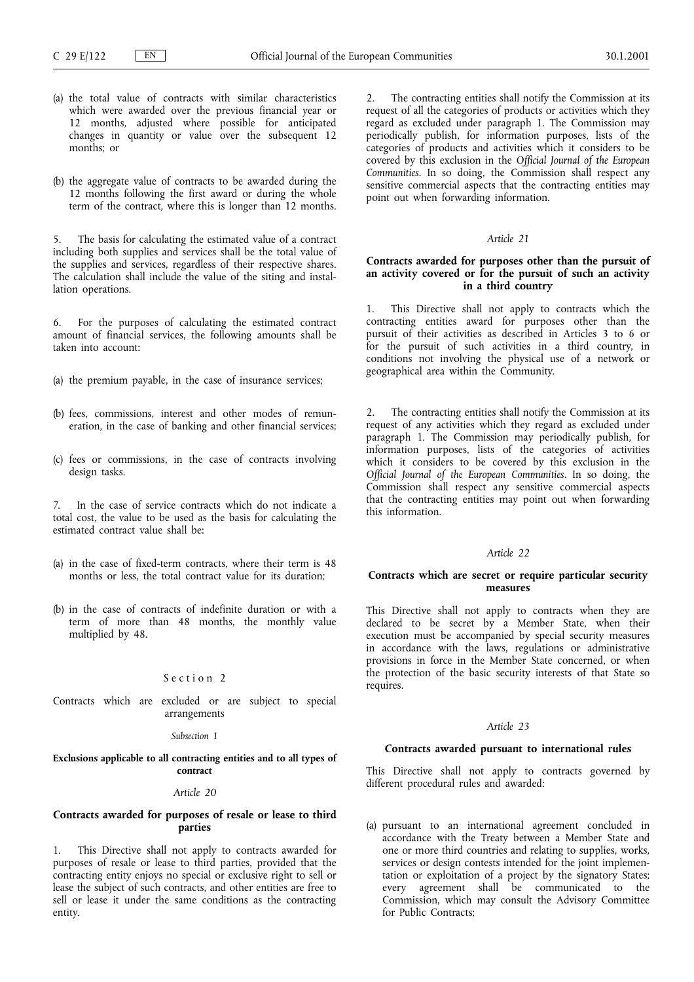- (a) the total value of contracts with similar characteristics which were awarded over the previous financial year or 12 months, adjusted where possible for anticipated changes in quantity or value over the subsequent 12 months; or
- (b) the aggregate value of contracts to be awarded during the 12 months following the first award or during the whole term of the contract, where this is longer than 12 months.

The basis for calculating the estimated value of a contract including both supplies and services shall be the total value of the supplies and services, regardless of their respective shares. The calculation shall include the value of the siting and installation operations.

6. For the purposes of calculating the estimated contract amount of financial services, the following amounts shall be taken into account:

- (a) the premium payable, in the case of insurance services;
- (b) fees, commissions, interest and other modes of remuneration, in the case of banking and other financial services;
- (c) fees or commissions, in the case of contracts involving design tasks.

7. In the case of service contracts which do not indicate a total cost, the value to be used as the basis for calculating the estimated contract value shall be:

- (a) in the case of fixed-term contracts, where their term is 48 months or less, the total contract value for its duration;
- (b) in the case of contracts of indefinite duration or with a term of more than 48 months, the monthly value multiplied by 48.

### Section 2

Contracts which are excluded or are subject to special arrangements

#### Subsection 1

### Exclusions applicable to all contracting entities and to all types of contract

### Article 20

# Contracts awarded for purposes of resale or lease to third parties

1. This Directive shall not apply to contracts awarded for purposes of resale or lease to third parties, provided that the contracting entity enjoys no special or exclusive right to sell or lease the subject of such contracts, and other entities are free to sell or lease it under the same conditions as the contracting entity.

The contracting entities shall notify the Commission at its request of all the categories of products or activities which they regard as excluded under paragraph 1. The Commission may periodically publish, for information purposes, lists of the categories of products and activities which it considers to be covered by this exclusion in the Official Journal of the European Communities. In so doing, the Commission shall respect any sensitive commercial aspects that the contracting entities may point out when forwarding information.

#### Article 21

# Contracts awarded for purposes other than the pursuit of an activity covered or for the pursuit of such an activity in a third country

1. This Directive shall not apply to contracts which the contracting entities award for purposes other than the pursuit of their activities as described in Articles 3 to 6 or for the pursuit of such activities in a third country, in conditions not involving the physical use of a network or geographical area within the Community.

2. The contracting entities shall notify the Commission at its request of any activities which they regard as excluded under paragraph 1. The Commission may periodically publish, for information purposes, lists of the categories of activities which it considers to be covered by this exclusion in the Official Journal of the European Communities. In so doing, the Commission shall respect any sensitive commercial aspects that the contracting entities may point out when forwarding this information.

### Article 22

#### Contracts which are secret or require particular security measures

This Directive shall not apply to contracts when they are declared to be secret by a Member State, when their execution must be accompanied by special security measures in accordance with the laws, regulations or administrative provisions in force in the Member State concerned, or when the protection of the basic security interests of that State so requires.

#### Article 23

### Contracts awarded pursuant to international rules

This Directive shall not apply to contracts governed by different procedural rules and awarded:

(a) pursuant to an international agreement concluded in accordance with the Treaty between a Member State and one or more third countries and relating to supplies, works, services or design contests intended for the joint implementation or exploitation of a project by the signatory States; every agreement shall be communicated to the Commission, which may consult the Advisory Committee for Public Contracts;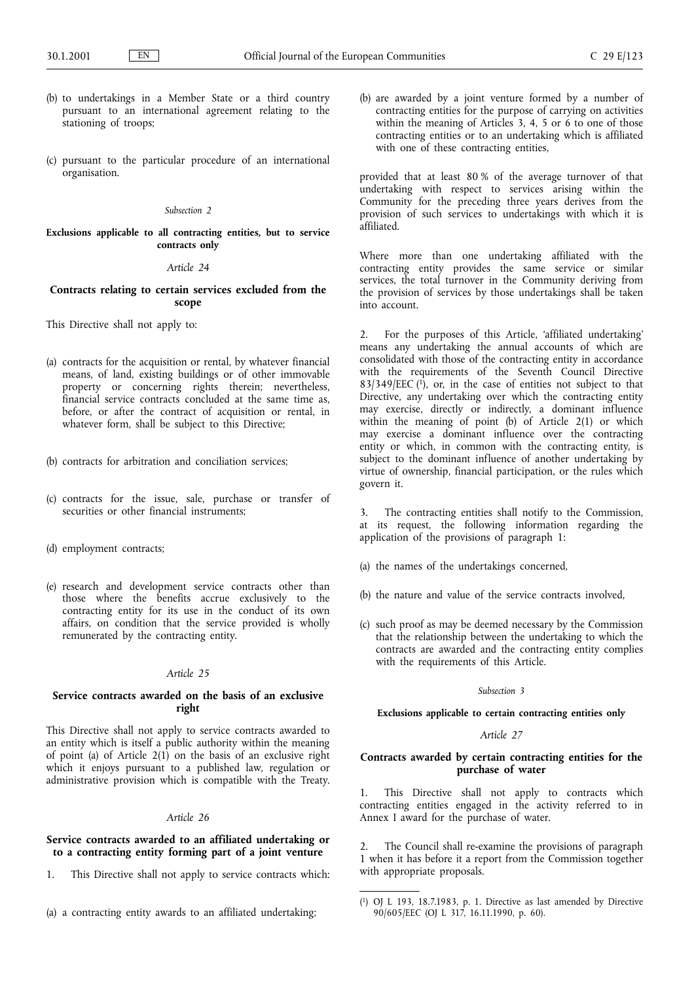- (b) to undertakings in a Member State or a third country pursuant to an international agreement relating to the stationing of troops;
- (c) pursuant to the particular procedure of an international organisation.

### Subsection 2

Exclusions applicable to all contracting entities, but to service contracts only

### Article 24

### Contracts relating to certain services excluded from the scope

This Directive shall not apply to:

- (a) contracts for the acquisition or rental, by whatever financial means, of land, existing buildings or of other immovable property or concerning rights therein; nevertheless, financial service contracts concluded at the same time as, before, or after the contract of acquisition or rental, in whatever form, shall be subject to this Directive;
- (b) contracts for arbitration and conciliation services;
- (c) contracts for the issue, sale, purchase or transfer of securities or other financial instruments:
- (d) employment contracts;
- (e) research and development service contracts other than those where the benefits accrue exclusively to the contracting entity for its use in the conduct of its own affairs, on condition that the service provided is wholly remunerated by the contracting entity.

### Article 25

# Service contracts awarded on the basis of an exclusive right

This Directive shall not apply to service contracts awarded to an entity which is itself a public authority within the meaning of point (a) of Article  $2(1)$  on the basis of an exclusive right which it enjoys pursuant to a published law, regulation or administrative provision which is compatible with the Treaty.

#### Article 26

# Service contracts awarded to an affiliated undertaking or to a contracting entity forming part of a joint venture

- 1. This Directive shall not apply to service contracts which:
- (a) a contracting entity awards to an affiliated undertaking;

(b) are awarded by a joint venture formed by a number of contracting entities for the purpose of carrying on activities within the meaning of Articles 3, 4, 5 or 6 to one of those contracting entities or to an undertaking which is affiliated with one of these contracting entities,

provided that at least 80 % of the average turnover of that undertaking with respect to services arising within the Community for the preceding three years derives from the provision of such services to undertakings with which it is affiliated.

Where more than one undertaking affiliated with the contracting entity provides the same service or similar services, the total turnover in the Community deriving from the provision of services by those undertakings shall be taken into account.

2. For the purposes of this Article, 'affiliated undertaking' means any undertaking the annual accounts of which are consolidated with those of the contracting entity in accordance with the requirements of the Seventh Council Directive  $83/349/EEC$  (1), or, in the case of entities not subject to that Directive, any undertaking over which the contracting entity may exercise, directly or indirectly, a dominant influence within the meaning of point (b) of Article  $2(1)$  or which may exercise a dominant influence over the contracting entity or which, in common with the contracting entity, is subject to the dominant influence of another undertaking by virtue of ownership, financial participation, or the rules which govern it.

3. The contracting entities shall notify to the Commission, at its request, the following information regarding the application of the provisions of paragraph 1:

- (a) the names of the undertakings concerned,
- (b) the nature and value of the service contracts involved,
- (c) such proof as may be deemed necessary by the Commission that the relationship between the undertaking to which the contracts are awarded and the contracting entity complies with the requirements of this Article.

#### Subsection 3

#### Exclusions applicable to certain contracting entities only

### Article 27

# Contracts awarded by certain contracting entities for the purchase of water

1. This Directive shall not apply to contracts which contracting entities engaged in the activity referred to in Annex I award for the purchase of water.

2. The Council shall re-examine the provisions of paragraph 1 when it has before it a report from the Commission together with appropriate proposals.

<sup>(</sup> 1) OJ L 193, 18.7.1983, p. 1. Directive as last amended by Directive 90/605/EEC (OJ L 317, 16.11.1990, p. 60).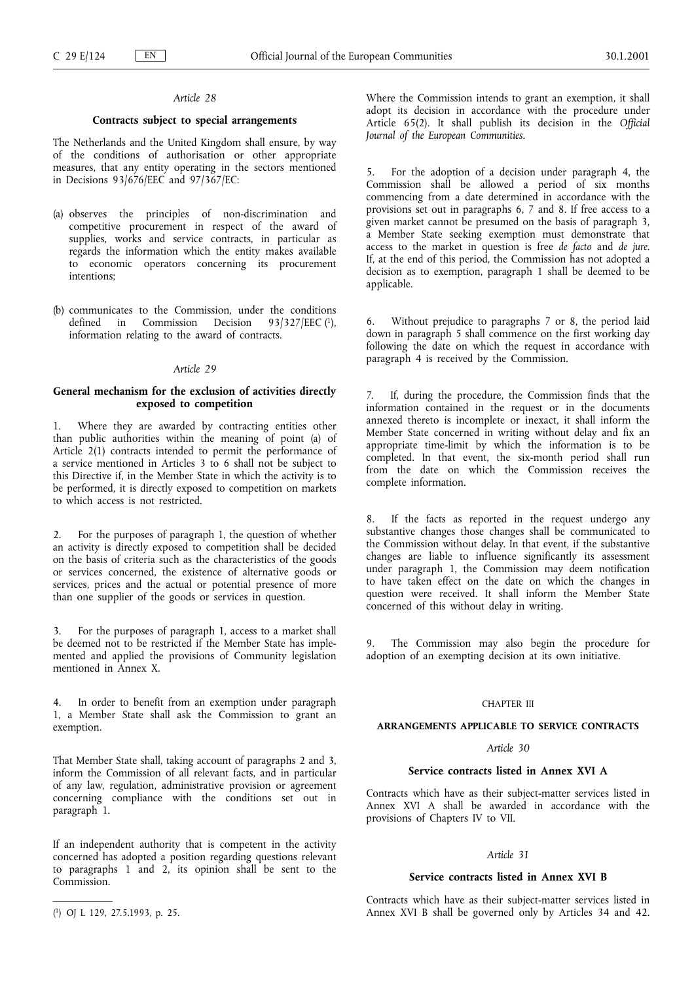### Contracts subject to special arrangements

The Netherlands and the United Kingdom shall ensure, by way of the conditions of authorisation or other appropriate measures, that any entity operating in the sectors mentioned in Decisions 93/676/EEC and 97/367/EC:

- (a) observes the principles of non-discrimination and competitive procurement in respect of the award of supplies, works and service contracts, in particular as regards the information which the entity makes available to economic operators concerning its procurement intentions;
- (b) communicates to the Commission, under the conditions defined in Commission Decision 93/327/EEC (1), information relating to the award of contracts.

#### Article 29

### General mechanism for the exclusion of activities directly exposed to competition

1. Where they are awarded by contracting entities other than public authorities within the meaning of point (a) of Article 2(1) contracts intended to permit the performance of a service mentioned in Articles 3 to 6 shall not be subject to this Directive if, in the Member State in which the activity is to be performed, it is directly exposed to competition on markets to which access is not restricted.

2. For the purposes of paragraph 1, the question of whether an activity is directly exposed to competition shall be decided on the basis of criteria such as the characteristics of the goods or services concerned, the existence of alternative goods or services, prices and the actual or potential presence of more than one supplier of the goods or services in question.

For the purposes of paragraph 1, access to a market shall be deemed not to be restricted if the Member State has implemented and applied the provisions of Community legislation mentioned in Annex X.

4. In order to benefit from an exemption under paragraph 1, a Member State shall ask the Commission to grant an exemption.

That Member State shall, taking account of paragraphs 2 and 3, inform the Commission of all relevant facts, and in particular of any law, regulation, administrative provision or agreement concerning compliance with the conditions set out in paragraph 1.

If an independent authority that is competent in the activity concerned has adopted a position regarding questions relevant to paragraphs 1 and 2, its opinion shall be sent to the Commission.

Where the Commission intends to grant an exemption, it shall adopt its decision in accordance with the procedure under Article 65(2). It shall publish its decision in the Official Journal of the European Communities.

5. For the adoption of a decision under paragraph 4, the Commission shall be allowed a period of six months commencing from a date determined in accordance with the provisions set out in paragraphs 6, 7 and 8. If free access to a given market cannot be presumed on the basis of paragraph 3, a Member State seeking exemption must demonstrate that access to the market in question is free de facto and de jure. If, at the end of this period, the Commission has not adopted a decision as to exemption, paragraph 1 shall be deemed to be applicable.

6. Without prejudice to paragraphs 7 or 8, the period laid down in paragraph 5 shall commence on the first working day following the date on which the request in accordance with paragraph 4 is received by the Commission.

7. If, during the procedure, the Commission finds that the information contained in the request or in the documents annexed thereto is incomplete or inexact, it shall inform the Member State concerned in writing without delay and fix an appropriate time-limit by which the information is to be completed. In that event, the six-month period shall run from the date on which the Commission receives the complete information.

8. If the facts as reported in the request undergo any substantive changes those changes shall be communicated to the Commission without delay. In that event, if the substantive changes are liable to influence significantly its assessment under paragraph 1, the Commission may deem notification to have taken effect on the date on which the changes in question were received. It shall inform the Member State concerned of this without delay in writing.

9. The Commission may also begin the procedure for adoption of an exempting decision at its own initiative.

#### CHAPTER III

### ARRANGEMENTS APPLICABLE TO SERVICE CONTRACTS

# Article 30

# Service contracts listed in Annex XVI A

Contracts which have as their subject-matter services listed in Annex XVI A shall be awarded in accordance with the provisions of Chapters IV to VII.

### Article 31

### Service contracts listed in Annex XVI B

Contracts which have as their subject-matter services listed in Annex XVI B shall be governed only by Articles 34 and 42.

<sup>(</sup> 1) OJ L 129, 27.5.1993, p. 25.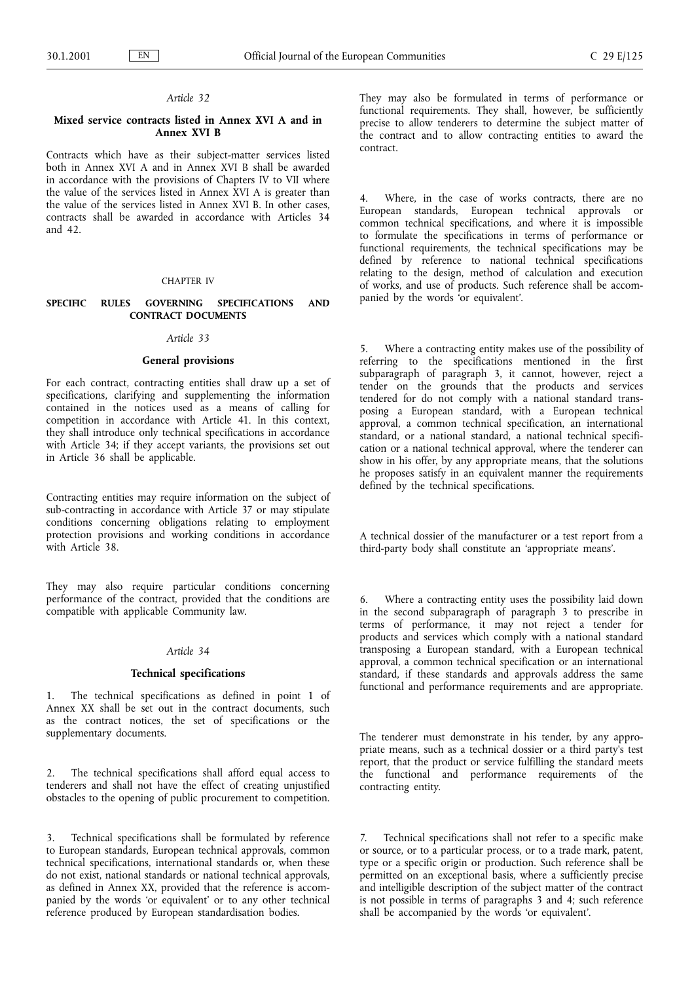### Mixed service contracts listed in Annex XVI A and in Annex XVI B

Contracts which have as their subject-matter services listed both in Annex XVI A and in Annex XVI B shall be awarded in accordance with the provisions of Chapters IV to VII where the value of the services listed in Annex XVI A is greater than the value of the services listed in Annex XVI B. In other cases, contracts shall be awarded in accordance with Articles 34 and 42.

#### CHAPTER IV

### SPECIFIC RULES GOVERNING SPECIFICATIONS AND CONTRACT DOCUMENTS

# Article 33

### General provisions

For each contract, contracting entities shall draw up a set of specifications, clarifying and supplementing the information contained in the notices used as a means of calling for competition in accordance with Article 41. In this context, they shall introduce only technical specifications in accordance with Article 34; if they accept variants, the provisions set out in Article 36 shall be applicable.

Contracting entities may require information on the subject of sub-contracting in accordance with Article 37 or may stipulate conditions concerning obligations relating to employment protection provisions and working conditions in accordance with Article 38.

They may also require particular conditions concerning performance of the contract, provided that the conditions are compatible with applicable Community law.

#### Article 34

### Technical specifications

1. The technical specifications as defined in point 1 of Annex XX shall be set out in the contract documents, such as the contract notices, the set of specifications or the supplementary documents.

2. The technical specifications shall afford equal access to tenderers and shall not have the effect of creating unjustified obstacles to the opening of public procurement to competition.

3. Technical specifications shall be formulated by reference to European standards, European technical approvals, common technical specifications, international standards or, when these do not exist, national standards or national technical approvals, as defined in Annex XX, provided that the reference is accompanied by the words 'or equivalent' or to any other technical reference produced by European standardisation bodies.

They may also be formulated in terms of performance or functional requirements. They shall, however, be sufficiently precise to allow tenderers to determine the subject matter of the contract and to allow contracting entities to award the contract.

4. Where, in the case of works contracts, there are no European standards, European technical approvals or common technical specifications, and where it is impossible to formulate the specifications in terms of performance or functional requirements, the technical specifications may be defined by reference to national technical specifications relating to the design, method of calculation and execution of works, and use of products. Such reference shall be accompanied by the words 'or equivalent'.

5. Where a contracting entity makes use of the possibility of referring to the specifications mentioned in the first subparagraph of paragraph 3, it cannot, however, reject a tender on the grounds that the products and services tendered for do not comply with a national standard transposing a European standard, with a European technical approval, a common technical specification, an international standard, or a national standard, a national technical specification or a national technical approval, where the tenderer can show in his offer, by any appropriate means, that the solutions he proposes satisfy in an equivalent manner the requirements defined by the technical specifications.

A technical dossier of the manufacturer or a test report from a third-party body shall constitute an 'appropriate means'.

6. Where a contracting entity uses the possibility laid down in the second subparagraph of paragraph 3 to prescribe in terms of performance, it may not reject a tender for products and services which comply with a national standard transposing a European standard, with a European technical approval, a common technical specification or an international standard, if these standards and approvals address the same functional and performance requirements and are appropriate.

The tenderer must demonstrate in his tender, by any appropriate means, such as a technical dossier or a third party's test report, that the product or service fulfilling the standard meets the functional and performance requirements of the contracting entity.

7. Technical specifications shall not refer to a specific make or source, or to a particular process, or to a trade mark, patent, type or a specific origin or production. Such reference shall be permitted on an exceptional basis, where a sufficiently precise and intelligible description of the subject matter of the contract is not possible in terms of paragraphs 3 and 4; such reference shall be accompanied by the words 'or equivalent'.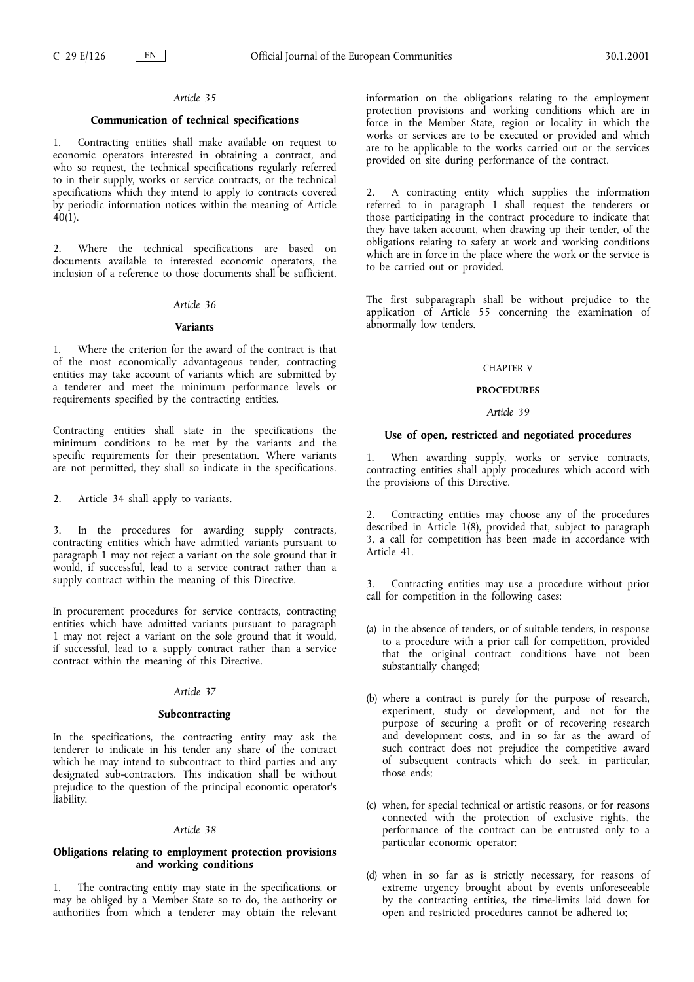### Communication of technical specifications

Contracting entities shall make available on request to economic operators interested in obtaining a contract, and who so request, the technical specifications regularly referred to in their supply, works or service contracts, or the technical specifications which they intend to apply to contracts covered by periodic information notices within the meaning of Article 40(1).

2. Where the technical specifications are based on documents available to interested economic operators, the inclusion of a reference to those documents shall be sufficient.

# Article 36

#### Variants

1. Where the criterion for the award of the contract is that of the most economically advantageous tender, contracting entities may take account of variants which are submitted by a tenderer and meet the minimum performance levels or requirements specified by the contracting entities.

Contracting entities shall state in the specifications the minimum conditions to be met by the variants and the specific requirements for their presentation. Where variants are not permitted, they shall so indicate in the specifications.

2. Article 34 shall apply to variants.

3. In the procedures for awarding supply contracts, contracting entities which have admitted variants pursuant to paragraph 1 may not reject a variant on the sole ground that it would, if successful, lead to a service contract rather than a supply contract within the meaning of this Directive.

In procurement procedures for service contracts, contracting entities which have admitted variants pursuant to paragraph 1 may not reject a variant on the sole ground that it would, if successful, lead to a supply contract rather than a service contract within the meaning of this Directive.

### Article 37

### Subcontracting

In the specifications, the contracting entity may ask the tenderer to indicate in his tender any share of the contract which he may intend to subcontract to third parties and any designated sub-contractors. This indication shall be without prejudice to the question of the principal economic operator's liability.

#### Article 38

### Obligations relating to employment protection provisions and working conditions

1. The contracting entity may state in the specifications, or may be obliged by a Member State so to do, the authority or authorities from which a tenderer may obtain the relevant information on the obligations relating to the employment protection provisions and working conditions which are in force in the Member State, region or locality in which the works or services are to be executed or provided and which are to be applicable to the works carried out or the services provided on site during performance of the contract.

2. A contracting entity which supplies the information referred to in paragraph 1 shall request the tenderers or those participating in the contract procedure to indicate that they have taken account, when drawing up their tender, of the obligations relating to safety at work and working conditions which are in force in the place where the work or the service is to be carried out or provided.

The first subparagraph shall be without prejudice to the application of Article 55 concerning the examination of abnormally low tenders.

#### CHAPTER V

### **PROCEDURES**

### Article 39

### Use of open, restricted and negotiated procedures

1. When awarding supply, works or service contracts, contracting entities shall apply procedures which accord with the provisions of this Directive.

2. Contracting entities may choose any of the procedures described in Article 1(8), provided that, subject to paragraph 3, a call for competition has been made in accordance with Article 41.

3. Contracting entities may use a procedure without prior call for competition in the following cases:

- (a) in the absence of tenders, or of suitable tenders, in response to a procedure with a prior call for competition, provided that the original contract conditions have not been substantially changed;
- (b) where a contract is purely for the purpose of research, experiment, study or development, and not for the purpose of securing a profit or of recovering research and development costs, and in so far as the award of such contract does not prejudice the competitive award of subsequent contracts which do seek, in particular, those ends;
- (c) when, for special technical or artistic reasons, or for reasons connected with the protection of exclusive rights, the performance of the contract can be entrusted only to a particular economic operator;
- (d) when in so far as is strictly necessary, for reasons of extreme urgency brought about by events unforeseeable by the contracting entities, the time-limits laid down for open and restricted procedures cannot be adhered to;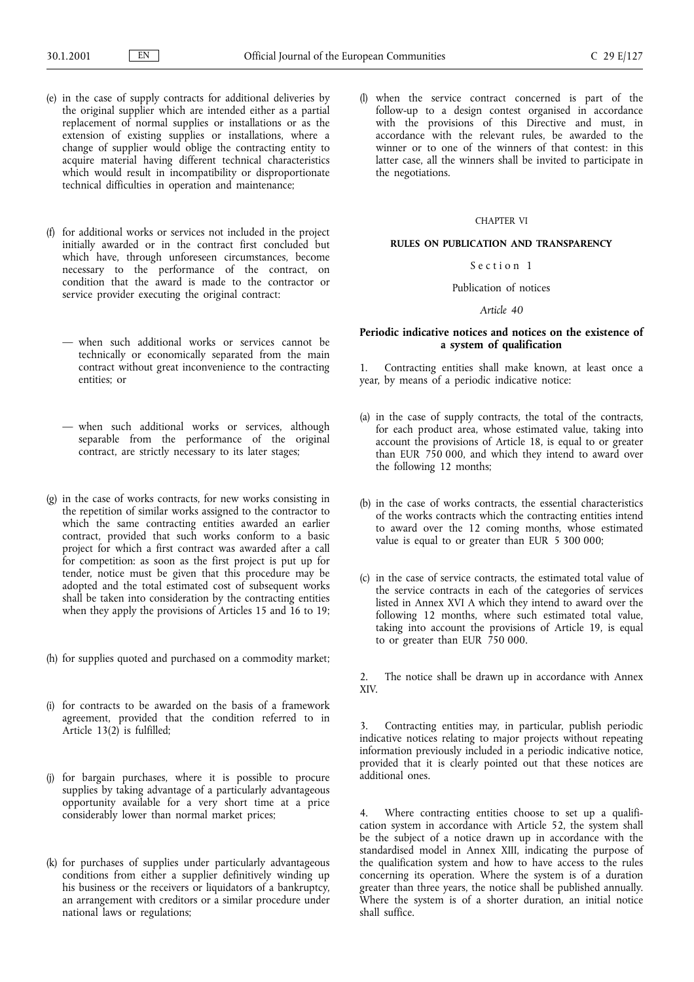- (e) in the case of supply contracts for additional deliveries by the original supplier which are intended either as a partial replacement of normal supplies or installations or as the extension of existing supplies or installations, where a change of supplier would oblige the contracting entity to acquire material having different technical characteristics which would result in incompatibility or disproportionate technical difficulties in operation and maintenance;
- (f) for additional works or services not included in the project initially awarded or in the contract first concluded but which have, through unforeseen circumstances, become necessary to the performance of the contract, on condition that the award is made to the contractor or service provider executing the original contract:
	- when such additional works or services cannot be technically or economically separated from the main contract without great inconvenience to the contracting entities; or
	- when such additional works or services, although separable from the performance of the original contract, are strictly necessary to its later stages;
- (g) in the case of works contracts, for new works consisting in the repetition of similar works assigned to the contractor to which the same contracting entities awarded an earlier contract, provided that such works conform to a basic project for which a first contract was awarded after a call for competition: as soon as the first project is put up for tender, notice must be given that this procedure may be adopted and the total estimated cost of subsequent works shall be taken into consideration by the contracting entities when they apply the provisions of Articles 15 and 16 to 19;
- (h) for supplies quoted and purchased on a commodity market;
- (i) for contracts to be awarded on the basis of a framework agreement, provided that the condition referred to in Article 13(2) is fulfilled;
- (j) for bargain purchases, where it is possible to procure supplies by taking advantage of a particularly advantageous opportunity available for a very short time at a price considerably lower than normal market prices;
- (k) for purchases of supplies under particularly advantageous conditions from either a supplier definitively winding up his business or the receivers or liquidators of a bankruptcy, an arrangement with creditors or a similar procedure under national laws or regulations;

(l) when the service contract concerned is part of the follow-up to a design contest organised in accordance with the provisions of this Directive and must, in accordance with the relevant rules, be awarded to the winner or to one of the winners of that contest: in this latter case, all the winners shall be invited to participate in the negotiations.

### CHAPTER VI

### RULES ON PUBLICATION AND TRANSPARENCY

Section 1

# Publication of notices

Article 40

### Periodic indicative notices and notices on the existence of a system of qualification

1. Contracting entities shall make known, at least once a year, by means of a periodic indicative notice:

- (a) in the case of supply contracts, the total of the contracts, for each product area, whose estimated value, taking into account the provisions of Article 18, is equal to or greater than EUR 750 000, and which they intend to award over the following 12 months;
- (b) in the case of works contracts, the essential characteristics of the works contracts which the contracting entities intend to award over the 12 coming months, whose estimated value is equal to or greater than EUR 5 300 000;
- (c) in the case of service contracts, the estimated total value of the service contracts in each of the categories of services listed in Annex XVI A which they intend to award over the following 12 months, where such estimated total value, taking into account the provisions of Article 19, is equal to or greater than EUR  $750000$ .

2. The notice shall be drawn up in accordance with Annex XIV.

3. Contracting entities may, in particular, publish periodic indicative notices relating to major projects without repeating information previously included in a periodic indicative notice, provided that it is clearly pointed out that these notices are additional ones.

4. Where contracting entities choose to set up a qualification system in accordance with Article 52, the system shall be the subject of a notice drawn up in accordance with the standardised model in Annex XIII, indicating the purpose of the qualification system and how to have access to the rules concerning its operation. Where the system is of a duration greater than three years, the notice shall be published annually. Where the system is of a shorter duration, an initial notice shall suffice.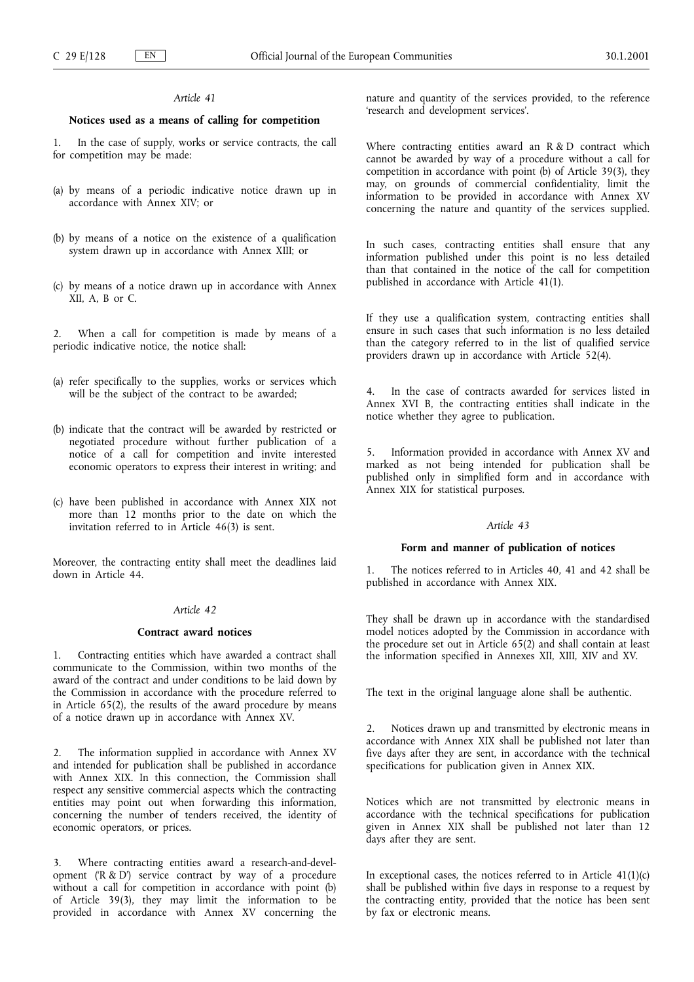# Notices used as a means of calling for competition

In the case of supply, works or service contracts, the call for competition may be made:

- (a) by means of a periodic indicative notice drawn up in accordance with Annex XIV; or
- (b) by means of a notice on the existence of a qualification system drawn up in accordance with Annex XIII; or
- (c) by means of a notice drawn up in accordance with Annex XII, A, B or C.

When a call for competition is made by means of a periodic indicative notice, the notice shall:

- (a) refer specifically to the supplies, works or services which will be the subject of the contract to be awarded;
- (b) indicate that the contract will be awarded by restricted or negotiated procedure without further publication of a notice of a call for competition and invite interested economic operators to express their interest in writing; and
- (c) have been published in accordance with Annex XIX not more than 12 months prior to the date on which the invitation referred to in Article 46(3) is sent.

Moreover, the contracting entity shall meet the deadlines laid down in Article 44.

# Article 42

### Contract award notices

1. Contracting entities which have awarded a contract shall communicate to the Commission, within two months of the award of the contract and under conditions to be laid down by the Commission in accordance with the procedure referred to in Article 65(2), the results of the award procedure by means of a notice drawn up in accordance with Annex XV.

2. The information supplied in accordance with Annex XV and intended for publication shall be published in accordance with Annex XIX. In this connection, the Commission shall respect any sensitive commercial aspects which the contracting entities may point out when forwarding this information, concerning the number of tenders received, the identity of economic operators, or prices.

Where contracting entities award a research-and-development  $(R & D')$  service contract by way of a procedure without a call for competition in accordance with point (b) of Article 39(3), they may limit the information to be provided in accordance with Annex XV concerning the nature and quantity of the services provided, to the reference 'research and development services'.

Where contracting entities award an R & D contract which cannot be awarded by way of a procedure without a call for competition in accordance with point (b) of Article 39(3), they may, on grounds of commercial confidentiality, limit the information to be provided in accordance with Annex XV concerning the nature and quantity of the services supplied.

In such cases, contracting entities shall ensure that any information published under this point is no less detailed than that contained in the notice of the call for competition published in accordance with Article 41(1).

If they use a qualification system, contracting entities shall ensure in such cases that such information is no less detailed than the category referred to in the list of qualified service providers drawn up in accordance with Article 52(4).

In the case of contracts awarded for services listed in Annex XVI B, the contracting entities shall indicate in the notice whether they agree to publication.

5. Information provided in accordance with Annex XV and marked as not being intended for publication shall be published only in simplified form and in accordance with Annex XIX for statistical purposes.

# Article 43

# Form and manner of publication of notices

1. The notices referred to in Articles 40, 41 and 42 shall be published in accordance with Annex XIX.

They shall be drawn up in accordance with the standardised model notices adopted by the Commission in accordance with the procedure set out in Article 65(2) and shall contain at least the information specified in Annexes XII, XIII, XIV and XV.

The text in the original language alone shall be authentic.

2. Notices drawn up and transmitted by electronic means in accordance with Annex XIX shall be published not later than five days after they are sent, in accordance with the technical specifications for publication given in Annex XIX.

Notices which are not transmitted by electronic means in accordance with the technical specifications for publication given in Annex XIX shall be published not later than 12 days after they are sent.

In exceptional cases, the notices referred to in Article  $41(1)(c)$ shall be published within five days in response to a request by the contracting entity, provided that the notice has been sent by fax or electronic means.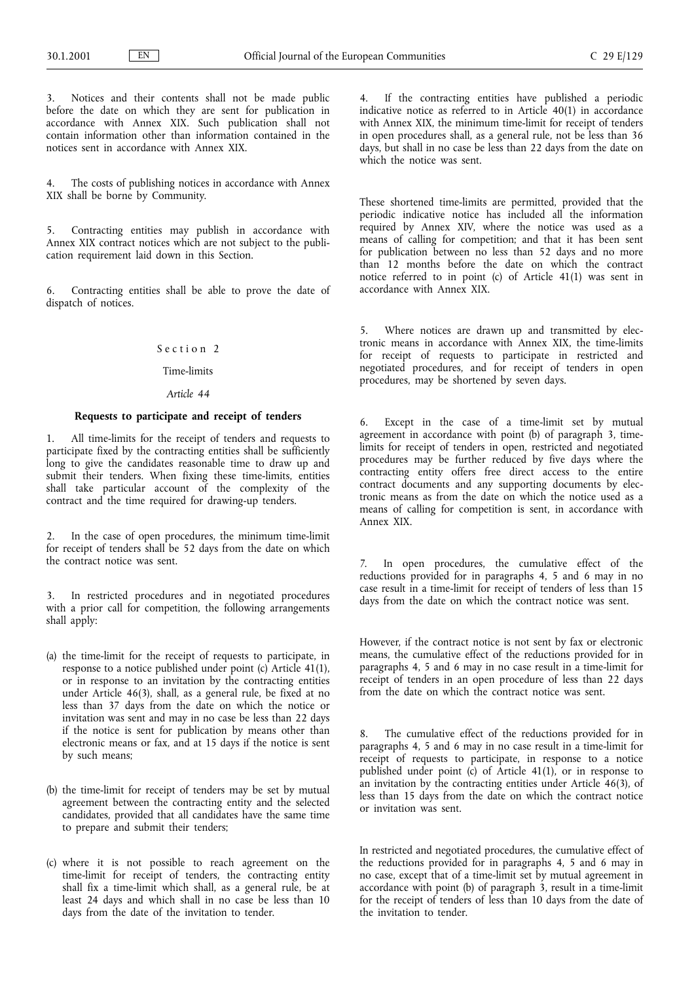3. Notices and their contents shall not be made public before the date on which they are sent for publication in accordance with Annex XIX. Such publication shall not contain information other than information contained in the notices sent in accordance with Annex XIX.

4. The costs of publishing notices in accordance with Annex XIX shall be borne by Community.

5. Contracting entities may publish in accordance with Annex XIX contract notices which are not subject to the publication requirement laid down in this Section.

6. Contracting entities shall be able to prove the date of dispatch of notices.

### Section 2

### Time-limits

# Article 44

# Requests to participate and receipt of tenders

1. All time-limits for the receipt of tenders and requests to participate fixed by the contracting entities shall be sufficiently long to give the candidates reasonable time to draw up and submit their tenders. When fixing these time-limits, entities shall take particular account of the complexity of the contract and the time required for drawing-up tenders.

2. In the case of open procedures, the minimum time-limit for receipt of tenders shall be 52 days from the date on which the contract notice was sent.

3. In restricted procedures and in negotiated procedures with a prior call for competition, the following arrangements shall apply:

- (a) the time-limit for the receipt of requests to participate, in response to a notice published under point (c) Article 41(1), or in response to an invitation by the contracting entities under Article 46(3), shall, as a general rule, be fixed at no less than 37 days from the date on which the notice or invitation was sent and may in no case be less than 22 days if the notice is sent for publication by means other than electronic means or fax, and at 15 days if the notice is sent by such means;
- (b) the time-limit for receipt of tenders may be set by mutual agreement between the contracting entity and the selected candidates, provided that all candidates have the same time to prepare and submit their tenders;
- (c) where it is not possible to reach agreement on the time-limit for receipt of tenders, the contracting entity shall fix a time-limit which shall, as a general rule, be at least 24 days and which shall in no case be less than 10 days from the date of the invitation to tender.

If the contracting entities have published a periodic indicative notice as referred to in Article 40(1) in accordance with Annex XIX, the minimum time-limit for receipt of tenders in open procedures shall, as a general rule, not be less than 36 days, but shall in no case be less than 22 days from the date on which the notice was sent.

These shortened time-limits are permitted, provided that the periodic indicative notice has included all the information required by Annex XIV, where the notice was used as a means of calling for competition; and that it has been sent for publication between no less than 52 days and no more than 12 months before the date on which the contract notice referred to in point (c) of Article 41(1) was sent in accordance with Annex XIX.

5. Where notices are drawn up and transmitted by electronic means in accordance with Annex XIX, the time-limits for receipt of requests to participate in restricted and negotiated procedures, and for receipt of tenders in open procedures, may be shortened by seven days.

6. Except in the case of a time-limit set by mutual agreement in accordance with point (b) of paragraph 3, timelimits for receipt of tenders in open, restricted and negotiated procedures may be further reduced by five days where the contracting entity offers free direct access to the entire contract documents and any supporting documents by electronic means as from the date on which the notice used as a means of calling for competition is sent, in accordance with Annex XIX.

7. In open procedures, the cumulative effect of the reductions provided for in paragraphs 4, 5 and 6 may in no case result in a time-limit for receipt of tenders of less than 15 days from the date on which the contract notice was sent.

However, if the contract notice is not sent by fax or electronic means, the cumulative effect of the reductions provided for in paragraphs 4, 5 and 6 may in no case result in a time-limit for receipt of tenders in an open procedure of less than 22 days from the date on which the contract notice was sent.

8. The cumulative effect of the reductions provided for in paragraphs 4, 5 and 6 may in no case result in a time-limit for receipt of requests to participate, in response to a notice published under point  $(c)$  of Article 41(1), or in response to an invitation by the contracting entities under Article 46(3), of less than 15 days from the date on which the contract notice or invitation was sent.

In restricted and negotiated procedures, the cumulative effect of the reductions provided for in paragraphs 4, 5 and 6 may in no case, except that of a time-limit set by mutual agreement in accordance with point (b) of paragraph  $\overline{3}$ , result in a time-limit for the receipt of tenders of less than 10 days from the date of the invitation to tender.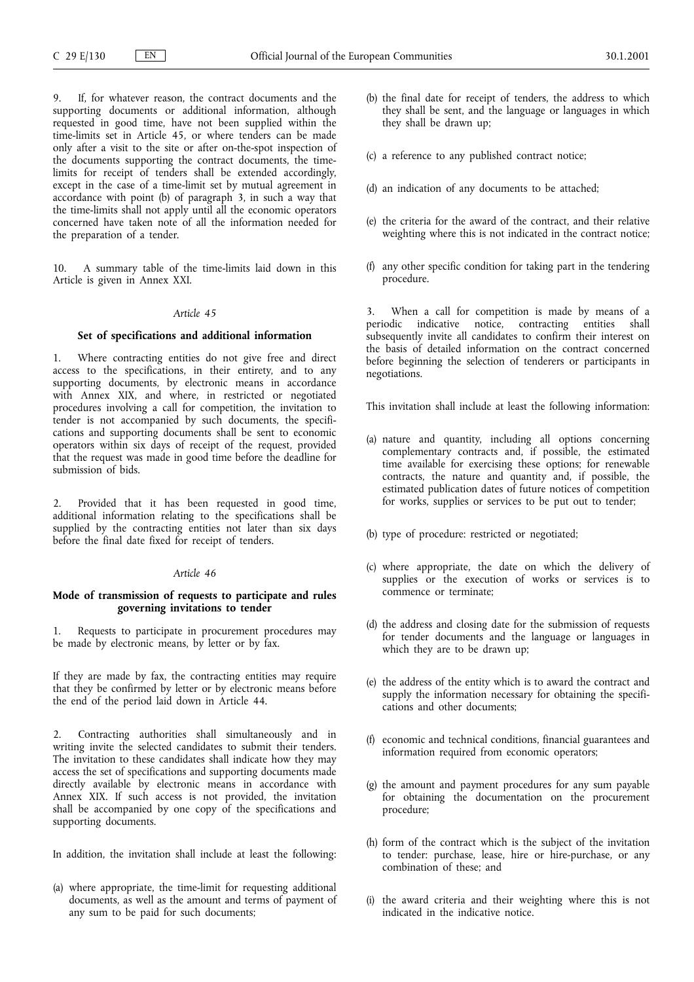If, for whatever reason, the contract documents and the supporting documents or additional information, although requested in good time, have not been supplied within the time-limits set in Article 45, or where tenders can be made only after a visit to the site or after on-the-spot inspection of the documents supporting the contract documents, the timelimits for receipt of tenders shall be extended accordingly, except in the case of a time-limit set by mutual agreement in accordance with point (b) of paragraph  $3$ , in such a way that the time-limits shall not apply until all the economic operators concerned have taken note of all the information needed for the preparation of a tender.

10. A summary table of the time-limits laid down in this Article is given in Annex XXI.

## Article 45

### Set of specifications and additional information

1. Where contracting entities do not give free and direct access to the specifications, in their entirety, and to any supporting documents, by electronic means in accordance with Annex XIX, and where, in restricted or negotiated procedures involving a call for competition, the invitation to tender is not accompanied by such documents, the specifications and supporting documents shall be sent to economic operators within six days of receipt of the request, provided that the request was made in good time before the deadline for submission of bids.

Provided that it has been requested in good time, additional information relating to the specifications shall be supplied by the contracting entities not later than six days before the final date fixed for receipt of tenders.

# Article 46

# Mode of transmission of requests to participate and rules governing invitations to tender

Requests to participate in procurement procedures may be made by electronic means, by letter or by fax.

If they are made by fax, the contracting entities may require that they be confirmed by letter or by electronic means before the end of the period laid down in Article 44.

2. Contracting authorities shall simultaneously and in writing invite the selected candidates to submit their tenders. The invitation to these candidates shall indicate how they may access the set of specifications and supporting documents made directly available by electronic means in accordance with Annex XIX. If such access is not provided, the invitation shall be accompanied by one copy of the specifications and supporting documents.

In addition, the invitation shall include at least the following:

(a) where appropriate, the time-limit for requesting additional documents, as well as the amount and terms of payment of any sum to be paid for such documents;

- (b) the final date for receipt of tenders, the address to which they shall be sent, and the language or languages in which they shall be drawn up;
- (c) a reference to any published contract notice;
- (d) an indication of any documents to be attached;
- (e) the criteria for the award of the contract, and their relative weighting where this is not indicated in the contract notice;
- (f) any other specific condition for taking part in the tendering procedure.

3. When a call for competition is made by means of a periodic indicative notice, contracting entities shall subsequently invite all candidates to confirm their interest on the basis of detailed information on the contract concerned before beginning the selection of tenderers or participants in negotiations.

This invitation shall include at least the following information:

- (a) nature and quantity, including all options concerning complementary contracts and, if possible, the estimated time available for exercising these options; for renewable contracts, the nature and quantity and, if possible, the estimated publication dates of future notices of competition for works, supplies or services to be put out to tender;
- (b) type of procedure: restricted or negotiated;
- (c) where appropriate, the date on which the delivery of supplies or the execution of works or services is to commence or terminate;
- (d) the address and closing date for the submission of requests for tender documents and the language or languages in which they are to be drawn up;
- (e) the address of the entity which is to award the contract and supply the information necessary for obtaining the specifications and other documents;
- (f) economic and technical conditions, financial guarantees and information required from economic operators;
- (g) the amount and payment procedures for any sum payable for obtaining the documentation on the procurement procedure;
- (h) form of the contract which is the subject of the invitation to tender: purchase, lease, hire or hire-purchase, or any combination of these; and
- (i) the award criteria and their weighting where this is not indicated in the indicative notice.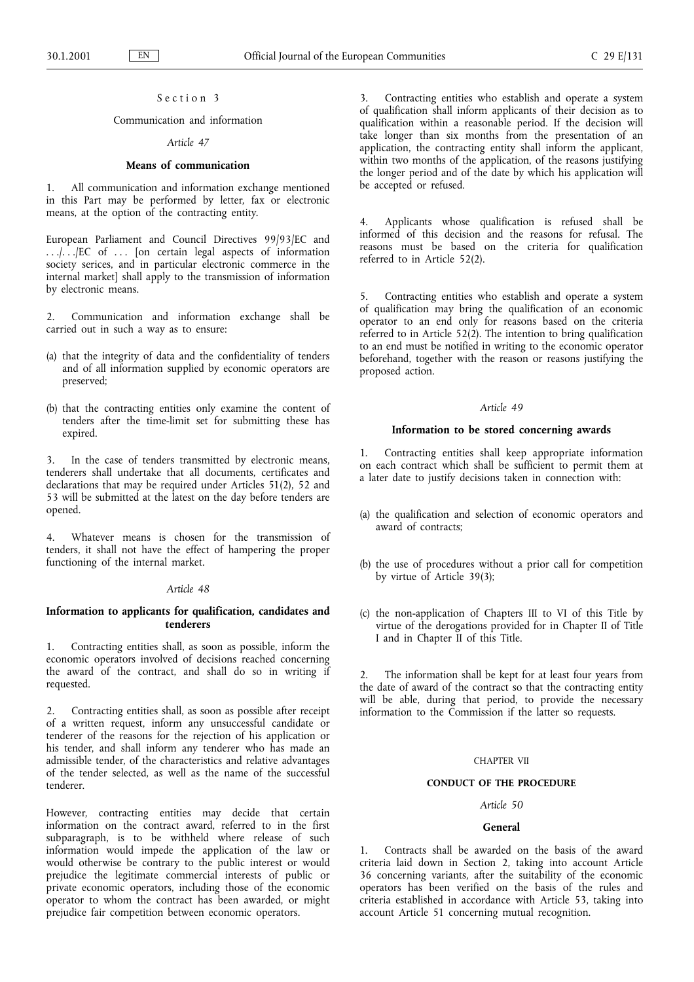# Section 3

### Communication and information

#### Article 47

# Means of communication

1. All communication and information exchange mentioned in this Part may be performed by letter, fax or electronic means, at the option of the contracting entity.

European Parliament and Council Directives 99/93/EC and . . ./. . ./EC of . . . [on certain legal aspects of information society serices, and in particular electronic commerce in the internal market] shall apply to the transmission of information by electronic means.

2. Communication and information exchange shall be carried out in such a way as to ensure:

- (a) that the integrity of data and the confidentiality of tenders and of all information supplied by economic operators are preserved;
- (b) that the contracting entities only examine the content of tenders after the time-limit set for submitting these has expired.

3. In the case of tenders transmitted by electronic means, tenderers shall undertake that all documents, certificates and declarations that may be required under Articles 51(2), 52 and 53 will be submitted at the latest on the day before tenders are opened.

4. Whatever means is chosen for the transmission of tenders, it shall not have the effect of hampering the proper functioning of the internal market.

#### Article 48

# Information to applicants for qualification, candidates and tenderers

1. Contracting entities shall, as soon as possible, inform the economic operators involved of decisions reached concerning the award of the contract, and shall do so in writing if requested.

2. Contracting entities shall, as soon as possible after receipt of a written request, inform any unsuccessful candidate or tenderer of the reasons for the rejection of his application or his tender, and shall inform any tenderer who has made an admissible tender, of the characteristics and relative advantages of the tender selected, as well as the name of the successful tenderer.

However, contracting entities may decide that certain information on the contract award, referred to in the first subparagraph, is to be withheld where release of such information would impede the application of the law or would otherwise be contrary to the public interest or would prejudice the legitimate commercial interests of public or private economic operators, including those of the economic operator to whom the contract has been awarded, or might prejudice fair competition between economic operators.

Contracting entities who establish and operate a system of qualification shall inform applicants of their decision as to qualification within a reasonable period. If the decision will take longer than six months from the presentation of an application, the contracting entity shall inform the applicant, within two months of the application, of the reasons justifying the longer period and of the date by which his application will be accepted or refused.

4. Applicants whose qualification is refused shall be informed of this decision and the reasons for refusal. The reasons must be based on the criteria for qualification referred to in Article 52(2).

5. Contracting entities who establish and operate a system of qualification may bring the qualification of an economic operator to an end only for reasons based on the criteria referred to in Article 52(2). The intention to bring qualification to an end must be notified in writing to the economic operator beforehand, together with the reason or reasons justifying the proposed action.

#### Article 49

# Information to be stored concerning awards

1. Contracting entities shall keep appropriate information on each contract which shall be sufficient to permit them at a later date to justify decisions taken in connection with:

- (a) the qualification and selection of economic operators and award of contracts;
- (b) the use of procedures without a prior call for competition by virtue of Article 39(3);
- (c) the non-application of Chapters III to VI of this Title by virtue of the derogations provided for in Chapter II of Title I and in Chapter II of this Title.

2. The information shall be kept for at least four years from the date of award of the contract so that the contracting entity will be able, during that period, to provide the necessary information to the Commission if the latter so requests.

# CHAPTER VII

#### CONDUCT OF THE PROCEDURE

### Article 50

#### General

1. Contracts shall be awarded on the basis of the award criteria laid down in Section 2, taking into account Article 36 concerning variants, after the suitability of the economic operators has been verified on the basis of the rules and criteria established in accordance with Article 53, taking into account Article 51 concerning mutual recognition.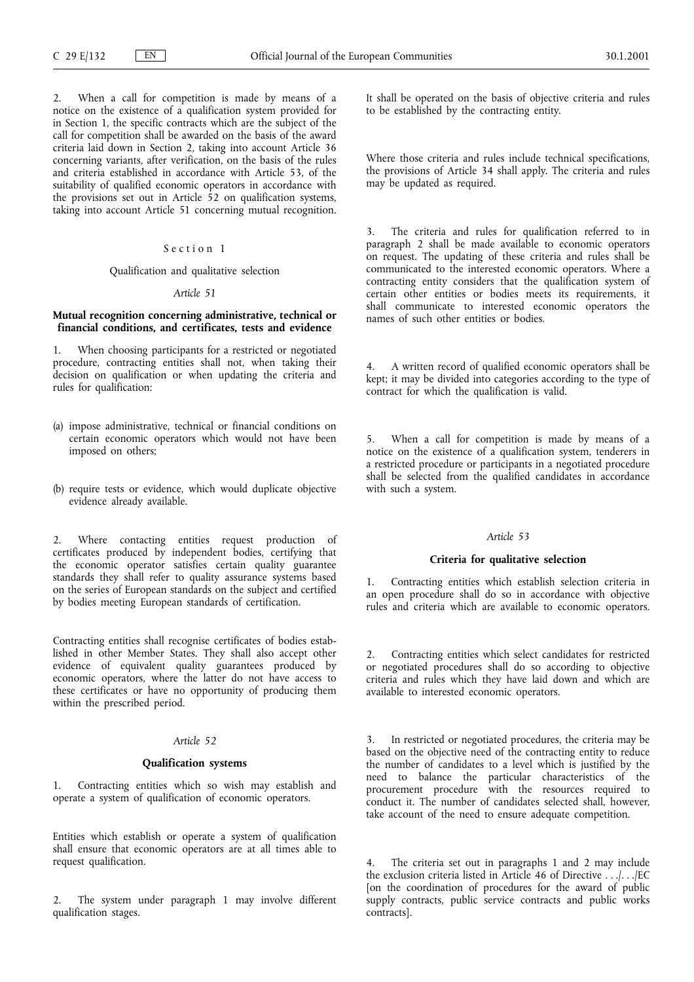When a call for competition is made by means of a notice on the existence of a qualification system provided for in Section 1, the specific contracts which are the subject of the call for competition shall be awarded on the basis of the award criteria laid down in Section 2, taking into account Article 36 concerning variants, after verification, on the basis of the rules and criteria established in accordance with Article 53, of the suitability of qualified economic operators in accordance with the provisions set out in Article  $52$  on qualification systems, taking into account Article 51 concerning mutual recognition.

### Section 1

#### Qualification and qualitative selection

#### Article 51

### Mutual recognition concerning administrative, technical or financial conditions, and certificates, tests and evidence

1. When choosing participants for a restricted or negotiated procedure, contracting entities shall not, when taking their decision on qualification or when updating the criteria and rules for qualification:

- (a) impose administrative, technical or financial conditions on certain economic operators which would not have been imposed on others;
- (b) require tests or evidence, which would duplicate objective evidence already available.

2. Where contacting entities request production of certificates produced by independent bodies, certifying that the economic operator satisfies certain quality guarantee standards they shall refer to quality assurance systems based on the series of European standards on the subject and certified by bodies meeting European standards of certification.

Contracting entities shall recognise certificates of bodies established in other Member States. They shall also accept other evidence of equivalent quality guarantees produced by economic operators, where the latter do not have access to these certificates or have no opportunity of producing them within the prescribed period.

# Article 52

### Qualification systems

1. Contracting entities which so wish may establish and operate a system of qualification of economic operators.

Entities which establish or operate a system of qualification shall ensure that economic operators are at all times able to request qualification.

The system under paragraph 1 may involve different qualification stages.

It shall be operated on the basis of objective criteria and rules to be established by the contracting entity.

Where those criteria and rules include technical specifications, the provisions of Article 34 shall apply. The criteria and rules may be updated as required.

The criteria and rules for qualification referred to in paragraph 2 shall be made available to economic operators on request. The updating of these criteria and rules shall be communicated to the interested economic operators. Where a contracting entity considers that the qualification system of certain other entities or bodies meets its requirements, it shall communicate to interested economic operators the names of such other entities or bodies.

4. A written record of qualified economic operators shall be kept; it may be divided into categories according to the type of contract for which the qualification is valid.

5. When a call for competition is made by means of a notice on the existence of a qualification system, tenderers in a restricted procedure or participants in a negotiated procedure shall be selected from the qualified candidates in accordance with such a system.

### Article 53

### Criteria for qualitative selection

1. Contracting entities which establish selection criteria in an open procedure shall do so in accordance with objective rules and criteria which are available to economic operators.

2. Contracting entities which select candidates for restricted or negotiated procedures shall do so according to objective criteria and rules which they have laid down and which are available to interested economic operators.

3. In restricted or negotiated procedures, the criteria may be based on the objective need of the contracting entity to reduce the number of candidates to a level which is justified by the need to balance the particular characteristics of the procurement procedure with the resources required to conduct it. The number of candidates selected shall, however, take account of the need to ensure adequate competition.

The criteria set out in paragraphs 1 and 2 may include the exclusion criteria listed in Article 46 of Directive . . ./. . ./EC [on the coordination of procedures for the award of public supply contracts, public service contracts and public works contracts].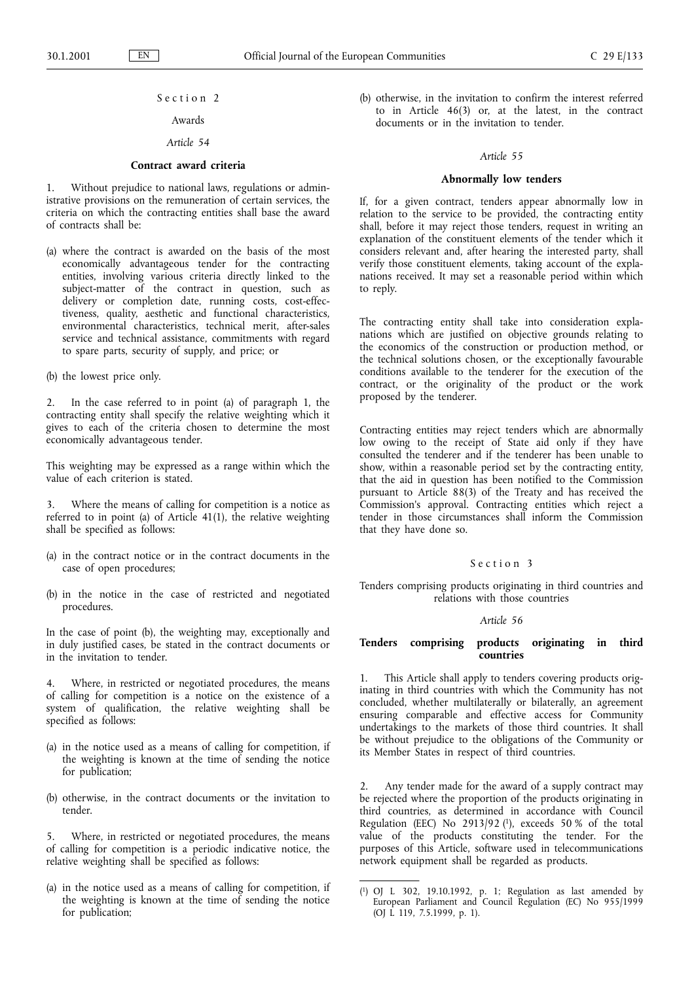# Awards

# Article 54

# Contract award criteria

1. Without prejudice to national laws, regulations or administrative provisions on the remuneration of certain services, the criteria on which the contracting entities shall base the award of contracts shall be:

- (a) where the contract is awarded on the basis of the most economically advantageous tender for the contracting entities, involving various criteria directly linked to the subject-matter of the contract in question, such as delivery or completion date, running costs, cost-effectiveness, quality, aesthetic and functional characteristics, environmental characteristics, technical merit, after-sales service and technical assistance, commitments with regard to spare parts, security of supply, and price; or
- (b) the lowest price only.

2. In the case referred to in point (a) of paragraph 1, the contracting entity shall specify the relative weighting which it gives to each of the criteria chosen to determine the most economically advantageous tender.

This weighting may be expressed as a range within which the value of each criterion is stated.

3. Where the means of calling for competition is a notice as referred to in point (a) of Article  $41(1)$ , the relative weighting shall be specified as follows:

- (a) in the contract notice or in the contract documents in the case of open procedures;
- (b) in the notice in the case of restricted and negotiated procedures.

In the case of point (b), the weighting may, exceptionally and in duly justified cases, be stated in the contract documents or in the invitation to tender.

Where, in restricted or negotiated procedures, the means of calling for competition is a notice on the existence of a system of qualification, the relative weighting shall be specified as follows:

- (a) in the notice used as a means of calling for competition, if the weighting is known at the time of sending the notice for publication;
- (b) otherwise, in the contract documents or the invitation to tender.

Where, in restricted or negotiated procedures, the means of calling for competition is a periodic indicative notice, the relative weighting shall be specified as follows:

(a) in the notice used as a means of calling for competition, if the weighting is known at the time of sending the notice for publication;

(b) otherwise, in the invitation to confirm the interest referred to in Article 46(3) or, at the latest, in the contract documents or in the invitation to tender.

### Article 55

### Abnormally low tenders

If, for a given contract, tenders appear abnormally low in relation to the service to be provided, the contracting entity shall, before it may reject those tenders, request in writing an explanation of the constituent elements of the tender which it considers relevant and, after hearing the interested party, shall verify those constituent elements, taking account of the explanations received. It may set a reasonable period within which to reply.

The contracting entity shall take into consideration explanations which are justified on objective grounds relating to the economics of the construction or production method, or the technical solutions chosen, or the exceptionally favourable conditions available to the tenderer for the execution of the contract, or the originality of the product or the work proposed by the tenderer.

Contracting entities may reject tenders which are abnormally low owing to the receipt of State aid only if they have consulted the tenderer and if the tenderer has been unable to show, within a reasonable period set by the contracting entity, that the aid in question has been notified to the Commission pursuant to Article 88(3) of the Treaty and has received the Commission's approval. Contracting entities which reject a tender in those circumstances shall inform the Commission that they have done so.

#### Section 3

Tenders comprising products originating in third countries and relations with those countries

### Article 56

### Tenders comprising products originating in third countries

1. This Article shall apply to tenders covering products originating in third countries with which the Community has not concluded, whether multilaterally or bilaterally, an agreement ensuring comparable and effective access for Community undertakings to the markets of those third countries. It shall be without prejudice to the obligations of the Community or its Member States in respect of third countries.

2. Any tender made for the award of a supply contract may be rejected where the proportion of the products originating in third countries, as determined in accordance with Council Regulation (EEC) No  $2913/92$  (1), exceeds 50 % of the total value of the products constituting the tender. For the purposes of this Article, software used in telecommunications network equipment shall be regarded as products.

Section<sub>2</sub>

<sup>(</sup> 1) OJ L 302, 19.10.1992, p. 1; Regulation as last amended by European Parliament and Council Regulation (EC) No 955/1999 (OJ L 119, 7.5.1999, p. 1).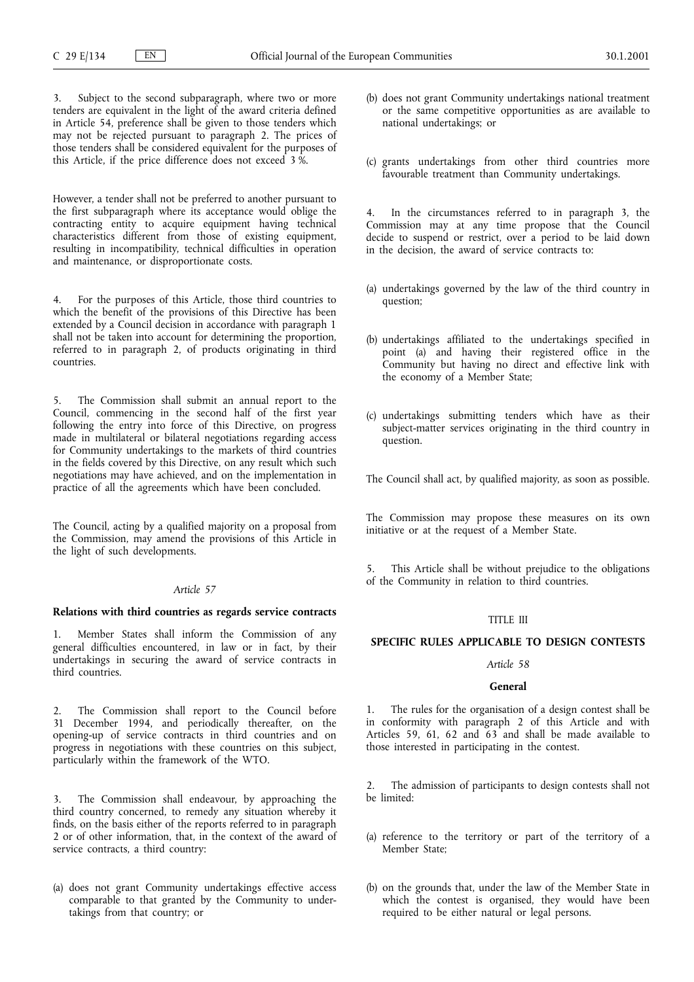Subject to the second subparagraph, where two or more tenders are equivalent in the light of the award criteria defined in Article 54, preference shall be given to those tenders which may not be rejected pursuant to paragraph 2. The prices of those tenders shall be considered equivalent for the purposes of this Article, if the price difference does not exceed  $3\%$ .

However, a tender shall not be preferred to another pursuant to the first subparagraph where its acceptance would oblige the contracting entity to acquire equipment having technical characteristics different from those of existing equipment, resulting in incompatibility, technical difficulties in operation and maintenance, or disproportionate costs.

4. For the purposes of this Article, those third countries to which the benefit of the provisions of this Directive has been extended by a Council decision in accordance with paragraph 1 shall not be taken into account for determining the proportion, referred to in paragraph 2, of products originating in third countries.

5. The Commission shall submit an annual report to the Council, commencing in the second half of the first year following the entry into force of this Directive, on progress made in multilateral or bilateral negotiations regarding access for Community undertakings to the markets of third countries in the fields covered by this Directive, on any result which such negotiations may have achieved, and on the implementation in practice of all the agreements which have been concluded.

The Council, acting by a qualified majority on a proposal from the Commission, may amend the provisions of this Article in the light of such developments.

#### Article 57

### Relations with third countries as regards service contracts

Member States shall inform the Commission of any general difficulties encountered, in law or in fact, by their undertakings in securing the award of service contracts in third countries.

2. The Commission shall report to the Council before 31 December 1994, and periodically thereafter, on the opening-up of service contracts in third countries and on progress in negotiations with these countries on this subject, particularly within the framework of the WTO.

3. The Commission shall endeavour, by approaching the third country concerned, to remedy any situation whereby it finds, on the basis either of the reports referred to in paragraph 2 or of other information, that, in the context of the award of service contracts, a third country:

(a) does not grant Community undertakings effective access comparable to that granted by the Community to undertakings from that country; or

- (b) does not grant Community undertakings national treatment or the same competitive opportunities as are available to national undertakings; or
- (c) grants undertakings from other third countries more favourable treatment than Community undertakings.

In the circumstances referred to in paragraph 3, the Commission may at any time propose that the Council decide to suspend or restrict, over a period to be laid down in the decision, the award of service contracts to:

- (a) undertakings governed by the law of the third country in question;
- (b) undertakings affiliated to the undertakings specified in point (a) and having their registered office in the Community but having no direct and effective link with the economy of a Member State;
- (c) undertakings submitting tenders which have as their subject-matter services originating in the third country in question.

The Council shall act, by qualified majority, as soon as possible.

The Commission may propose these measures on its own initiative or at the request of a Member State.

This Article shall be without prejudice to the obligations of the Community in relation to third countries.

# TITLE III

### SPECIFIC RULES APPLICABLE TO DESIGN CONTESTS

# Article 58

# General

1. The rules for the organisation of a design contest shall be in conformity with paragraph 2 of this Article and with Articles 59,  $61$ , 62 and  $63$  and shall be made available to those interested in participating in the contest.

The admission of participants to design contests shall not be limited:

- (a) reference to the territory or part of the territory of a Member State;
- (b) on the grounds that, under the law of the Member State in which the contest is organised, they would have been required to be either natural or legal persons.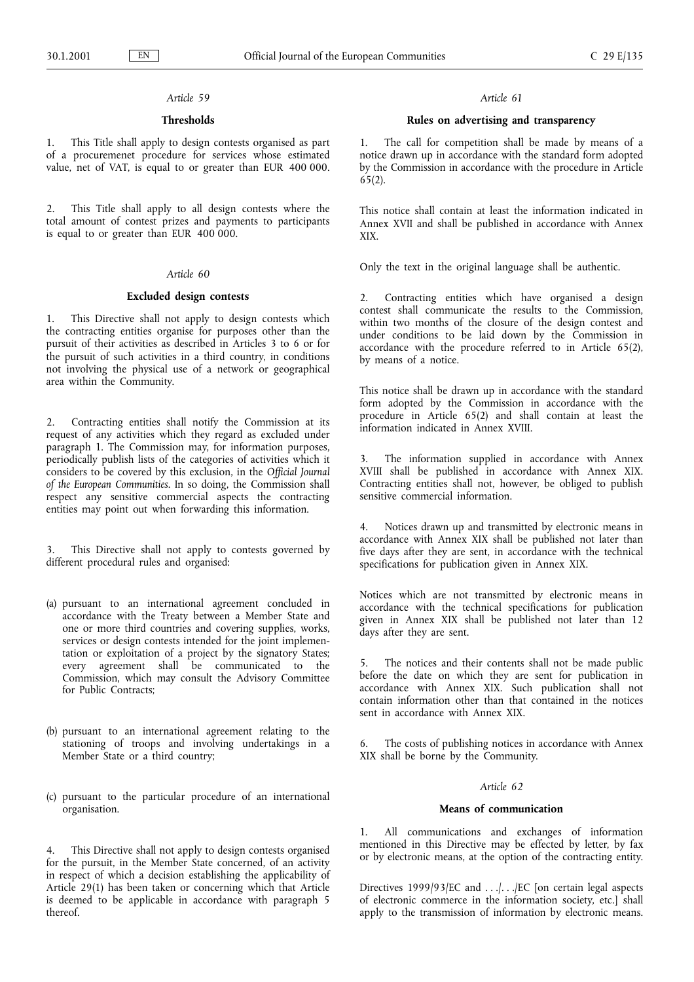# **Thresholds**

1. This Title shall apply to design contests organised as part of a procuremenet procedure for services whose estimated value, net of VAT, is equal to or greater than EUR 400 000.

This Title shall apply to all design contests where the total amount of contest prizes and payments to participants is equal to or greater than EUR  $400\,000$ .

### Article 60

#### Excluded design contests

1. This Directive shall not apply to design contests which the contracting entities organise for purposes other than the pursuit of their activities as described in Articles 3 to 6 or for the pursuit of such activities in a third country, in conditions not involving the physical use of a network or geographical area within the Community.

2. Contracting entities shall notify the Commission at its request of any activities which they regard as excluded under paragraph 1. The Commission may, for information purposes, periodically publish lists of the categories of activities which it considers to be covered by this exclusion, in the Official Journal of the European Communities. In so doing, the Commission shall respect any sensitive commercial aspects the contracting entities may point out when forwarding this information.

This Directive shall not apply to contests governed by different procedural rules and organised:

- (a) pursuant to an international agreement concluded in accordance with the Treaty between a Member State and one or more third countries and covering supplies, works, services or design contests intended for the joint implementation or exploitation of a project by the signatory States; every agreement shall be communicated to the Commission, which may consult the Advisory Committee for Public Contracts;
- (b) pursuant to an international agreement relating to the stationing of troops and involving undertakings in a Member State or a third country;
- (c) pursuant to the particular procedure of an international organisation.

4. This Directive shall not apply to design contests organised for the pursuit, in the Member State concerned, of an activity in respect of which a decision establishing the applicability of Article 29(1) has been taken or concerning which that Article is deemed to be applicable in accordance with paragraph 5 thereof.

### Article 61

# Rules on advertising and transparency

The call for competition shall be made by means of a notice drawn up in accordance with the standard form adopted by the Commission in accordance with the procedure in Article 65(2).

This notice shall contain at least the information indicated in Annex XVII and shall be published in accordance with Annex XIX.

Only the text in the original language shall be authentic.

2. Contracting entities which have organised a design contest shall communicate the results to the Commission, within two months of the closure of the design contest and under conditions to be laid down by the Commission in accordance with the procedure referred to in Article 65(2), by means of a notice.

This notice shall be drawn up in accordance with the standard form adopted by the Commission in accordance with the procedure in Article 65(2) and shall contain at least the information indicated in Annex XVIII.

3. The information supplied in accordance with Annex XVIII shall be published in accordance with Annex XIX. Contracting entities shall not, however, be obliged to publish sensitive commercial information.

4. Notices drawn up and transmitted by electronic means in accordance with Annex XIX shall be published not later than five days after they are sent, in accordance with the technical specifications for publication given in Annex XIX.

Notices which are not transmitted by electronic means in accordance with the technical specifications for publication given in Annex XIX shall be published not later than 12 days after they are sent.

5. The notices and their contents shall not be made public before the date on which they are sent for publication in accordance with Annex XIX. Such publication shall not contain information other than that contained in the notices sent in accordance with Annex XIX.

The costs of publishing notices in accordance with Annex XIX shall be borne by the Community.

### Article 62

# Means of communication

1. All communications and exchanges of information mentioned in this Directive may be effected by letter, by fax or by electronic means, at the option of the contracting entity.

Directives 1999/93/EC and .../.../EC [on certain legal aspects of electronic commerce in the information society, etc.] shall apply to the transmission of information by electronic means.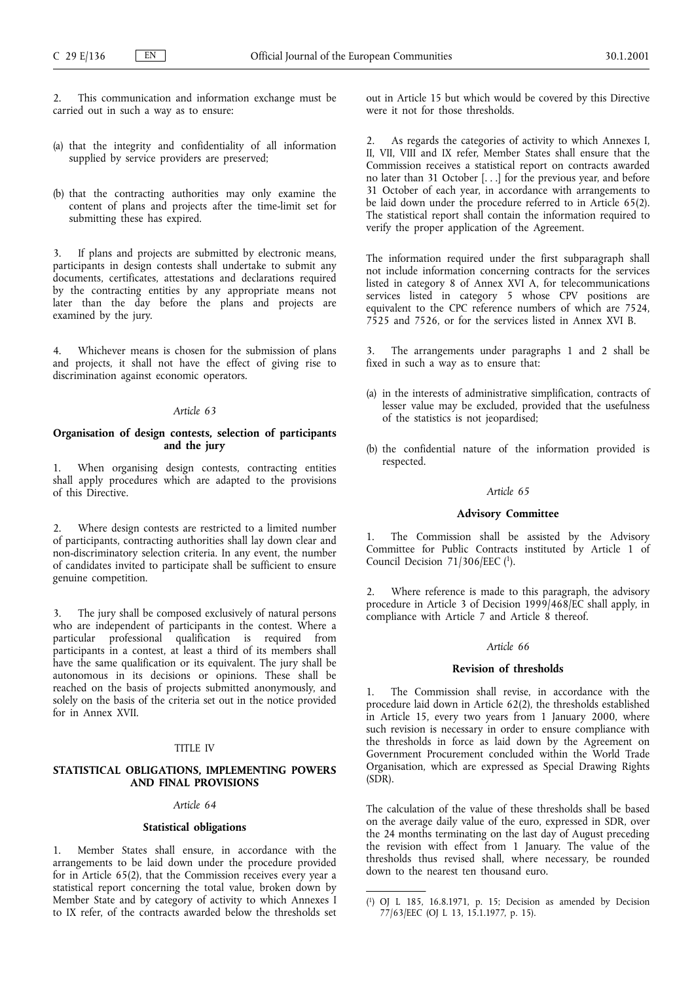2. This communication and information exchange must be carried out in such a way as to ensure:

- (a) that the integrity and confidentiality of all information supplied by service providers are preserved;
- (b) that the contracting authorities may only examine the content of plans and projects after the time-limit set for submitting these has expired.

3. If plans and projects are submitted by electronic means, participants in design contests shall undertake to submit any documents, certificates, attestations and declarations required by the contracting entities by any appropriate means not later than the day before the plans and projects are examined by the jury.

4. Whichever means is chosen for the submission of plans and projects, it shall not have the effect of giving rise to discrimination against economic operators.

#### Article 63

### Organisation of design contests, selection of participants and the jury

When organising design contests, contracting entities shall apply procedures which are adapted to the provisions of this Directive.

2. Where design contests are restricted to a limited number of participants, contracting authorities shall lay down clear and non-discriminatory selection criteria. In any event, the number of candidates invited to participate shall be sufficient to ensure genuine competition.

3. The jury shall be composed exclusively of natural persons who are independent of participants in the contest. Where a particular professional qualification is required from participants in a contest, at least a third of its members shall have the same qualification or its equivalent. The jury shall be autonomous in its decisions or opinions. These shall be reached on the basis of projects submitted anonymously, and solely on the basis of the criteria set out in the notice provided for in Annex XVII.

# TITLE IV

# STATISTICAL OBLIGATIONS, IMPLEMENTING POWERS AND FINAL PROVISIONS

#### Article 64

### Statistical obligations

1. Member States shall ensure, in accordance with the arrangements to be laid down under the procedure provided for in Article 65(2), that the Commission receives every year a statistical report concerning the total value, broken down by Member State and by category of activity to which Annexes I to IX refer, of the contracts awarded below the thresholds set out in Article 15 but which would be covered by this Directive were it not for those thresholds.

2. As regards the categories of activity to which Annexes I, II, VII, VIII and IX refer, Member States shall ensure that the Commission receives a statistical report on contracts awarded no later than 31 October [. . .] for the previous year, and before 31 October of each year, in accordance with arrangements to be laid down under the procedure referred to in Article 65(2). The statistical report shall contain the information required to verify the proper application of the Agreement.

The information required under the first subparagraph shall not include information concerning contracts for the services listed in category 8 of Annex XVI A, for telecommunications services listed in category 5 whose CPV positions are equivalent to the CPC reference numbers of which are 7524, 7525 and 7526, or for the services listed in Annex XVI B.

3. The arrangements under paragraphs 1 and 2 shall be fixed in such a way as to ensure that:

- (a) in the interests of administrative simplification, contracts of lesser value may be excluded, provided that the usefulness of the statistics is not jeopardised;
- (b) the confidential nature of the information provided is respected.

# Article 65

### Advisory Committee

1. The Commission shall be assisted by the Advisory Committee for Public Contracts instituted by Article 1 of Council Decision 71/306/EEC (1).

Where reference is made to this paragraph, the advisory procedure in Article 3 of Decision 1999/468/EC shall apply, in compliance with Article 7 and Article 8 thereof.

### Article 66

# Revision of thresholds

1. The Commission shall revise, in accordance with the procedure laid down in Article 62(2), the thresholds established in Article 15, every two years from 1 January 2000, where such revision is necessary in order to ensure compliance with the thresholds in force as laid down by the Agreement on Government Procurement concluded within the World Trade Organisation, which are expressed as Special Drawing Rights (SDR).

The calculation of the value of these thresholds shall be based on the average daily value of the euro, expressed in SDR, over the 24 months terminating on the last day of August preceding the revision with effect from 1 January. The value of the thresholds thus revised shall, where necessary, be rounded down to the nearest ten thousand euro.

<sup>(</sup> 1) OJ L 185, 16.8.1971, p. 15; Decision as amended by Decision 77/63/EEC (OJ L 13, 15.1.1977, p. 15).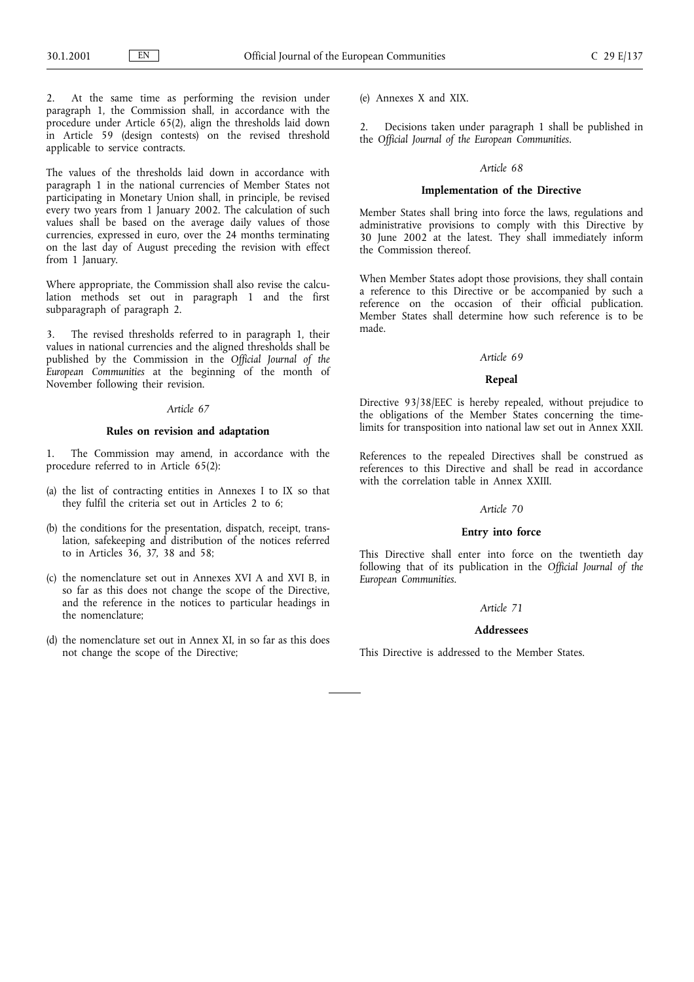At the same time as performing the revision under paragraph 1, the Commission shall, in accordance with the procedure under Article 65(2), align the thresholds laid down in Article 59 (design contests) on the revised threshold applicable to service contracts.

The values of the thresholds laid down in accordance with paragraph 1 in the national currencies of Member States not participating in Monetary Union shall, in principle, be revised every two years from 1 January 2002. The calculation of such values shall be based on the average daily values of those currencies, expressed in euro, over the 24 months terminating on the last day of August preceding the revision with effect from 1 January.

Where appropriate, the Commission shall also revise the calculation methods set out in paragraph 1 and the first subparagraph of paragraph 2.

3. The revised thresholds referred to in paragraph 1, their values in national currencies and the aligned thresholds shall be published by the Commission in the Official Journal of the European Communities at the beginning of the month of November following their revision.

#### Article 67

### Rules on revision and adaptation

1. The Commission may amend, in accordance with the procedure referred to in Article 65(2):

- (a) the list of contracting entities in Annexes I to IX so that they fulfil the criteria set out in Articles 2 to 6;
- (b) the conditions for the presentation, dispatch, receipt, translation, safekeeping and distribution of the notices referred to in Articles 36, 37, 38 and 58;
- (c) the nomenclature set out in Annexes XVI A and XVI B, in so far as this does not change the scope of the Directive, and the reference in the notices to particular headings in the nomenclature;
- (d) the nomenclature set out in Annex XI, in so far as this does not change the scope of the Directive;

(e) Annexes X and XIX.

2. Decisions taken under paragraph 1 shall be published in the Official Journal of the European Communities.

### Article 68

# Implementation of the Directive

Member States shall bring into force the laws, regulations and administrative provisions to comply with this Directive by 30 June 2002 at the latest. They shall immediately inform the Commission thereof.

When Member States adopt those provisions, they shall contain a reference to this Directive or be accompanied by such a reference on the occasion of their official publication. Member States shall determine how such reference is to be made.

### Article 69

### Repeal

Directive 93/38/EEC is hereby repealed, without prejudice to the obligations of the Member States concerning the timelimits for transposition into national law set out in Annex XXII.

References to the repealed Directives shall be construed as references to this Directive and shall be read in accordance with the correlation table in Annex XXIII.

# Article 70

### Entry into force

This Directive shall enter into force on the twentieth day following that of its publication in the Official Journal of the European Communities.

### Article 71

### **Addressees**

This Directive is addressed to the Member States.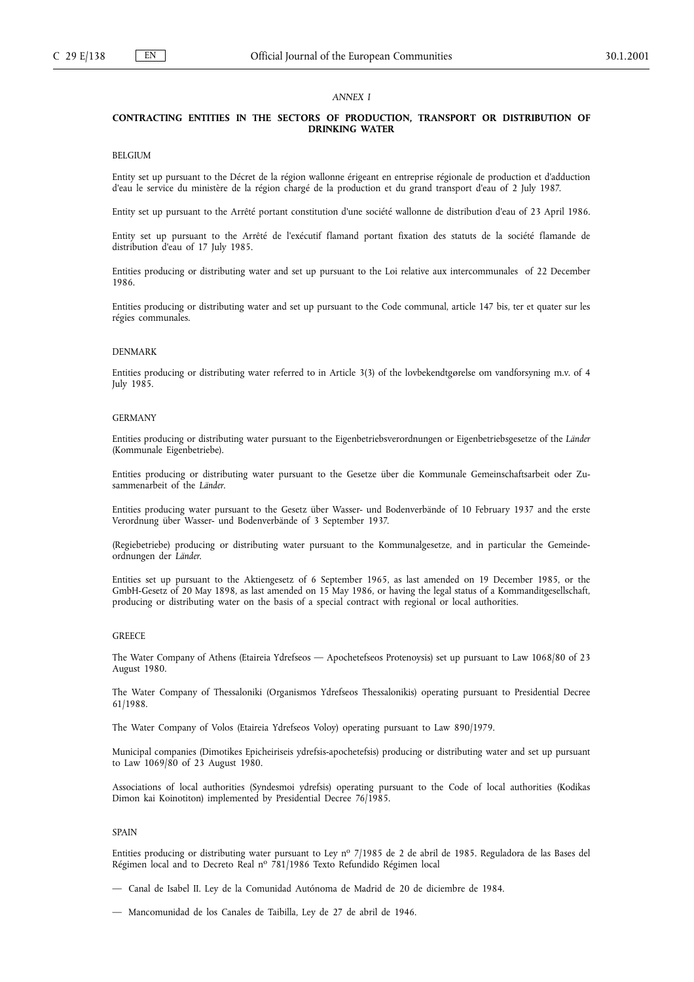#### ANNEX I

### CONTRACTING ENTITIES IN THE SECTORS OF PRODUCTION, TRANSPORT OR DISTRIBUTION OF DRINKING WATER

#### BELGIUM

Entity set up pursuant to the Décret de la région wallonne érigeant en entreprise régionale de production et d'adduction d'eau le service du ministère de la région chargé de la production et du grand transport d'eau of 2 July 1987.

Entity set up pursuant to the Arrêté portant constitution d'une société wallonne de distribution d'eau of 23 April 1986.

Entity set up pursuant to the Arrêté de l'exécutif flamand portant fixation des statuts de la société flamande de distribution d'eau of 17 July 1985.

Entities producing or distributing water and set up pursuant to the Loi relative aux intercommunales of 22 December 1986.

Entities producing or distributing water and set up pursuant to the Code communal, article 147 bis, ter et quater sur les régies communales.

### DENMARK

Entities producing or distributing water referred to in Article 3(3) of the lovbekendtgørelse om vandforsyning m.v. of 4 July 1985.

#### GERMANY

Entities producing or distributing water pursuant to the Eigenbetriebsverordnungen or Eigenbetriebsgesetze of the Länder (Kommunale Eigenbetriebe).

Entities producing or distributing water pursuant to the Gesetze über die Kommunale Gemeinschaftsarbeit oder Zusammenarbeit of the Länder.

Entities producing water pursuant to the Gesetz über Wasser- und Bodenverbände of 10 February 1937 and the erste Verordnung über Wasser- und Bodenverbände of 3 September 1937.

(Regiebetriebe) producing or distributing water pursuant to the Kommunalgesetze, and in particular the Gemeindeordnungen der Länder.

Entities set up pursuant to the Aktiengesetz of 6 September 1965, as last amended on 19 December 1985, or the GmbH-Gesetz of 20 May 1898, as last amended on 15 May 1986, or having the legal status of a Kommanditgesellschaft, producing or distributing water on the basis of a special contract with regional or local authorities.

#### **GREECE**

The Water Company of Athens (Etaireia Ydrefseos — Apochetefseos Protenoysis) set up pursuant to Law 1068/80 of 23 August 1980.

The Water Company of Thessaloniki (Organismos Ydrefseos Thessalonikis) operating pursuant to Presidential Decree 61/1988.

The Water Company of Volos (Etaireia Ydrefseos Voloy) operating pursuant to Law 890/1979.

Municipal companies (Dimotikes Epicheiriseis ydrefsis-apochetefsis) producing or distributing water and set up pursuant to Law 1069/80 of 23 August 1980.

Associations of local authorities (Syndesmoi ydrefsis) operating pursuant to the Code of local authorities (Kodikas Dimon kai Koinotiton) implemented by Presidential Decree 76/1985.

#### SPAIN

Entities producing or distributing water pursuant to Ley nº 7/1985 de 2 de abril de 1985. Reguladora de las Bases del Régimen local and to Decreto Real nº 781/1986 Texto Refundido Régimen local

- Canal de Isabel II. Ley de la Comunidad Autónoma de Madrid de 20 de diciembre de 1984.
- Mancomunidad de los Canales de Taibilla, Ley de 27 de abril de 1946.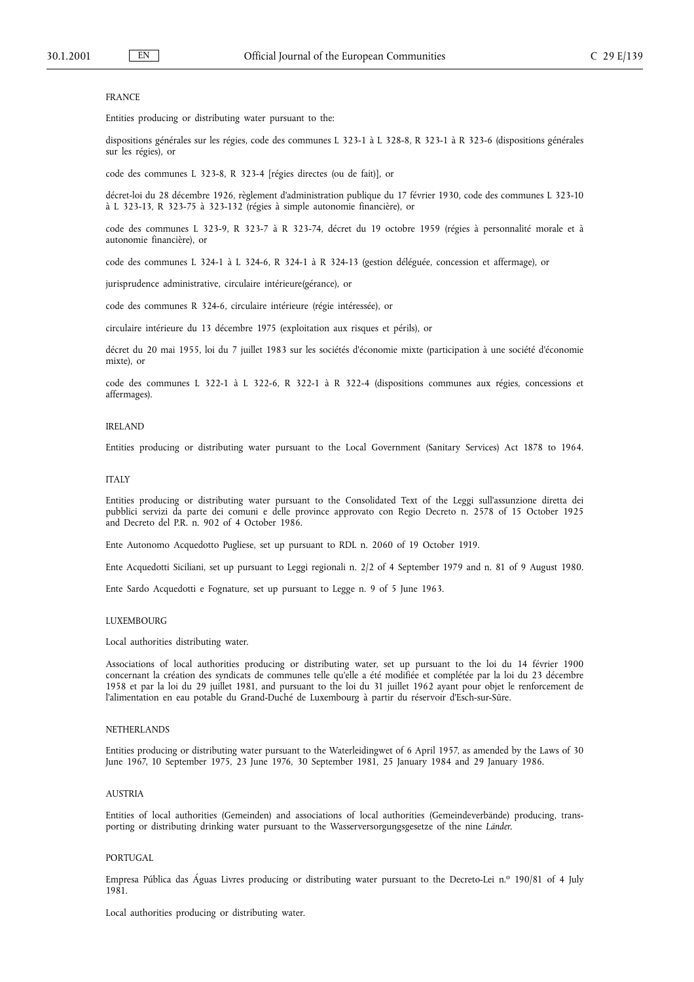### FRANCE

Entities producing or distributing water pursuant to the:

dispositions générales sur les régies, code des communes L 323-1 à L 328-8, R 323-1 à R 323-6 (dispositions générales sur les régies), or

code des communes L 323-8, R 323-4 [régies directes (ou de fait)], or

décret-loi du 28 décembre 1926, règlement d'administration publique du 17 février 1930, code des communes L 323-10 à L 323-13, R 323-75 à 323-132 (régies à simple autonomie financière), or

code des communes L 323-9, R 323-7 à R 323-74, décret du 19 octobre 1959 (régies à personnalité morale et à autonomie financière) or

code des communes L 324-1 à L 324-6, R 324-1 à R 324-13 (gestion déléguée, concession et affermage), or

jurisprudence administrative, circulaire intérieure(gérance), or

code des communes R 324-6, circulaire intérieure (régie intéressée), or

circulaire intérieure du 13 décembre 1975 (exploitation aux risques et périls), or

décret du 20 mai 1955, loi du 7 juillet 1983 sur les sociétés d'économie mixte (participation à une société d'économie mixte), or

code des communes L 322-1 à L 322-6, R 322-1 à R 322-4 (dispositions communes aux régies, concessions et affermages).

#### IRELAND

Entities producing or distributing water pursuant to the Local Government (Sanitary Services) Act 1878 to 1964.

### ITALY

Entities producing or distributing water pursuant to the Consolidated Text of the Leggi sull'assunzione diretta dei pubblici servizi da parte dei comuni e delle province approvato con Regio Decreto n. 2578 of 15 October 1925 and Decreto del P.R. n. 902 of 4 October 1986.

Ente Autonomo Acquedotto Pugliese, set up pursuant to RDL n. 2060 of 19 October 1919.

Ente Acquedotti Siciliani, set up pursuant to Leggi regionali n. 2/2 of 4 September 1979 and n. 81 of 9 August 1980.

Ente Sardo Acquedotti e Fognature, set up pursuant to Legge n. 9 of 5 June 1963.

#### LUXEMBOURG

Local authorities distributing water.

Associations of local authorities producing or distributing water, set up pursuant to the loi du 14 février 1900 concernant la création des syndicats de communes telle qu'elle a été modifiée et complétée par la loi du 23 décembre 1958 et par la loi du 29 juillet 1981, and pursuant to the loi du 31 juillet 1962 ayant pour objet le renforcement de l'alimentation en eau potable du Grand-Duché de Luxembourg à partir du réservoir d'Esch-sur-Sûre.

#### NETHERLANDS

Entities producing or distributing water pursuant to the Waterleidingwet of 6 April 1957, as amended by the Laws of 30 June 1967, 10 September 1975, 23 June 1976, 30 September 1981, 25 January 1984 and 29 January 1986.

#### AUSTRIA

Entities of local authorities (Gemeinden) and associations of local authorities (Gemeindeverbände) producing, transporting or distributing drinking water pursuant to the Wasserversorgungsgesetze of the nine Länder.

#### PORTUGAL

Empresa Pública das Águas Livres producing or distributing water pursuant to the Decreto-Lei n.º 190/81 of 4 July 1981.

Local authorities producing or distributing water.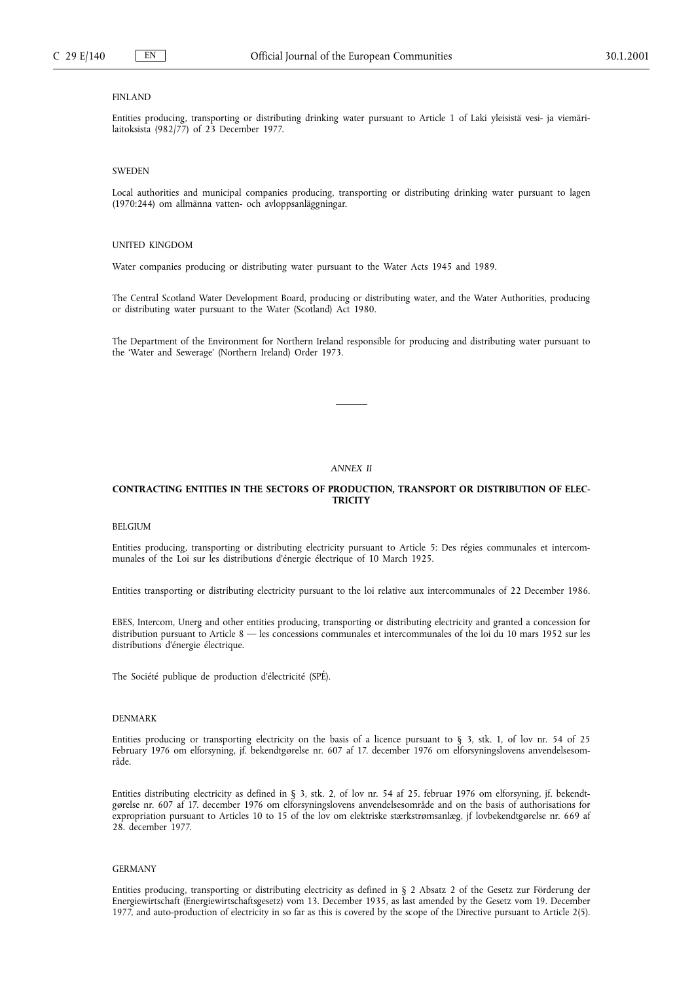#### FINLAND

Entities producing, transporting or distributing drinking water pursuant to Article 1 of Laki yleisistä vesi- ja viemärilaitoksista (982/77) of 23 December 1977.

### SWEDEN

Local authorities and municipal companies producing, transporting or distributing drinking water pursuant to lagen (1970:244) om allmänna vatten- och avloppsanläggningar.

#### UNITED KINGDOM

Water companies producing or distributing water pursuant to the Water Acts 1945 and 1989.

The Central Scotland Water Development Board, producing or distributing water, and the Water Authorities, producing or distributing water pursuant to the Water (Scotland) Act 1980.

The Department of the Environment for Northern Ireland responsible for producing and distributing water pursuant to the 'Water and Sewerage' (Northern Ireland) Order 1973.

#### ANNEX II

# CONTRACTING ENTITIES IN THE SECTORS OF PRODUCTION, TRANSPORT OR DISTRIBUTION OF ELEC-**TRICITY**

#### BELGIUM

Entities producing, transporting or distributing electricity pursuant to Article 5: Des régies communales et intercommunales of the Loi sur les distributions d'énergie électrique of 10 March 1925.

Entities transporting or distributing electricity pursuant to the loi relative aux intercommunales of 22 December 1986.

EBES, Intercom, Unerg and other entities producing, transporting or distributing electricity and granted a concession for distribution pursuant to Article  $8$   $-$  les concessions communales et intercommunales of the loi du 10 mars 1952 sur les distributions d'énergie électrique.

The Société publique de production d'électricité (SPÉ).

#### DENMARK

Entities producing or transporting electricity on the basis of a licence pursuant to § 3, stk. 1, of lov nr. 54 of 25 February 1976 om elforsyning, jf. bekendtgørelse nr. 607 af 17. december 1976 om elforsyningslovens anvendelsesområde.

Entities distributing electricity as defined in § 3, stk. 2, of lov nr. 54 af 25. februar 1976 om elforsyning, jf. bekendtgørelse nr. 607 af 17. december 1976 om elforsyningslovens anvendelsesområde and on the basis of authorisations for expropriation pursuant to Articles 10 to 15 of the lov om elektriske stærkstrømsanlæg, jf lovbekendtgørelse nr. 669 af 28. december 1977.

#### GERMANY

Entities producing, transporting or distributing electricity as defined in § 2 Absatz 2 of the Gesetz zur Förderung der Energiewirtschaft (Energiewirtschaftsgesetz) vom 13. December 1935, as last amended by the Gesetz vom 19. December 1977, and auto-production of electricity in so far as this is covered by the scope of the Directive pursuant to Article 2(5).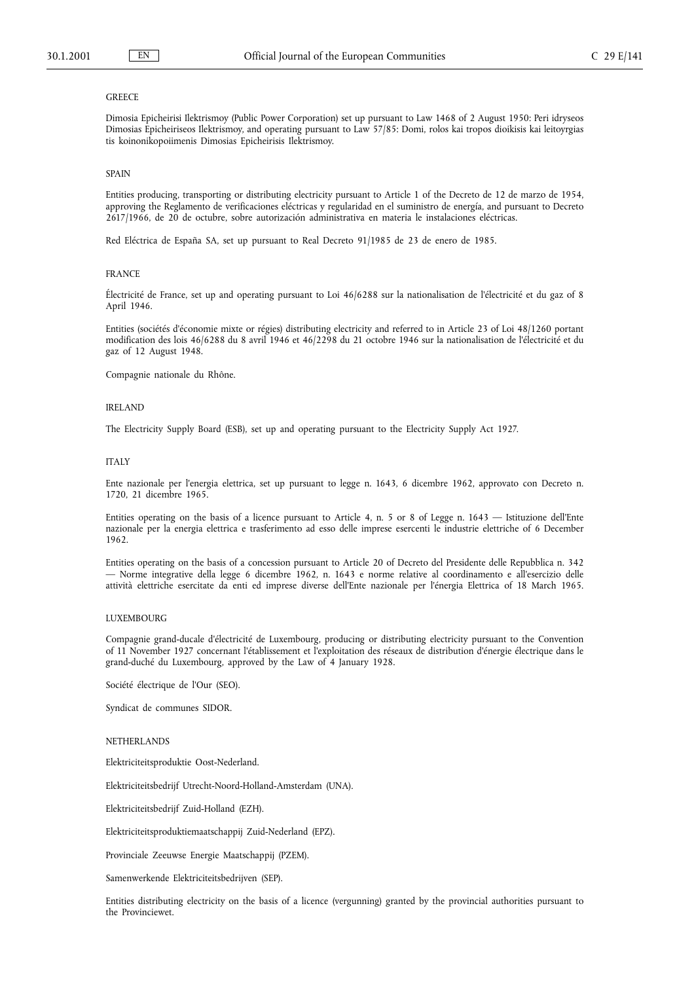### **GREECE**

Dimosia Epicheirisi Ilektrismoy (Public Power Corporation) set up pursuant to Law 1468 of 2 August 1950: Peri idryseos Dimosias Epicheiriseos Ilektrismoy, and operating pursuant to Law 57/85: Domi, rolos kai tropos dioikisis kai leitoyrgias tis koinonikopoiimenis Dimosias Epicheirisis Ilektrismoy.

#### SPAIN

Entities producing, transporting or distributing electricity pursuant to Article 1 of the Decreto de 12 de marzo de 1954, approving the Reglamento de verificaciones eléctricas y regularidad en el suministro de energía, and pursuant to Decreto 2617/1966, de 20 de octubre, sobre autorización administrativa en materia le instalaciones eléctricas.

Red Eléctrica de España SA, set up pursuant to Real Decreto 91/1985 de 23 de enero de 1985.

### FRANCE

Électricité de France, set up and operating pursuant to Loi  $46/6288$  sur la nationalisation de l'électricité et du gaz of 8 April 1946.

Entities (sociétés d'économie mixte or régies) distributing electricity and referred to in Article 23 of Loi 48/1260 portant modification des lois 46/6288 du 8 avril 1946 et 46/2298 du 21 octobre 1946 sur la nationalisation de l'électricité et du gaz of 12 August 1948.

Compagnie nationale du Rhône.

### IRELAND

The Electricity Supply Board (ESB), set up and operating pursuant to the Electricity Supply Act 1927.

#### ITALY

Ente nazionale per l'energia elettrica, set up pursuant to legge n. 1643, 6 dicembre 1962, approvato con Decreto n. 1720, 21 dicembre 1965.

Entities operating on the basis of a licence pursuant to Article 4, n. 5 or 8 of Legge n. 1643 - Istituzione dell'Ente nazionale per la energia elettrica e trasferimento ad esso delle imprese esercenti le industrie elettriche of 6 December 1962.

Entities operating on the basis of a concession pursuant to Article 20 of Decreto del Presidente delle Repubblica n. 342 Norme integrative della legge 6 dicembre 1962, n. 1643 e norme relative al coordinamento e all'esercizio delle attività elettriche esercitate da enti ed imprese diverse dell'Ente nazionale per l'énergia Elettrica of 18 March 1965.

#### LUXEMBOURG

Compagnie grand-ducale d'électricité de Luxembourg, producing or distributing electricity pursuant to the Convention of 11 November 1927 concernant l'établissement et l'exploitation des réseaux de distribution d'énergie électrique dans le grand-duché du Luxembourg, approved by the Law of 4 January 1928.

Société électrique de l'Our (SEO).

Syndicat de communes SIDOR.

NETHERLANDS

Elektriciteitsproduktie Oost-Nederland.

Elektriciteitsbedrijf Utrecht-Noord-Holland-Amsterdam (UNA).

Elektriciteitsbedrijf Zuid-Holland (EZH).

Elektriciteitsproduktiemaatschappij Zuid-Nederland (EPZ).

Provinciale Zeeuwse Energie Maatschappij (PZEM).

Samenwerkende Elektriciteitsbedrijven (SEP).

Entities distributing electricity on the basis of a licence (vergunning) granted by the provincial authorities pursuant to the Provinciewet.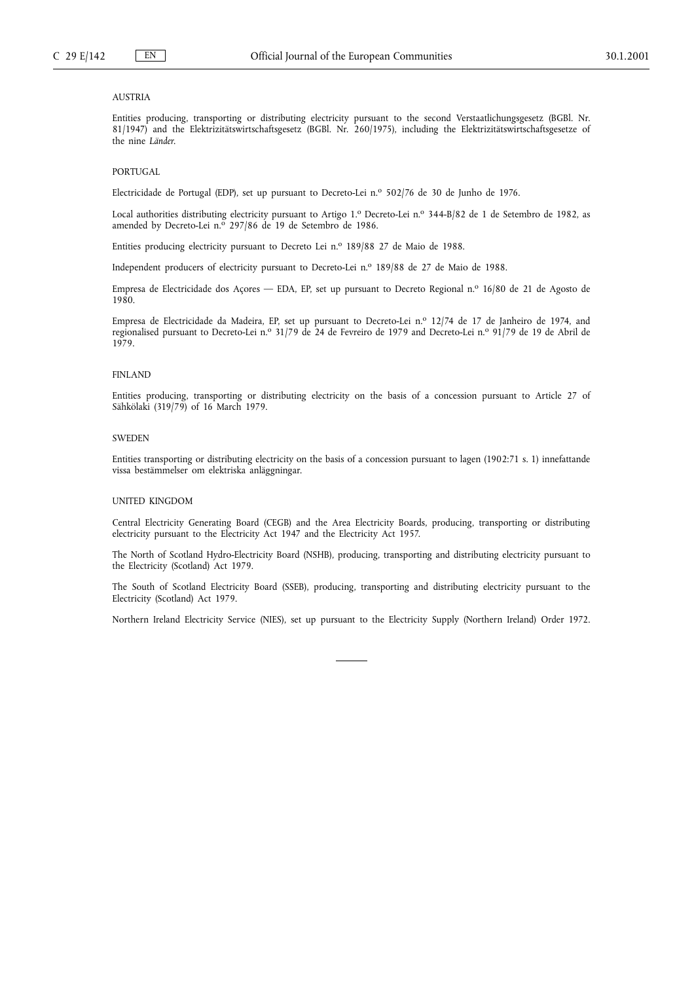### AUSTRIA

Entities producing, transporting or distributing electricity pursuant to the second Verstaatlichungsgesetz (BGBl. Nr. 81/1947) and the Elektrizitätswirtschaftsgesetz (BGBl. Nr. 260/1975), including the Elektrizitätswirtschaftsgesetze of the nine Länder.

# PORTUGAL

Electricidade de Portugal (EDP), set up pursuant to Decreto-Lei n.º 502/76 de 30 de Junho de 1976.

Local authorities distributing electricity pursuant to Artigo 1.º Decreto-Lei n.º 344-B/82 de 1 de Setembro de 1982, as amended by Decreto-Lei n.º 297/86 de 19 de Setembro de 1986.

Entities producing electricity pursuant to Decreto Lei n.º 189/88 27 de Maio de 1988.

Independent producers of electricity pursuant to Decreto-Lei n.º 189/88 de 27 de Maio de 1988.

Empresa de Electricidade dos Açores — EDA, EP, set up pursuant to Decreto Regional n.º 16/80 de 21 de Agosto de 1980.

Empresa de Electricidade da Madeira, EP, set up pursuant to Decreto-Lei n.º 12/74 de 17 de Janheiro de 1974, and regionalised pursuant to Decreto-Lei n.º 31/79 de 24 de Fevreiro de 1979 and Decreto-Lei n.º 91/79 de 19 de Abril de 1979.

### FINLAND

Entities producing, transporting or distributing electricity on the basis of a concession pursuant to Article 27 of Sähkölaki (319/79) of 16 March 1979.

#### SWEDEN

Entities transporting or distributing electricity on the basis of a concession pursuant to lagen (1902:71 s. 1) innefattande vissa bestämmelser om elektriska anläggningar.

### UNITED KINGDOM

Central Electricity Generating Board (CEGB) and the Area Electricity Boards, producing, transporting or distributing electricity pursuant to the Electricity Act 1947 and the Electricity Act 1957.

The North of Scotland Hydro-Electricity Board (NSHB), producing, transporting and distributing electricity pursuant to the Electricity (Scotland) Act 1979.

The South of Scotland Electricity Board (SSEB), producing, transporting and distributing electricity pursuant to the Electricity (Scotland) Act 1979.

Northern Ireland Electricity Service (NIES), set up pursuant to the Electricity Supply (Northern Ireland) Order 1972.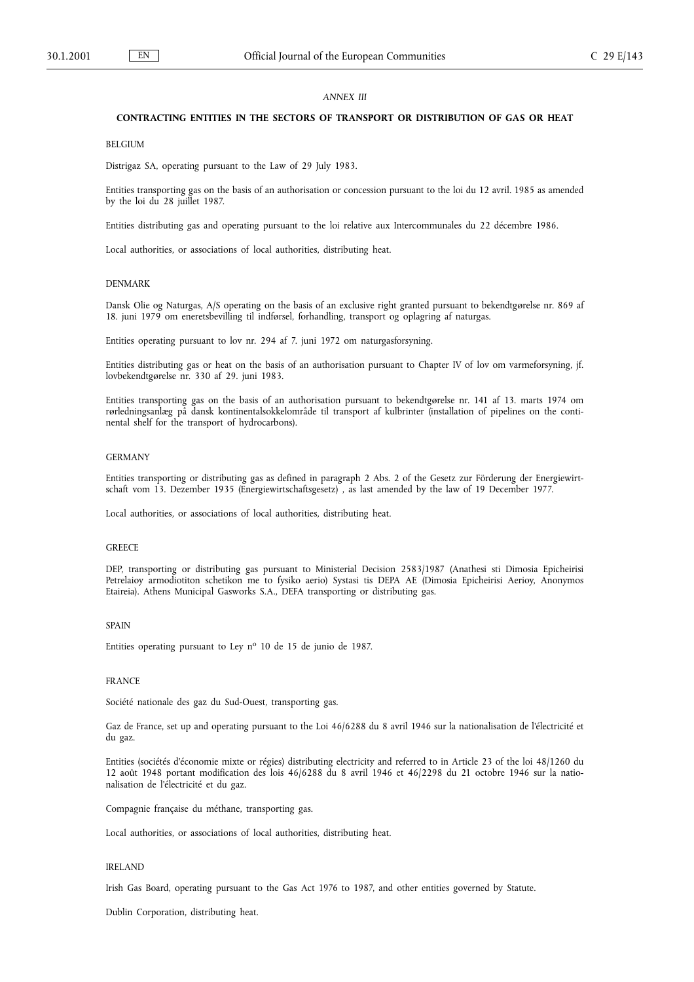### ANNEX III

### CONTRACTING ENTITIES IN THE SECTORS OF TRANSPORT OR DISTRIBUTION OF GAS OR HEAT

#### BELGIUM

Distrigaz SA, operating pursuant to the Law of 29 July 1983.

Entities transporting gas on the basis of an authorisation or concession pursuant to the loi du 12 avril. 1985 as amended by the loi du 28 juillet 1987.

Entities distributing gas and operating pursuant to the loi relative aux Intercommunales du 22 décembre 1986.

Local authorities, or associations of local authorities, distributing heat.

#### DENMARK

Dansk Olie og Naturgas, A/S operating on the basis of an exclusive right granted pursuant to bekendtgørelse nr. 869 af 18. juni 1979 om eneretsbevilling til indførsel, forhandling, transport og oplagring af naturgas.

Entities operating pursuant to lov nr. 294 af 7. juni 1972 om naturgasforsyning.

Entities distributing gas or heat on the basis of an authorisation pursuant to Chapter IV of lov om varmeforsyning, jf. lovbekendtgørelse nr. 330 af 29. juni 1983.

Entities transporting gas on the basis of an authorisation pursuant to bekendtgørelse nr. 141 af 13. marts 1974 om rørledningsanlæg på dansk kontinentalsokkelområde til transport af kulbrinter (installation of pipelines on the continental shelf for the transport of hydrocarbons).

### GERMANY

Entities transporting or distributing gas as defined in paragraph 2 Abs. 2 of the Gesetz zur Förderung der Energiewirtschaft vom 13. Dezember 1935 (Energiewirtschaftsgesetz) , as last amended by the law of 19 December 1977.

Local authorities, or associations of local authorities, distributing heat.

#### **GREECE**

DEP, transporting or distributing gas pursuant to Ministerial Decision 2583/1987 (Anathesi sti Dimosia Epicheirisi Petrelaioy armodiotiton schetikon me to fysiko aerio) Systasi tis DEPA AE (Dimosia Epicheirisi Aerioy, Anonymos Etaireia). Athens Municipal Gasworks S.A., DEFA transporting or distributing gas.

#### **SPAIN**

Entities operating pursuant to Ley  $n^{\circ}$  10 de 15 de junio de 1987.

#### FRANCE

Société nationale des gaz du Sud-Ouest, transporting gas.

Gaz de France, set up and operating pursuant to the Loi 46/6288 du 8 avril 1946 sur la nationalisation de l'électricité et du gaz.

Entities (sociétés d'économie mixte or régies) distributing electricity and referred to in Article 23 of the loi 48/1260 du 12 aoßt 1948 portant modification des lois 46/6288 du 8 avril 1946 et 46/2298 du 21 octobre 1946 sur la nationalisation de l'électricité et du gaz.

Compagnie française du méthane, transporting gas.

Local authorities, or associations of local authorities, distributing heat.

#### IRELAND

Irish Gas Board, operating pursuant to the Gas Act 1976 to 1987, and other entities governed by Statute.

Dublin Corporation, distributing heat.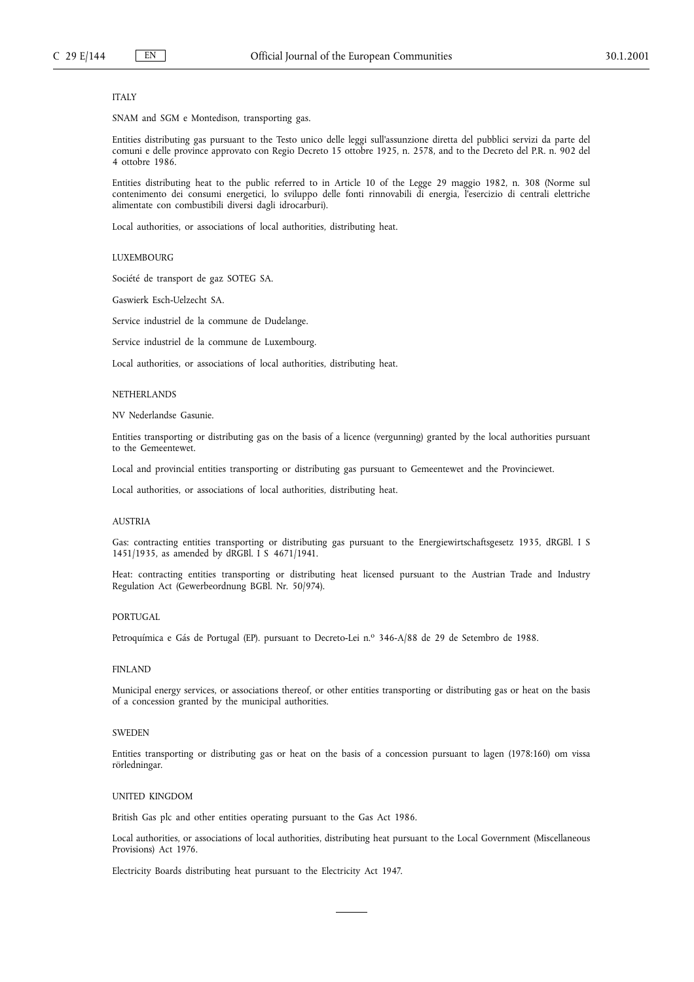# ITALY

SNAM and SGM e Montedison, transporting gas.

Entities distributing gas pursuant to the Testo unico delle leggi sull'assunzione diretta del pubblici servizi da parte del comuni e delle province approvato con Regio Decreto 15 ottobre 1925, n. 2578, and to the Decreto del P.R. n. 902 del 4 ottobre 1986.

Entities distributing heat to the public referred to in Article 10 of the Legge 29 maggio 1982, n. 308 (Norme sul contenimento dei consumi energetici, lo sviluppo delle fonti rinnovabili di energia, l'esercizio di centrali elettriche alimentate con combustibili diversi dagli idrocarburi).

Local authorities, or associations of local authorities, distributing heat.

#### LUXEMBOURG

Société de transport de gaz SOTEG SA.

Gaswierk Esch-Uelzecht SA.

Service industriel de la commune de Dudelange.

Service industriel de la commune de Luxembourg.

Local authorities, or associations of local authorities, distributing heat.

#### NETHERLANDS

NV Nederlandse Gasunie.

Entities transporting or distributing gas on the basis of a licence (vergunning) granted by the local authorities pursuant to the Gemeentewet.

Local and provincial entities transporting or distributing gas pursuant to Gemeentewet and the Provinciewet.

Local authorities, or associations of local authorities, distributing heat.

### AUSTRIA

Gas: contracting entities transporting or distributing gas pursuant to the Energiewirtschaftsgesetz 1935, dRGBl. I S 1451/1935, as amended by dRGBl. I S 4671/1941.

Heat: contracting entities transporting or distributing heat licensed pursuant to the Austrian Trade and Industry Regulation Act (Gewerbeordnung BGBl. Nr. 50/974).

#### PORTUGAL

Petroquímica e Gás de Portugal (EP). pursuant to Decreto-Lei n.º 346-A/88 de 29 de Setembro de 1988.

#### FINLAND

Municipal energy services, or associations thereof, or other entities transporting or distributing gas or heat on the basis of a concession granted by the municipal authorities.

#### SWEDEN

Entities transporting or distributing gas or heat on the basis of a concession pursuant to lagen (1978:160) om vissa rörledningar.

#### UNITED KINGDOM

British Gas plc and other entities operating pursuant to the Gas Act 1986.

Local authorities, or associations of local authorities, distributing heat pursuant to the Local Government (Miscellaneous Provisions) Act 1976.

Electricity Boards distributing heat pursuant to the Electricity Act 1947.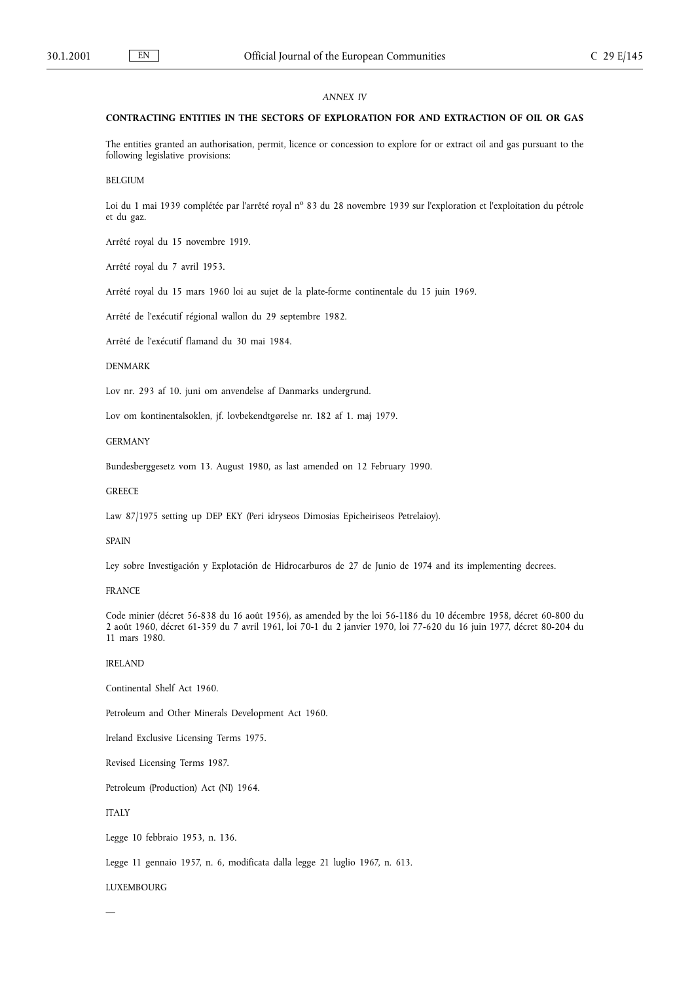# ANNEX IV

### CONTRACTING ENTITIES IN THE SECTORS OF EXPLORATION FOR AND EXTRACTION OF OIL OR GAS

The entities granted an authorisation, permit, licence or concession to explore for or extract oil and gas pursuant to the following legislative provisions:

#### BELGIUM

Loi du 1 mai 1939 complétée par l'arrêté royal nº 83 du 28 novembre 1939 sur l'exploration et l'exploitation du pétrole et du gaz.

Arrêté royal du 15 novembre 1919.

Arrêté royal du 7 avril 1953.

Arrêté royal du 15 mars 1960 loi au sujet de la plate-forme continentale du 15 juin 1969.

Arrêté de l'exécutif régional wallon du 29 septembre 1982.

Arrêté de l'exécutif flamand du 30 mai 1984.

DENMARK

Lov nr. 293 af 10. juni om anvendelse af Danmarks undergrund.

Lov om kontinentalsoklen, jf. lovbekendtgørelse nr. 182 af 1. maj 1979.

GERMANY

Bundesberggesetz vom 13. August 1980, as last amended on 12 February 1990.

**GREECE** 

Law 87/1975 setting up DEP EKY (Peri idryseos Dimosias Epicheiriseos Petrelaioy).

SPAIN

Ley sobre Investigación y Explotación de Hidrocarburos de 27 de Junio de 1974 and its implementing decrees.

FRANCE

Code minier (décret 56-838 du 16 août 1956), as amended by the loi 56-1186 du 10 décembre 1958, décret 60-800 du 2 août 1960, décret 61-359 du 7 avril 1961, loi 70-1 du 2 janvier 1970, loi 77-620 du 16 juin 1977, décret 80-204 du 11 mars 1980.

IRELAND

Continental Shelf Act 1960.

Petroleum and Other Minerals Development Act 1960.

Ireland Exclusive Licensing Terms 1975.

Revised Licensing Terms 1987.

Petroleum (Production) Act (NI) 1964.

ITALY

 $\overline{\phantom{0}}$ 

Legge 10 febbraio 1953, n. 136.

Legge 11 gennaio 1957, n. 6, modificata dalla legge 21 luglio 1967, n. 613.

LUXEMBOURG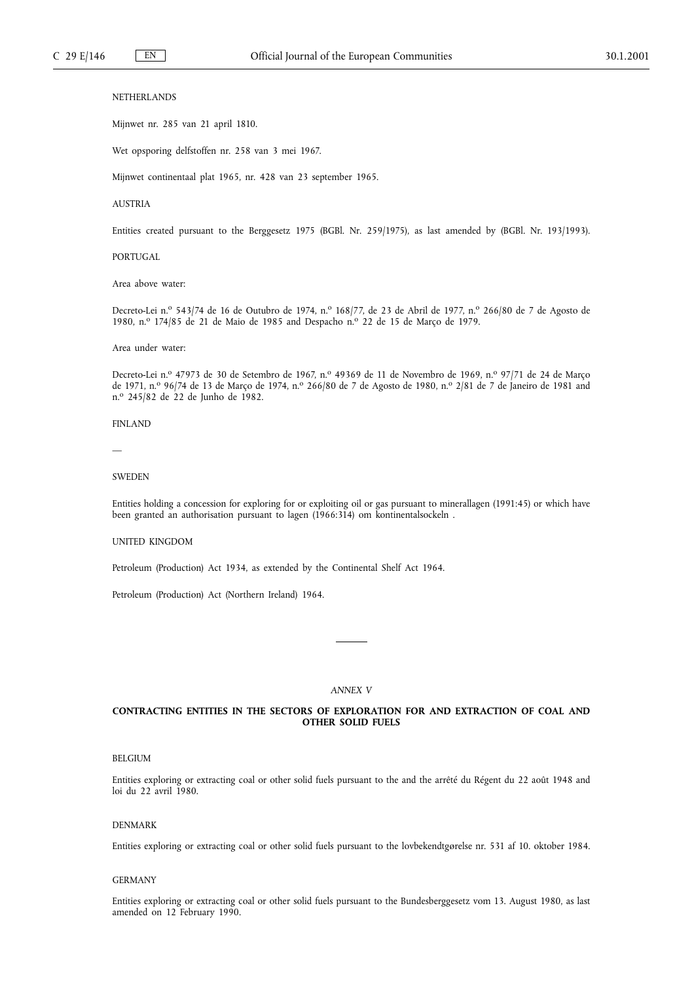### NETHERLANDS

Mijnwet nr. 285 van 21 april 1810.

Wet opsporing delfstoffen nr. 258 van 3 mei 1967.

Mijnwet continentaal plat 1965, nr. 428 van 23 september 1965.

#### AUSTRIA

Entities created pursuant to the Berggesetz 1975 (BGBl. Nr. 259/1975), as last amended by (BGBl. Nr. 193/1993).

#### PORTUGAL

Area above water:

Decreto-Lei n.º 543/74 de 16 de Outubro de 1974, n.º 168/77, de 23 de Abril de 1977, n.º 266/80 de 7 de Agosto de 1980, n.º 174/85 de 21 de Maio de 1985 and Despacho n.º 22 de 15 de Março de 1979.

#### Area under water:

Decreto-Lei n.º 47973 de 30 de Setembro de 1967, n.º 49369 de 11 de Novembro de 1969, n.º 97/71 de 24 de Março de 1971, n.º 96/74 de 13 de Março de 1974, n.º 266/80 de 7 de Agosto de 1980, n.º 2/81 de 7 de Janeiro de 1981 and n.o 245/82 de 22 de Junho de 1982.

#### FINLAND

÷,

#### SWEDEN

Entities holding a concession for exploring for or exploiting oil or gas pursuant to minerallagen (1991:45) or which have been granted an authorisation pursuant to lagen (1966:314) om kontinentalsockeln .

#### UNITED KINGDOM

Petroleum (Production) Act 1934, as extended by the Continental Shelf Act 1964.

Petroleum (Production) Act (Northern Ireland) 1964.

#### ANNEX V

# CONTRACTING ENTITIES IN THE SECTORS OF EXPLORATION FOR AND EXTRACTION OF COAL AND OTHER SOLID FUELS

### BELGIUM

Entities exploring or extracting coal or other solid fuels pursuant to the and the arrêté du Régent du 22 août 1948 and loi du 22 avril 1980.

### DENMARK

Entities exploring or extracting coal or other solid fuels pursuant to the lovbekendtgørelse nr. 531 af 10. oktober 1984.

#### GERMANY

Entities exploring or extracting coal or other solid fuels pursuant to the Bundesberggesetz vom 13. August 1980, as last amended on 12 February 1990.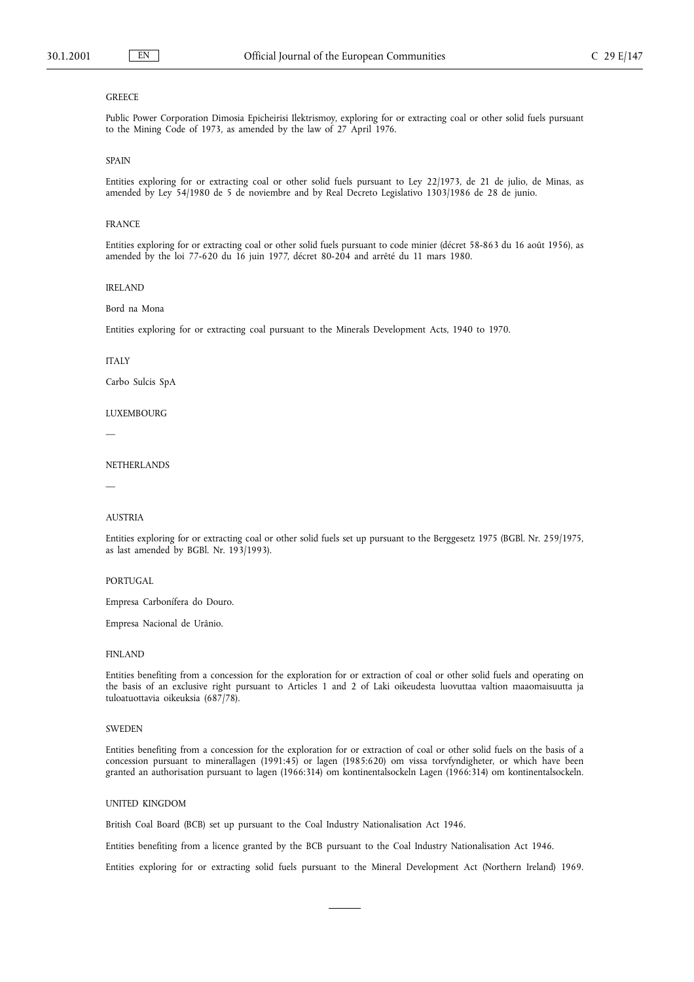### **GREECE**

Public Power Corporation Dimosia Epicheirisi Ilektrismoy, exploring for or extracting coal or other solid fuels pursuant to the Mining Code of 1973, as amended by the law of 27 April 1976.

SPAIN

Entities exploring for or extracting coal or other solid fuels pursuant to Ley 22/1973, de 21 de julio, de Minas, as amended by Ley 54/1980 de 5 de noviembre and by Real Decreto Legislativo 1303/1986 de 28 de junio.

### FRANCE

Entities exploring for or extracting coal or other solid fuels pursuant to code minier (décret 58-863 du 16 août 1956), as amended by the loi 77-620 du 16 juin 1977, décret 80-204 and arrêté du 11 mars 1980.

#### IRELAND

Bord na Mona

Entities exploring for or extracting coal pursuant to the Minerals Development Acts, 1940 to 1970.

#### ITALY

Carbo Sulcis SpA

#### LUXEMBOURG

 $\overline{\phantom{0}}$ 

#### NETHERLANDS

 $\overline{\phantom{0}}$ 

### AUSTRIA

Entities exploring for or extracting coal or other solid fuels set up pursuant to the Berggesetz 1975 (BGBl. Nr. 259/1975, as last amended by BGBl. Nr. 193/1993).

#### **PORTUGAL**

Empresa Carbonífera do Douro.

Empresa Nacional de Urânio.

#### FINLAND

Entities benefiting from a concession for the exploration for or extraction of coal or other solid fuels and operating on the basis of an exclusive right pursuant to Articles 1 and 2 of Laki oikeudesta luovuttaa valtion maaomaisuutta ja tuloatuottavia oikeuksia (687/78).

#### SWEDEN

Entities benefiting from a concession for the exploration for or extraction of coal or other solid fuels on the basis of a concession pursuant to minerallagen (1991:45) or lagen (1985:620) om vissa torvfyndigheter, or which have been granted an authorisation pursuant to lagen (1966:314) om kontinentalsockeln Lagen (1966:314) om kontinentalsockeln.

#### UNITED KINGDOM

British Coal Board (BCB) set up pursuant to the Coal Industry Nationalisation Act 1946.

Entities benefiting from a licence granted by the BCB pursuant to the Coal Industry Nationalisation Act 1946.

Entities exploring for or extracting solid fuels pursuant to the Mineral Development Act (Northern Ireland) 1969.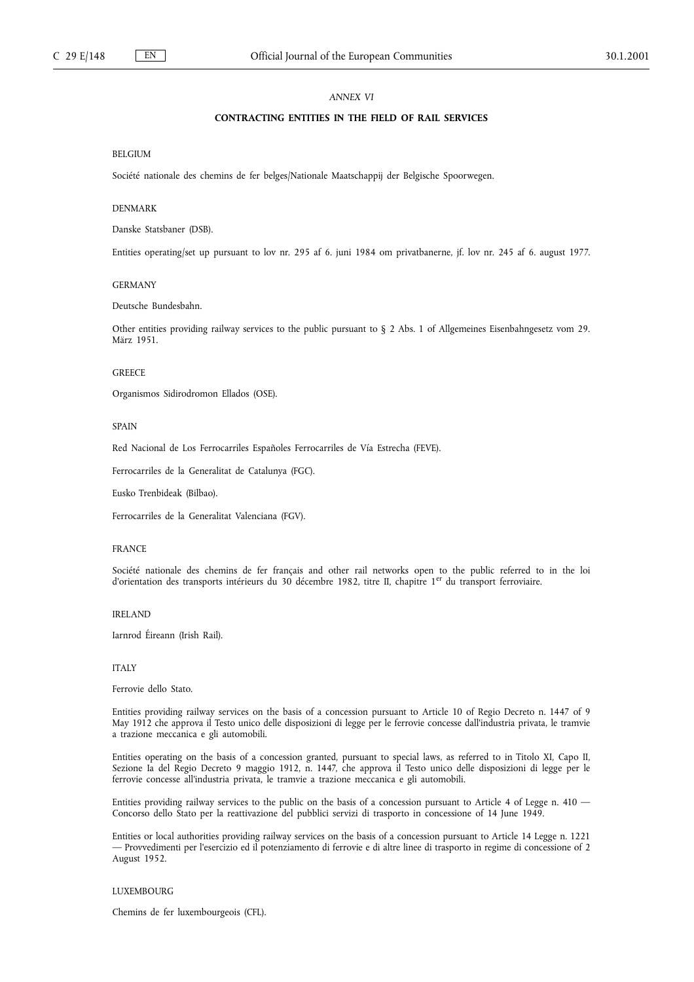## ANNEX VI

## CONTRACTING ENTITIES IN THE FIELD OF RAIL SERVICES

## BELGIUM

Société nationale des chemins de fer belges/Nationale Maatschappij der Belgische Spoorwegen.

#### DENMARK

Danske Statsbaner (DSB).

Entities operating/set up pursuant to lov nr. 295 af 6. juni 1984 om privatbanerne, jf. lov nr. 245 af 6. august 1977.

## GERMANY

Deutsche Bundesbahn.

Other entities providing railway services to the public pursuant to § 2 Abs. 1 of Allgemeines Eisenbahngesetz vom 29. März 1951.

#### **GREECE**

Organismos Sidirodromon Ellados (OSE).

## SPAIN

Red Nacional de Los Ferrocarriles Españoles Ferrocarriles de Vía Estrecha (FEVE).

Ferrocarriles de la Generalitat de Catalunya (FGC).

Eusko Trenbideak (Bilbao).

Ferrocarriles de la Generalitat Valenciana (FGV).

#### FRANCE

Société nationale des chemins de fer français and other rail networks open to the public referred to in the loi d'orientation des transports intérieurs du 30 décembre 1982, titre II, chapitre 1<sup>er</sup> du transport ferroviaire.

## IRELAND

Iarnrod Éireann (Irish Rail).

### ITALY

Ferrovie dello Stato.

Entities providing railway services on the basis of a concession pursuant to Article 10 of Regio Decreto n. 1447 of 9 May 1912 che approva il Testo unico delle disposizioni di legge per le ferrovie concesse dall'industria privata, le tramvie a trazione meccanica e gli automobili.

Entities operating on the basis of a concession granted, pursuant to special laws, as referred to in Titolo XI, Capo II, Sezione Ia del Regio Decreto 9 maggio 1912, n. 1447, che approva il Testo unico delle disposizioni di legge per le ferrovie concesse all'industria privata, le tramvie a trazione meccanica e gli automobili.

Entities providing railway services to the public on the basis of a concession pursuant to Article 4 of Legge n. 410 — Concorso dello Stato per la reattivazione del pubblici servizi di trasporto in concessione of 14 June 1949.

Entities or local authorities providing railway services on the basis of a concession pursuant to Article 14 Legge n. 1221 Provvedimenti per l'esercizio ed il potenziamento di ferrovie e di altre linee di trasporto in regime di concessione of 2 August 1952.

### LUXEMBOURG

Chemins de fer luxembourgeois (CFL).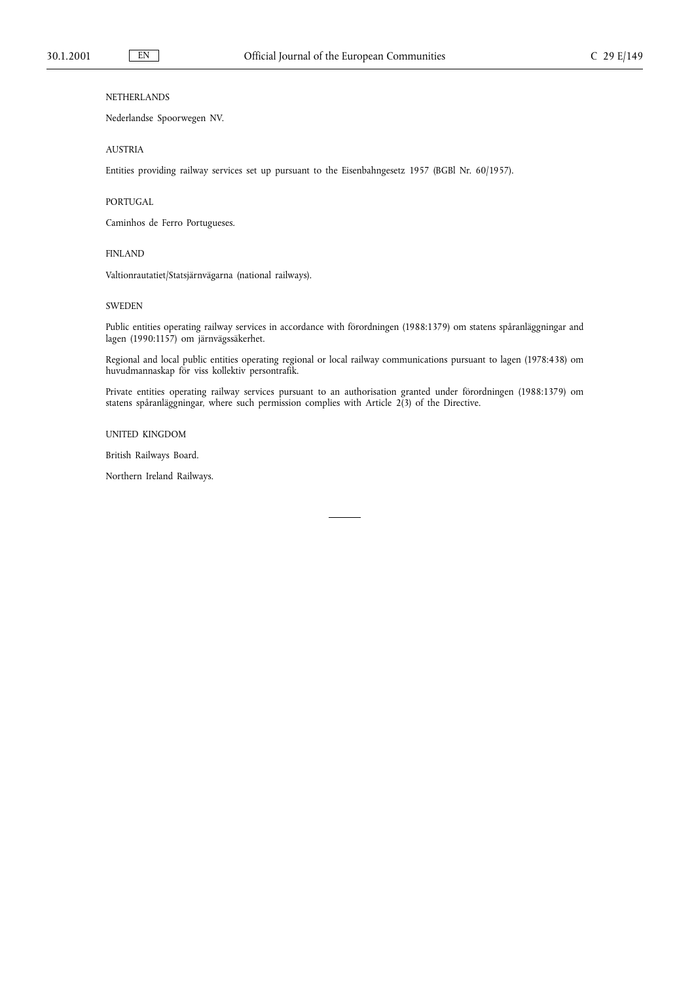# NETHERLANDS

Nederlandse Spoorwegen NV.

## AUSTRIA

Entities providing railway services set up pursuant to the Eisenbahngesetz 1957 (BGBl Nr. 60/1957).

## PORTUGAL

Caminhos de Ferro Portugueses.

# FINLAND

Valtionrautatiet/Statsjärnvägarna (national railways).

# SWEDEN

Public entities operating railway services in accordance with förordningen (1988:1379) om statens spåranläggningar and lagen (1990:1157) om järnvägssäkerhet.

Regional and local public entities operating regional or local railway communications pursuant to lagen (1978:438) om huvudmannaskap för viss kollektiv persontrafik.

Private entities operating railway services pursuant to an authorisation granted under förordningen (1988:1379) om statens spåranläggningar, where such permission complies with Article 2(3) of the Directive.

# UNITED KINGDOM

British Railways Board.

Northern Ireland Railways.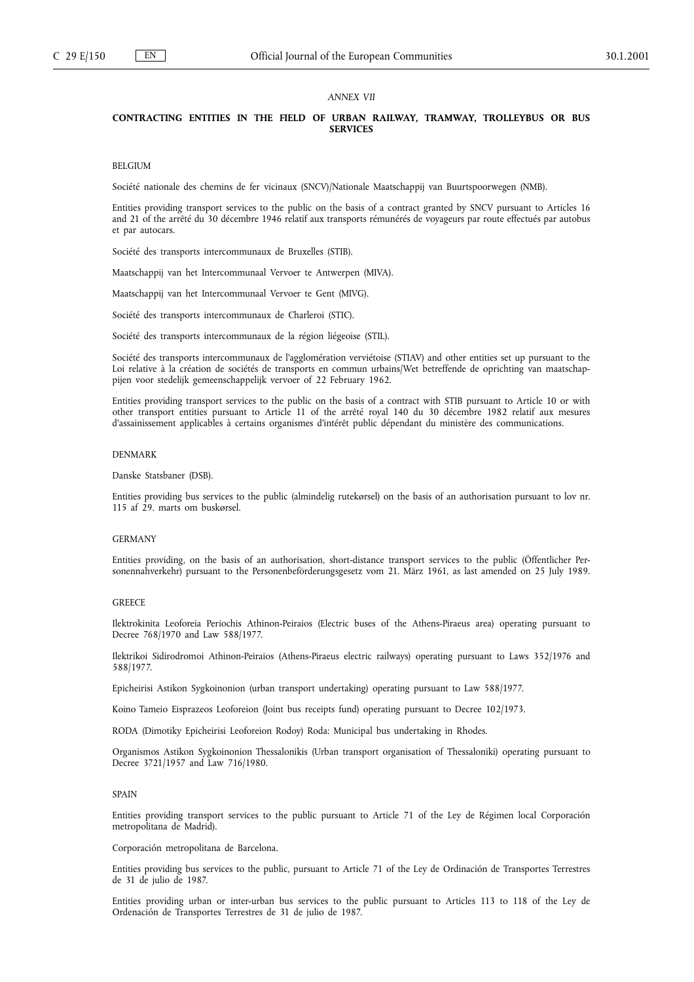#### ANNEX VII

#### CONTRACTING ENTITIES IN THE FIELD OF URBAN RAILWAY, TRAMWAY, TROLLEYBUS OR BUS SERVICES

#### BELGIUM

Société nationale des chemins de fer vicinaux (SNCV)/Nationale Maatschappij van Buurtspoorwegen (NMB).

Entities providing transport services to the public on the basis of a contract granted by SNCV pursuant to Articles 16 and 21 of the arrêté du 30 décembre 1946 relatif aux transports rémunérés de voyageurs par route effectués par autobus et par autocars.

Société des transports intercommunaux de Bruxelles (STIB).

Maatschappij van het Intercommunaal Vervoer te Antwerpen (MIVA).

Maatschappij van het Intercommunaal Vervoer te Gent (MIVG).

Société des transports intercommunaux de Charleroi (STIC).

Société des transports intercommunaux de la région liégeoise (STIL).

Société des transports intercommunaux de l'agglomération verviétoise (STIAV) and other entities set up pursuant to the Loi relative à la création de sociétés de transports en commun urbains/Wet betreffende de oprichting van maatschappijen voor stedelijk gemeenschappelijk vervoer of 22 February 1962.

Entities providing transport services to the public on the basis of a contract with STIB pursuant to Article 10 or with other transport entities pursuant to Article 11 of the arrêté royal 140 du 30 décembre 1982 relatif aux mesures d'assainissement applicables à certains organismes d'intérêt public dépendant du ministère des communications.

### DENMARK

Danske Statsbaner (DSB).

Entities providing bus services to the public (almindelig rutekørsel) on the basis of an authorisation pursuant to lov nr. 115 af 29. marts om buskørsel.

#### **GERMANY**

Entities providing, on the basis of an authorisation, short-distance transport services to the public (Öffentlicher Personennahverkehr) pursuant to the Personenbeförderungsgesetz vom 21. März 1961, as last amended on 25 July 1989.

#### GREECE

Ilektrokinita Leoforeia Periochis Athinon-Peiraios (Electric buses of the Athens-Piraeus area) operating pursuant to Decree 768/1970 and Law 588/1977.

Ilektrikoi Sidirodromoi Athinon-Peiraios (Athens-Piraeus electric railways) operating pursuant to Laws 352/1976 and 588/1977.

Epicheirisi Astikon Sygkoinonion (urban transport undertaking) operating pursuant to Law 588/1977.

Koino Tameio Eisprazeos Leoforeion (Joint bus receipts fund) operating pursuant to Decree 102/1973.

RODA (Dimotiky Epicheirisi Leoforeion Rodoy) Roda: Municipal bus undertaking in Rhodes.

Organismos Astikon Sygkoinonion Thessalonikis (Urban transport organisation of Thessaloniki) operating pursuant to Decree 3721/1957 and Law 716/1980.

#### SPAIN

Entities providing transport services to the public pursuant to Article 71 of the Ley de Régimen local Corporación metropolitana de Madrid).

Corporación metropolitana de Barcelona.

Entities providing bus services to the public, pursuant to Article 71 of the Ley de Ordinación de Transportes Terrestres de 31 de julio de 1987.

Entities providing urban or inter-urban bus services to the public pursuant to Articles 113 to 118 of the Ley de Ordenación de Transportes Terrestres de 31 de julio de 1987.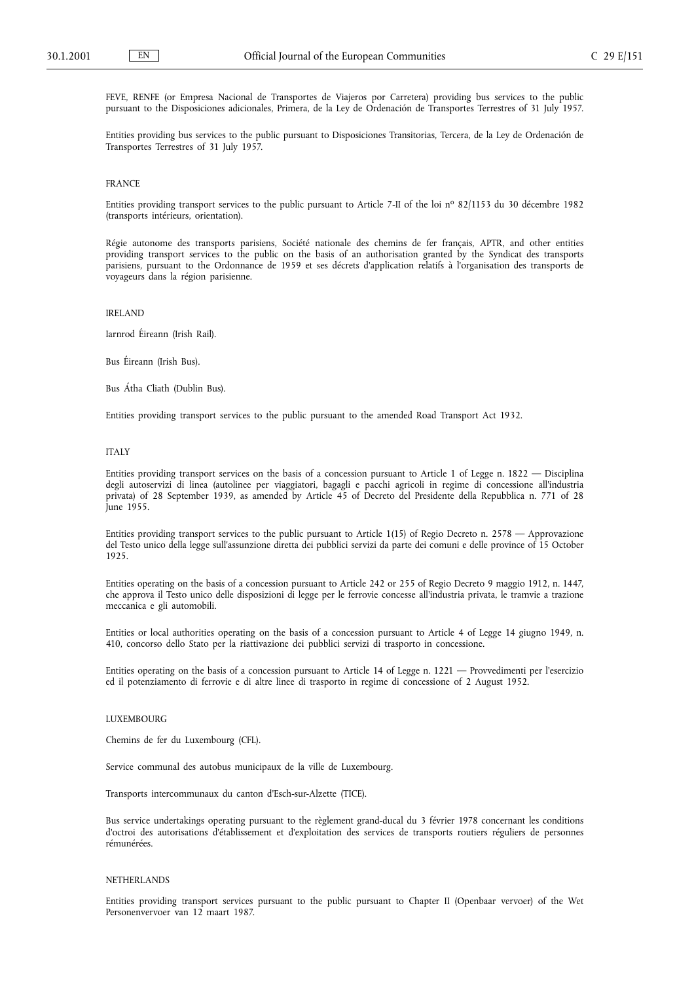FEVE, RENFE (or Empresa Nacional de Transportes de Viajeros por Carretera) providing bus services to the public pursuant to the Disposiciones adicionales, Primera, de la Ley de Ordenación de Transportes Terrestres of 31 July 1957.

Entities providing bus services to the public pursuant to Disposiciones Transitorias, Tercera, de la Ley de Ordenación de Transportes Terrestres of 31 July 1957.

#### FRANCE

Entities providing transport services to the public pursuant to Article 7-II of the loi nº 82/1153 du 30 décembre 1982 (transports intérieurs, orientation).

Régie autonome des transports parisiens, Société nationale des chemins de fer français, APTR, and other entities providing transport services to the public on the basis of an authorisation granted by the Syndicat des transports parisiens, pursuant to the Ordonnance de 1959 et ses décrets d'application relatifs à l'organisation des transports de voyageurs dans la région parisienne.

#### IRELAND

Iarnrod Éireann (Irish Rail).

Bus Éireann (Irish Bus).

Bus Átha Cliath (Dublin Bus).

Entities providing transport services to the public pursuant to the amended Road Transport Act 1932.

## ITALY

Entities providing transport services on the basis of a concession pursuant to Article 1 of Legge n. 1822 — Disciplina degli autoservizi di linea (autolinee per viaggiatori, bagagli e pacchi agricoli in regime di concessione all'industria privata) of 28 September 1939, as amended by Article 45 of Decreto del Presidente della Repubblica n. 771 of 28 June 1955.

Entities providing transport services to the public pursuant to Article 1(15) of Regio Decreto n.  $2578$  - Approvazione del Testo unico della legge sull'assunzione diretta dei pubblici servizi da parte dei comuni e delle province of 15 October 1925.

Entities operating on the basis of a concession pursuant to Article 242 or 255 of Regio Decreto 9 maggio 1912, n. 1447, che approva il Testo unico delle disposizioni di legge per le ferrovie concesse all'industria privata, le tramvie a trazione meccanica e gli automobili.

Entities or local authorities operating on the basis of a concession pursuant to Article 4 of Legge 14 giugno 1949, n. 410, concorso dello Stato per la riattivazione dei pubblici servizi di trasporto in concessione.

Entities operating on the basis of a concession pursuant to Article 14 of Legge n. 1221 — Provvedimenti per l'esercizio ed il potenziamento di ferrovie e di altre linee di trasporto in regime di concessione of 2 August 1952.

### LUXEMBOURG

Chemins de fer du Luxembourg (CFL).

Service communal des autobus municipaux de la ville de Luxembourg.

Transports intercommunaux du canton d'Esch-sur-Alzette (TICE).

Bus service undertakings operating pursuant to the règlement grand-ducal du 3 février 1978 concernant les conditions d'octroi des autorisations d'établissement et d'exploitation des services de transports routiers réguliers de personnes rémunérées

#### NETHERLANDS

Entities providing transport services pursuant to the public pursuant to Chapter II (Openbaar vervoer) of the Wet Personenvervoer van 12 maart 1987.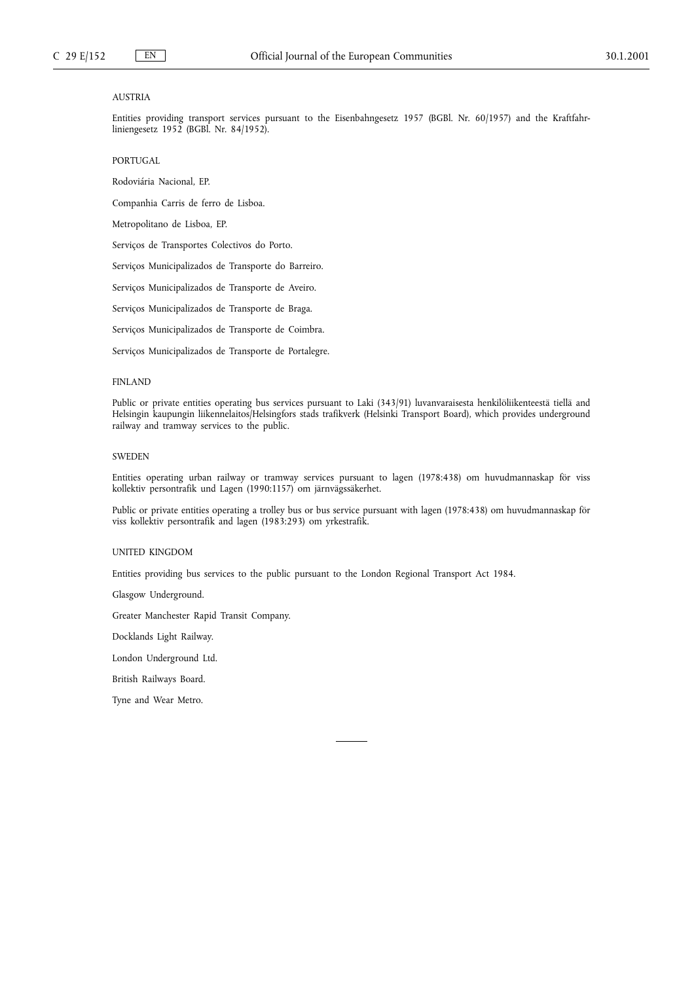# AUSTRIA

Entities providing transport services pursuant to the Eisenbahngesetz 1957 (BGBl. Nr. 60/1957) and the Kraftfahrliniengesetz 1952 (BGBl. Nr. 84/1952).

# PORTUGAL

Rodoviária Nacional, EP.

Companhia Carris de ferro de Lisboa.

Metropolitano de Lisboa, EP.

Serviços de Transportes Colectivos do Porto.

Serviços Municipalizados de Transporte do Barreiro.

Serviços Municipalizados de Transporte de Aveiro.

Serviços Municipalizados de Transporte de Braga.

Serviços Municipalizados de Transporte de Coimbra.

Serviços Municipalizados de Transporte de Portalegre.

## FINLAND

Public or private entities operating bus services pursuant to Laki (343/91) luvanvaraisesta henkilöliikenteestä tiellä and Helsingin kaupungin liikennelaitos/Helsingfors stads trafikverk (Helsinki Transport Board), which provides underground railway and tramway services to the public.

## SWEDEN

Entities operating urban railway or tramway services pursuant to lagen (1978:438) om huvudmannaskap för viss kollektiv persontrafik und Lagen (1990:1157) om järnvägssäkerhet.

Public or private entities operating a trolley bus or bus service pursuant with lagen (1978:438) om huvudmannaskap för viss kollektiv persontrafik and lagen (1983:293) om yrkestrafik.

#### UNITED KINGDOM

Entities providing bus services to the public pursuant to the London Regional Transport Act 1984.

Glasgow Underground.

Greater Manchester Rapid Transit Company.

Docklands Light Railway.

London Underground Ltd.

British Railways Board.

Tyne and Wear Metro.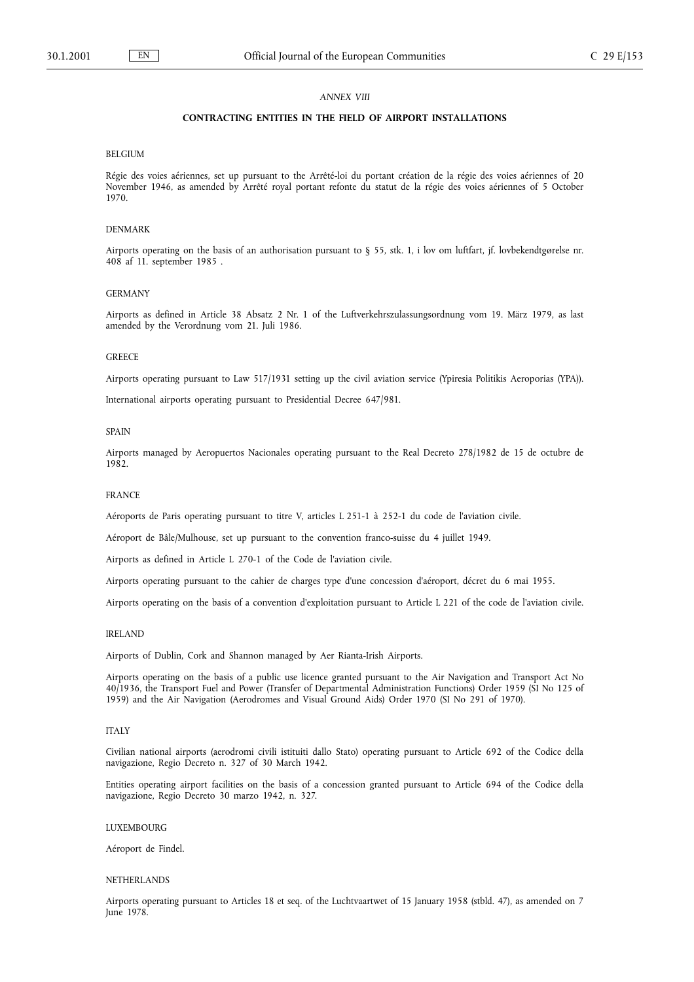## ANNEX VIII

# CONTRACTING ENTITIES IN THE FIELD OF AIRPORT INSTALLATIONS

### BELGIUM

Régie des voies aériennes, set up pursuant to the Arrêté-loi du portant création de la régie des voies aériennes of 20 November 1946, as amended by Arrêté royal portant refonte du statut de la régie des voies aériennes of 5 October 1970.

#### DENMARK

Airports operating on the basis of an authorisation pursuant to  $\S$  55, stk. 1, i lov om luftfart, if. lovbekendtgørelse nr. 408 af 11. september 1985 .

#### **GERMANY**

Airports as defined in Article 38 Absatz 2 Nr. 1 of the Luftverkehrszulassungsordnung vom 19. März 1979, as last amended by the Verordnung vom 21. Juli 1986.

## **GREECE**

Airports operating pursuant to Law 517/1931 setting up the civil aviation service (Ypiresia Politikis Aeroporias (YPA)).

International airports operating pursuant to Presidential Decree 647/981.

#### **SPAIN**

Airports managed by Aeropuertos Nacionales operating pursuant to the Real Decreto 278/1982 de 15 de octubre de 1982.

#### FRANCE

Aéroports de Paris operating pursuant to titre V, articles L 251-1 à 252-1 du code de l'aviation civile.

Aéroport de Bâle/Mulhouse, set up pursuant to the convention franco-suisse du 4 juillet 1949.

Airports as defined in Article L 270-1 of the Code de l'aviation civile.

Airports operating pursuant to the cahier de charges type d'une concession d'aéroport, décret du 6 mai 1955.

Airports operating on the basis of a convention d'exploitation pursuant to Article L 221 of the code de l'aviation civile.

#### IRELAND

Airports of Dublin, Cork and Shannon managed by Aer Rianta-Irish Airports.

Airports operating on the basis of a public use licence granted pursuant to the Air Navigation and Transport Act No 40/1936, the Transport Fuel and Power (Transfer of Departmental Administration Functions) Order 1959 (SI No 125 of 1959) and the Air Navigation (Aerodromes and Visual Ground Aids) Order 1970 (SI No 291 of 1970).

#### ITALY

Civilian national airports (aerodromi civili istituiti dallo Stato) operating pursuant to Article 692 of the Codice della navigazione, Regio Decreto n. 327 of 30 March 1942.

Entities operating airport facilities on the basis of a concession granted pursuant to Article 694 of the Codice della navigazione, Regio Decreto 30 marzo 1942, n. 327.

#### LUXEMBOURG

Aéroport de Findel.

#### NETHERLANDS

Airports operating pursuant to Articles 18 et seq. of the Luchtvaartwet of 15 January 1958 (stbld. 47), as amended on 7 June 1978.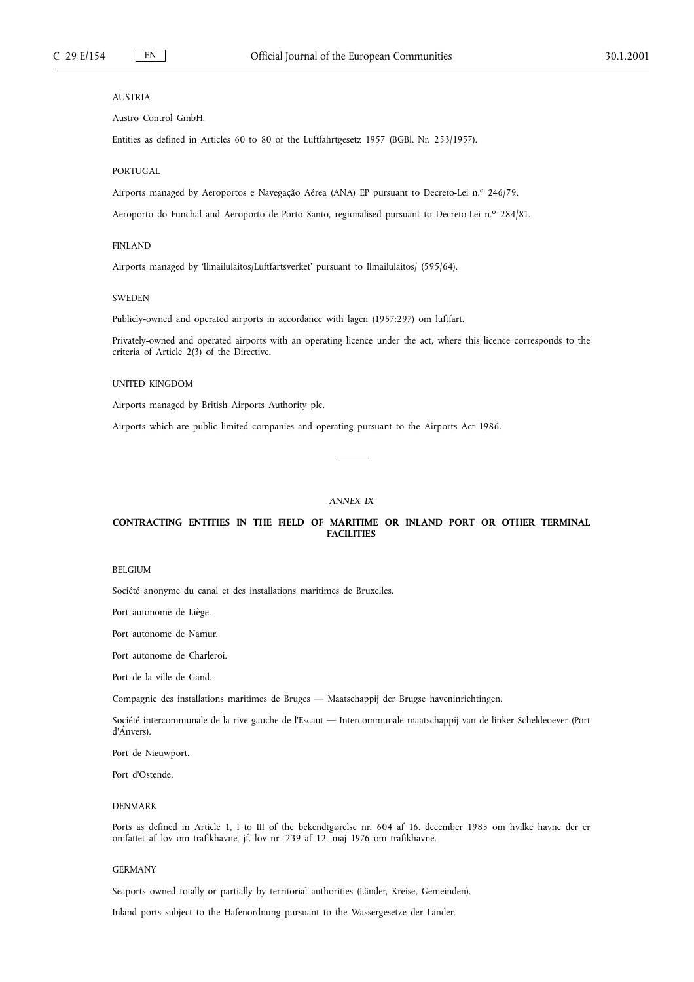# AUSTRIA

Austro Control GmbH.

Entities as defined in Articles 60 to 80 of the Luftfahrtgesetz 1957 (BGBl. Nr. 253/1957).

## PORTUGAL

Airports managed by Aeroportos e Navegação Aérea (ANA) EP pursuant to Decreto-Lei n.º 246/79.

Aeroporto do Funchal and Aeroporto de Porto Santo, regionalised pursuant to Decreto-Lei n.º 284/81.

### FINLAND

Airports managed by 'Ilmailulaitos/Luftfartsverket' pursuant to Ilmailulaitos/ (595/64).

### SWEDEN

Publicly-owned and operated airports in accordance with lagen (1957:297) om luftfart.

Privately-owned and operated airports with an operating licence under the act, where this licence corresponds to the criteria of Article 2(3) of the Directive.

### UNITED KINGDOM

Airports managed by British Airports Authority plc.

Airports which are public limited companies and operating pursuant to the Airports Act 1986.

#### ANNEX IX

# CONTRACTING ENTITIES IN THE FIELD OF MARITIME OR INLAND PORT OR OTHER TERMINAL **FACILITIES**

## BELGIUM

Société anonyme du canal et des installations maritimes de Bruxelles.

Port autonome de Liège.

Port autonome de Namur.

Port autonome de Charleroi.

Port de la ville de Gand.

Compagnie des installations maritimes de Bruges - Maatschappij der Brugse haveninrichtingen.

Société intercommunale de la rive gauche de l'Escaut — Intercommunale maatschappij van de linker Scheldeoever (Port d'Ánvers).

Port de Nieuwport.

Port d'Ostende.

### DENMARK

Ports as defined in Article 1, I to III of the bekendtgørelse nr. 604 af 16. december 1985 om hvilke havne der er omfattet af lov om trafikhavne, jf. lov nr. 239 af 12. maj 1976 om trafikhavne.

#### GERMANY

Seaports owned totally or partially by territorial authorities (Länder, Kreise, Gemeinden).

Inland ports subject to the Hafenordnung pursuant to the Wassergesetze der Länder.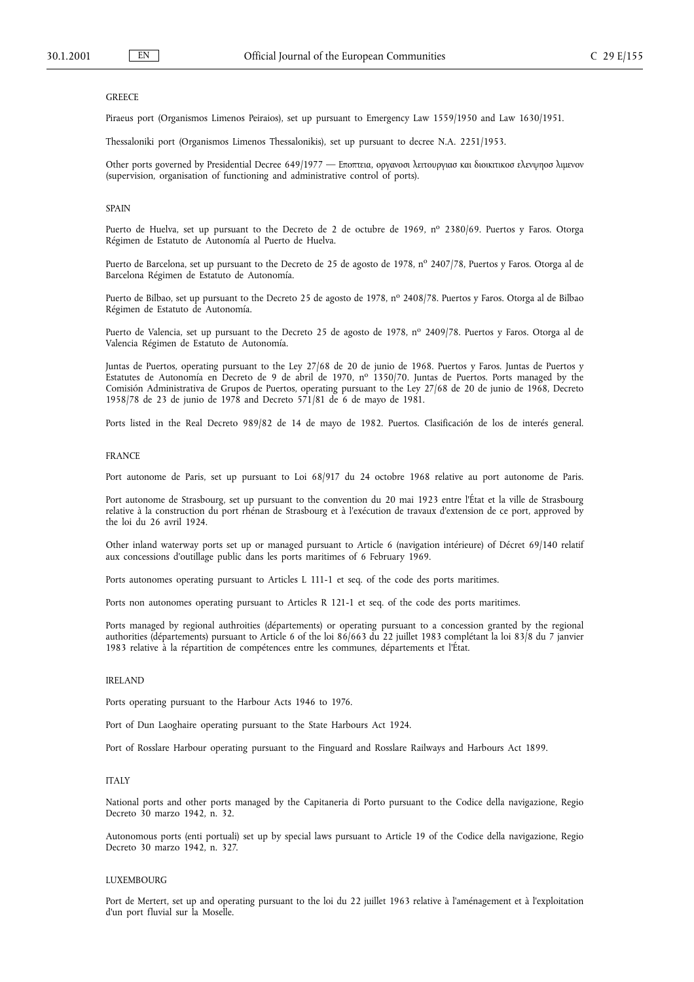## **GREECE**

Piraeus port (Organismos Limenos Peiraios), set up pursuant to Emergency Law 1559/1950 and Law 1630/1951.

Thessaloniki port (Organismos Limenos Thessalonikis), set up pursuant to decree N.A. 2251/1953.

Other ports governed by Presidential Decree 649/1977 — Εποπτεια, οργανοσι λειτουργιασ και διοικιτικοσ ελενψηοσ λιμενον (supervision, organisation of functioning and administrative control of ports).

#### SPAIN

Puerto de Huelva, set up pursuant to the Decreto de 2 de octubre de 1969, nº 2380/69. Puertos y Faros. Otorga Régimen de Estatuto de Autonomía al Puerto de Huelva.

Puerto de Barcelona, set up pursuant to the Decreto de 25 de agosto de 1978, nº 2407/78, Puertos y Faros. Otorga al de Barcelona Régimen de Estatuto de Autonomía.

Puerto de Bilbao, set up pursuant to the Decreto 25 de agosto de 1978, nº 2408/78. Puertos y Faros. Otorga al de Bilbao Régimen de Estatuto de Autonomía.

Puerto de Valencia, set up pursuant to the Decreto 25 de agosto de 1978, nº 2409/78. Puertos y Faros. Otorga al de Valencia Régimen de Estatuto de Autonomía.

Juntas de Puertos, operating pursuant to the Ley 27/68 de 20 de junio de 1968. Puertos y Faros. Juntas de Puertos y Estatutes de Autonomía en Decreto de 9 de abril de 1970, n<sup>o</sup> 1350/70. Juntas de Puertos. Ports managed by the Comisión Administrativa de Grupos de Puertos, operating pursuant to the Ley 27/68 de 20 de junio de 1968, Decreto 1958/78 de 23 de junio de 1978 and Decreto 571/81 de 6 de mayo de 1981.

Ports listed in the Real Decreto 989/82 de 14 de mayo de 1982. Puertos. Clasificación de los de interés general.

### FRANCE

Port autonome de Paris, set up pursuant to Loi 68/917 du 24 octobre 1968 relative au port autonome de Paris.

Port autonome de Strasbourg, set up pursuant to the convention du 20 mai 1923 entre l'État et la ville de Strasbourg relative à la construction du port rhénan de Strasbourg et à l'exécution de travaux d'extension de ce port, approved by the loi du 26 avril 1924.

Other inland waterway ports set up or managed pursuant to Article 6 (navigation intérieure) of Décret 69/140 relatif aux concessions d'outillage public dans les ports maritimes of 6 February 1969.

Ports autonomes operating pursuant to Articles L 111-1 et seq. of the code des ports maritimes.

Ports non autonomes operating pursuant to Articles R 121-1 et seq. of the code des ports maritimes.

Ports managed by regional authroities (départements) or operating pursuant to a concession granted by the regional authorities (départements) pursuant to Article 6 of the loi 86/663 du 22 juillet 1983 complétant la loi 83/8 du 7 janvier 1983 relative à la répartition de compétences entre les communes, départements et l'État.

### IRELAND

Ports operating pursuant to the Harbour Acts 1946 to 1976.

Port of Dun Laoghaire operating pursuant to the State Harbours Act 1924.

Port of Rosslare Harbour operating pursuant to the Finguard and Rosslare Railways and Harbours Act 1899.

### **ITALY**

National ports and other ports managed by the Capitaneria di Porto pursuant to the Codice della navigazione, Regio Decreto 30 marzo 1942, n. 32.

Autonomous ports (enti portuali) set up by special laws pursuant to Article 19 of the Codice della navigazione, Regio Decreto 30 marzo 1942, n. 327.

#### **LUXEMBOURG**

Port de Mertert, set up and operating pursuant to the loi du 22 juillet 1963 relative à l'aménagement et à l'exploitation d'un port fluvial sur la Moselle.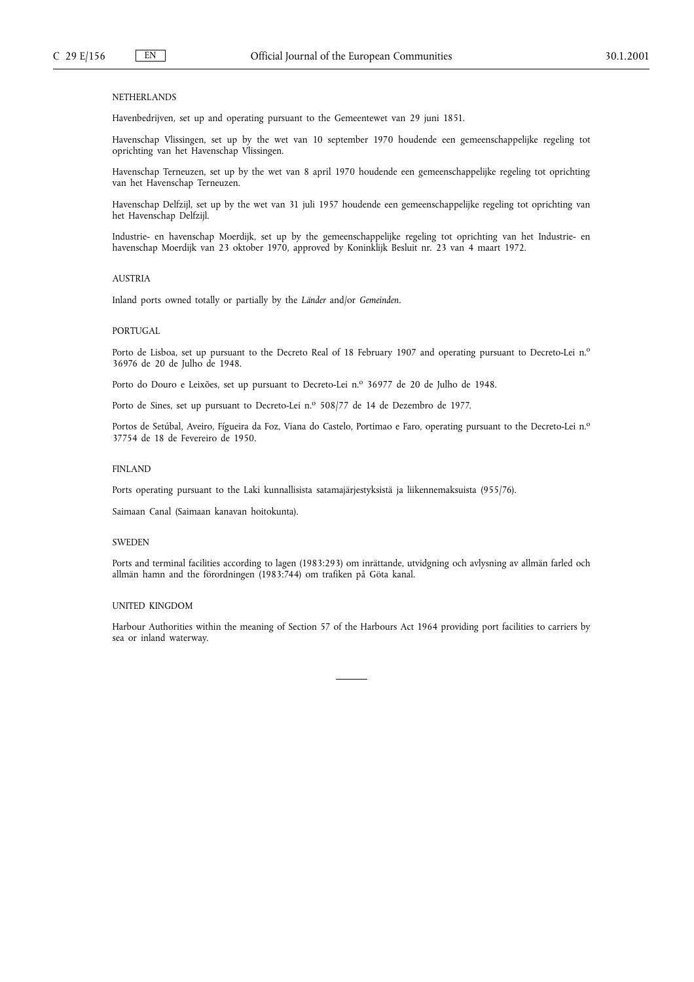### NETHERLANDS

Havenbedrijven, set up and operating pursuant to the Gemeentewet van 29 juni 1851.

Havenschap Vlissingen, set up by the wet van 10 september 1970 houdende een gemeenschappelijke regeling tot oprichting van het Havenschap Vlissingen.

Havenschap Terneuzen, set up by the wet van 8 april 1970 houdende een gemeenschappelijke regeling tot oprichting van het Havenschap Terneuzen.

Havenschap Delfzijl, set up by the wet van 31 juli 1957 houdende een gemeenschappelijke regeling tot oprichting van het Havenschap Delfzijl.

Industrie- en havenschap Moerdijk, set up by the gemeenschappelijke regeling tot oprichting van het Industrie- en havenschap Moerdijk van 23 oktober 1970, approved by Koninklijk Besluit nr. 23 van 4 maart 1972.

#### AUSTRIA

Inland ports owned totally or partially by the Länder and/or Gemeinden.

#### PORTUGAL

Porto de Lisboa, set up pursuant to the Decreto Real of 18 February 1907 and operating pursuant to Decreto-Lei n.º 36976 de 20 de Julho de 1948.

Porto do Douro e Leixões, set up pursuant to Decreto-Lei n.º 36977 de 20 de Julho de 1948.

Porto de Sines, set up pursuant to Decreto-Lei n.º 508/77 de 14 de Dezembro de 1977.

Portos de Setúbal, Aveiro, Fígueira da Foz, Viana do Castelo, Portimao e Faro, operating pursuant to the Decreto-Lei n.º 37754 de 18 de Fevereiro de 1950.

## FINLAND

Ports operating pursuant to the Laki kunnallisista satamajärjestyksistä ja liikennemaksuista (955/76).

Saimaan Canal (Saimaan kanavan hoitokunta).

# SWEDEN

Ports and terminal facilities according to lagen (1983:293) om inrättande, utvidgning och avlysning av allmän farled och allmän hamn and the förordningen (1983:744) om trafiken på Göta kanal.

# UNITED KINGDOM

Harbour Authorities within the meaning of Section 57 of the Harbours Act 1964 providing port facilities to carriers by sea or inland waterway.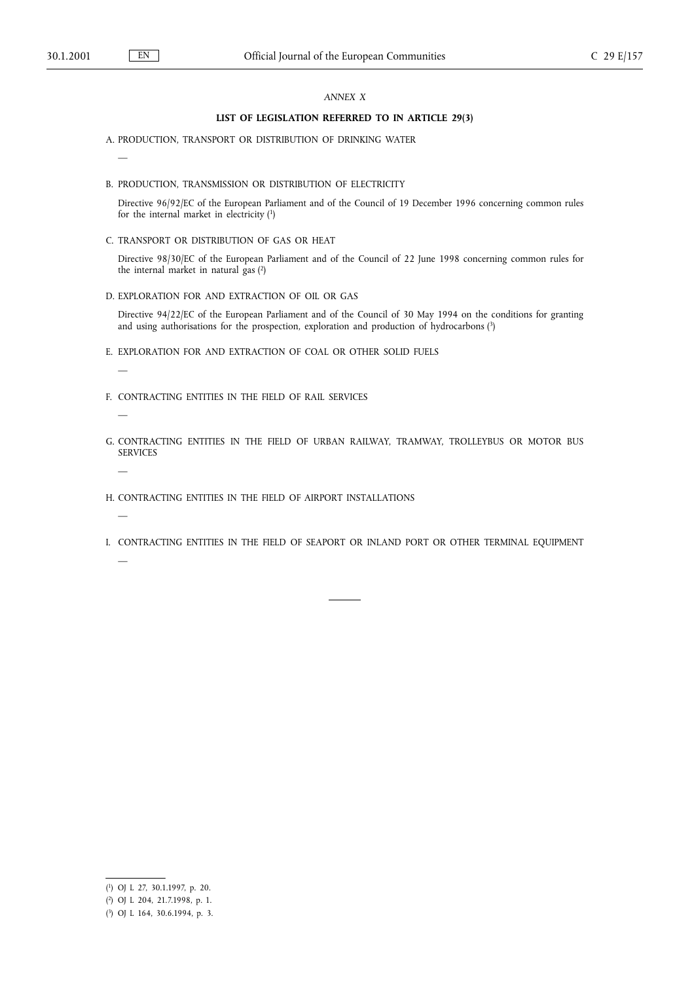# ANNEX X

### LIST OF LEGISLATION REFERRED TO IN ARTICLE 29(3)

A. PRODUCTION, TRANSPORT OR DISTRIBUTION OF DRINKING WATER

—<br>—

B. PRODUCTION, TRANSMISSION OR DISTRIBUTION OF ELECTRICITY

Directive 96/92/EC of the European Parliament and of the Council of 19 December 1996 concerning common rules for the internal market in electricity (1)

C. TRANSPORT OR DISTRIBUTION OF GAS OR HEAT

Directive 98/30/EC of the European Parliament and of the Council of 22 June 1998 concerning common rules for the internal market in natural gas (2)

D. EXPLORATION FOR AND EXTRACTION OF OIL OR GAS

Directive 94/22/EC of the European Parliament and of the Council of 30 May 1994 on the conditions for granting and using authorisations for the prospection, exploration and production of hydrocarbons (3)

E. EXPLORATION FOR AND EXTRACTION OF COAL OR OTHER SOLID FUELS

÷,

F. CONTRACTING ENTITIES IN THE FIELD OF RAIL SERVICES

 $\overline{\phantom{0}}$ 

- G. CONTRACTING ENTITIES IN THE FIELD OF URBAN RAILWAY, TRAMWAY, TROLLEYBUS OR MOTOR BUS SERVICES
	- $\overline{\phantom{0}}$

—<br>—

÷,

- H. CONTRACTING ENTITIES IN THE FIELD OF AIRPORT INSTALLATIONS
- I. CONTRACTING ENTITIES IN THE FIELD OF SEAPORT OR INLAND PORT OR OTHER TERMINAL EQUIPMENT

<sup>(</sup> 1) OJ L 27, 30.1.1997, p. 20.

<sup>(</sup> 2) OJ L 204, 21.7.1998, p. 1.

<sup>(</sup> 3) OJ L 164, 30.6.1994, p. 3.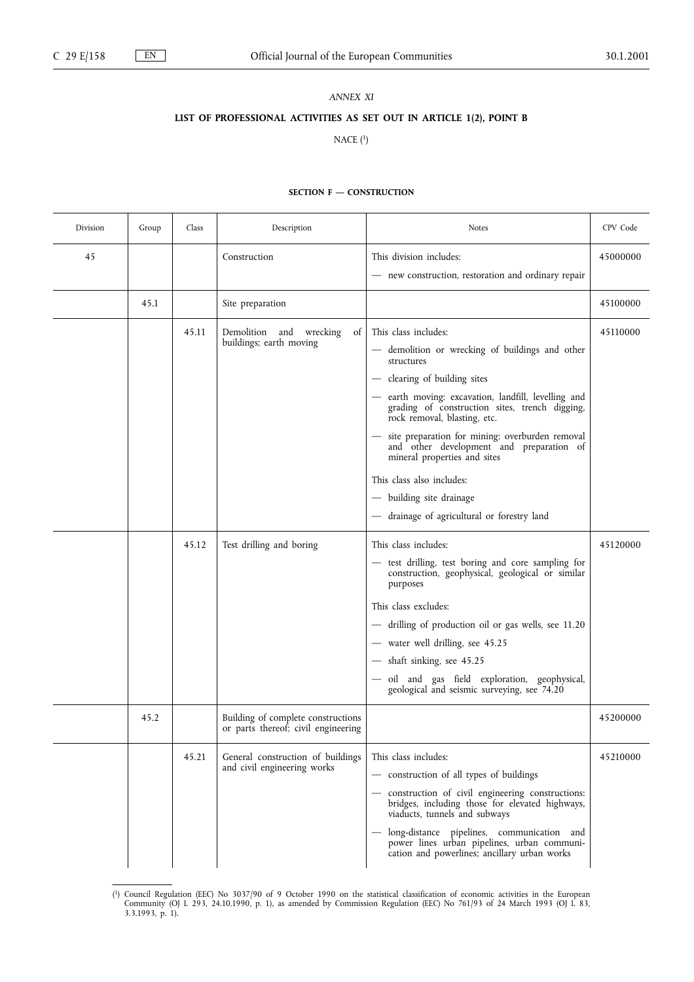# ANNEX XI

# LIST OF PROFESSIONAL ACTIVITIES AS SET OUT IN ARTICLE 1(2), POINT B

# NACE $(1)$

### SECTION F - CONSTRUCTION

| Division | Group | Class | Description                                                               | Notes                                                                                                                                                                                                                                                                                                                                                                                                                                                                                               | CPV Code |
|----------|-------|-------|---------------------------------------------------------------------------|-----------------------------------------------------------------------------------------------------------------------------------------------------------------------------------------------------------------------------------------------------------------------------------------------------------------------------------------------------------------------------------------------------------------------------------------------------------------------------------------------------|----------|
| 45       |       |       | Construction                                                              | This division includes:<br>- new construction, restoration and ordinary repair                                                                                                                                                                                                                                                                                                                                                                                                                      | 45000000 |
|          | 45.1  |       | Site preparation                                                          |                                                                                                                                                                                                                                                                                                                                                                                                                                                                                                     | 45100000 |
|          |       | 45.11 | Demolition and wrecking<br>of<br>buildings; earth moving                  | This class includes:<br>- demolition or wrecking of buildings and other<br>structures<br>clearing of building sites<br>- earth moving: excavation, landfill, levelling and<br>grading of construction sites, trench digging,<br>rock removal, blasting, etc.<br>site preparation for mining: overburden removal<br>and other development and preparation of<br>mineral properties and sites<br>This class also includes:<br>- building site drainage<br>- drainage of agricultural or forestry land | 45110000 |
|          |       | 45.12 | Test drilling and boring                                                  | This class includes:<br>- test drilling, test boring and core sampling for<br>construction, geophysical, geological or similar<br>purposes<br>This class excludes:<br>- drilling of production oil or gas wells, see 11.20<br>— water well drilling, see 45.25<br>shaft sinking, see 45.25<br>- oil and gas field exploration, geophysical,<br>geological and seismic surveying, see 74.20                                                                                                          | 45120000 |
|          | 45.2  |       | Building of complete constructions<br>or parts thereof; civil engineering |                                                                                                                                                                                                                                                                                                                                                                                                                                                                                                     | 45200000 |
|          |       | 45.21 | General construction of buildings<br>and civil engineering works          | This class includes:<br>- construction of all types of buildings<br>- construction of civil engineering constructions:<br>bridges, including those for elevated highways,<br>viaducts, tunnels and subways<br>long-distance pipelines, communication and<br>$\overline{\phantom{m}}$<br>power lines urban pipelines, urban communi-<br>cation and powerlines; ancillary urban works                                                                                                                 | 45210000 |

<sup>(</sup> $^1$ ) Council Regulation (EEC) No 3037/90 of 9 October 1990 on the statistical classification of economic activities in the European Community (OJ L 293, 24.10.1990, p. 1), as amended by Commission Regulation (EEC) No 76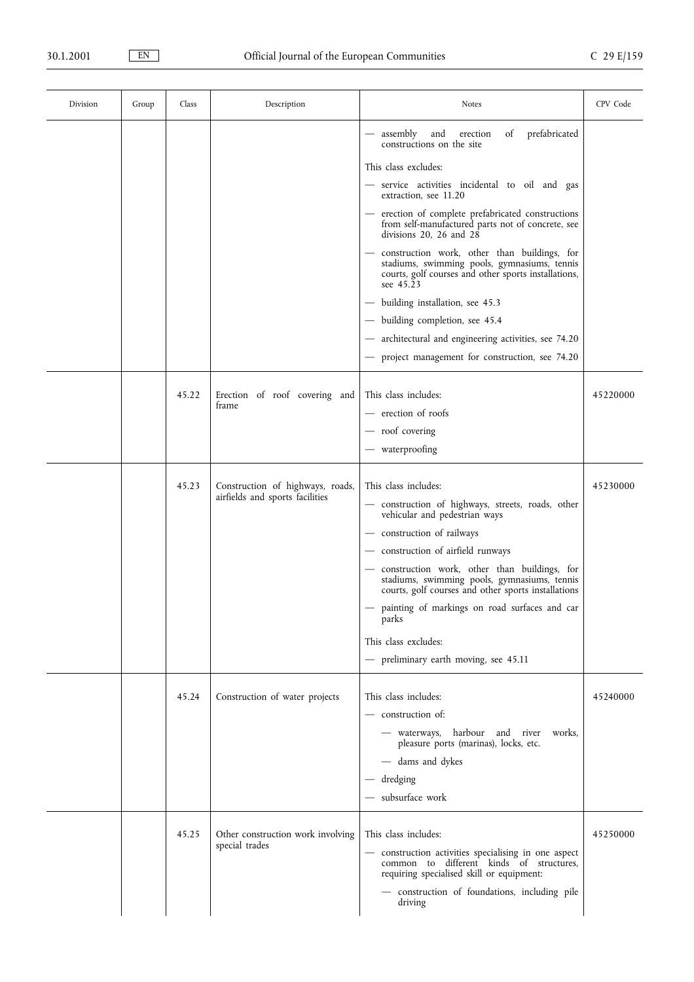| Division | Group | Class | Description                                                         | <b>Notes</b>                                                                                                                                                                                                                                                                                                                                                                                                                                                                                                                                                                                                                                                                                  | CPV Code |
|----------|-------|-------|---------------------------------------------------------------------|-----------------------------------------------------------------------------------------------------------------------------------------------------------------------------------------------------------------------------------------------------------------------------------------------------------------------------------------------------------------------------------------------------------------------------------------------------------------------------------------------------------------------------------------------------------------------------------------------------------------------------------------------------------------------------------------------|----------|
|          |       |       |                                                                     | prefabricated<br>— assembly<br>of<br>and<br>erection<br>constructions on the site<br>This class excludes:<br>- service activities incidental to oil and gas<br>extraction, see 11.20<br>- erection of complete prefabricated constructions<br>from self-manufactured parts not of concrete, see<br>divisions $20$ , $26$ and $28$<br>- construction work, other than buildings, for<br>stadiums, swimming pools, gymnasiums, tennis<br>courts, golf courses and other sports installations,<br>see 45.23<br>- building installation, see 45.3<br>- building completion, see 45.4<br>- architectural and engineering activities, see 74.20<br>- project management for construction, see 74.20 |          |
|          |       | 45.22 | Erection of roof covering and<br>frame                              | This class includes:<br>- erection of roofs<br>- roof covering<br>— waterproofing                                                                                                                                                                                                                                                                                                                                                                                                                                                                                                                                                                                                             | 45220000 |
|          |       | 45.23 | Construction of highways, roads,<br>airfields and sports facilities | This class includes:<br>- construction of highways, streets, roads, other<br>vehicular and pedestrian ways<br>- construction of railways<br>- construction of airfield runways<br>- construction work, other than buildings, for<br>stadiums, swimming pools, gymnasiums, tennis<br>courts, golf courses and other sports installations<br>- painting of markings on road surfaces and car<br>parks<br>This class excludes:<br>- preliminary earth moving, see 45.11                                                                                                                                                                                                                          | 45230000 |
|          |       | 45.24 | Construction of water projects                                      | This class includes:<br>- construction of:<br>- waterways, harbour and river works,<br>pleasure ports (marinas), locks, etc.<br>- dams and dykes<br>— dredging<br>- subsurface work                                                                                                                                                                                                                                                                                                                                                                                                                                                                                                           | 45240000 |
|          |       | 45.25 | Other construction work involving<br>special trades                 | This class includes:<br>- construction activities specialising in one aspect<br>common to different kinds of structures,<br>requiring specialised skill or equipment:<br>- construction of foundations, including pile<br>driving                                                                                                                                                                                                                                                                                                                                                                                                                                                             | 45250000 |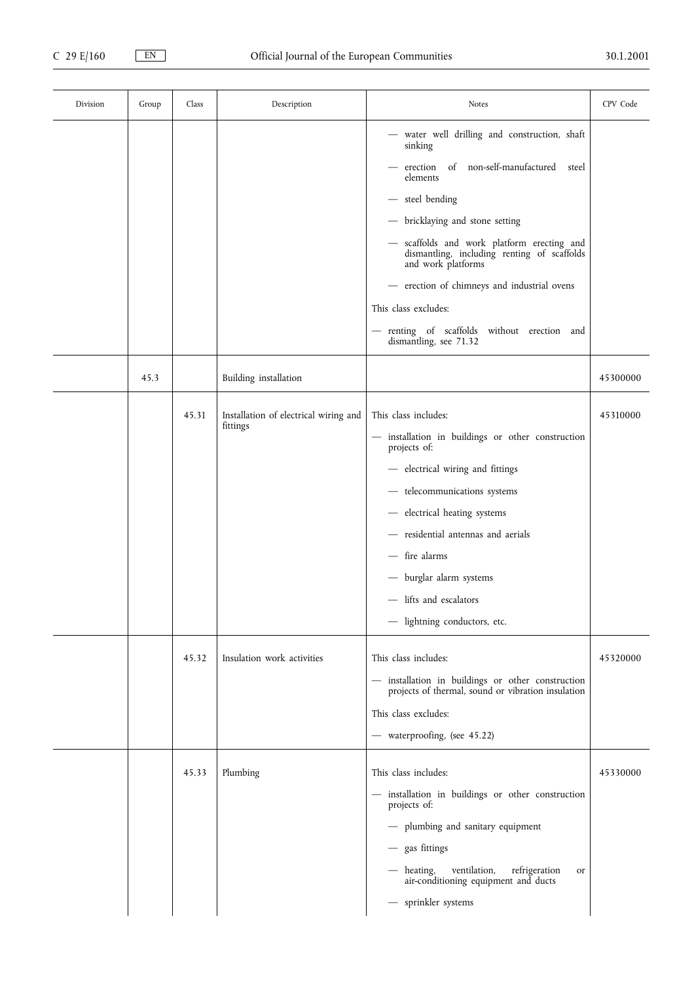| Division | Group | Class | Description                                       | <b>Notes</b>                                                                                                                                                                                                                                                                                                                               | CPV Code |
|----------|-------|-------|---------------------------------------------------|--------------------------------------------------------------------------------------------------------------------------------------------------------------------------------------------------------------------------------------------------------------------------------------------------------------------------------------------|----------|
|          |       |       |                                                   | - water well drilling and construction, shaft<br>sinking<br>erection of non-self-manufactured<br>steel<br>elements<br>- steel bending<br>- bricklaying and stone setting<br>- scaffolds and work platform erecting and<br>dismantling, including renting of scaffolds<br>and work platforms<br>- erection of chimneys and industrial ovens |          |
|          |       |       |                                                   | This class excludes:<br>- renting of scaffolds without erection and<br>dismantling, see 71.32                                                                                                                                                                                                                                              |          |
|          | 45.3  |       | Building installation                             |                                                                                                                                                                                                                                                                                                                                            | 45300000 |
|          |       | 45.31 | Installation of electrical wiring and<br>fittings | This class includes:<br>- installation in buildings or other construction<br>projects of:<br>- electrical wiring and fittings<br>- telecommunications systems<br>- electrical heating systems<br>- residential antennas and aerials<br>- fire alarms<br>- burglar alarm systems<br>- lifts and escalators<br>- lightning conductors, etc.  | 45310000 |
|          |       | 45.32 | Insulation work activities                        | This class includes:<br>- installation in buildings or other construction<br>projects of thermal, sound or vibration insulation<br>This class excludes:<br>- waterproofing, (see 45.22)                                                                                                                                                    | 45320000 |
|          |       | 45.33 | Plumbing                                          | This class includes:<br>- installation in buildings or other construction<br>projects of:<br>- plumbing and sanitary equipment<br>- gas fittings<br>ventilation,<br>refrigeration<br>— heating,<br><sub>or</sub><br>air-conditioning equipment and ducts<br>- sprinkler systems                                                            | 45330000 |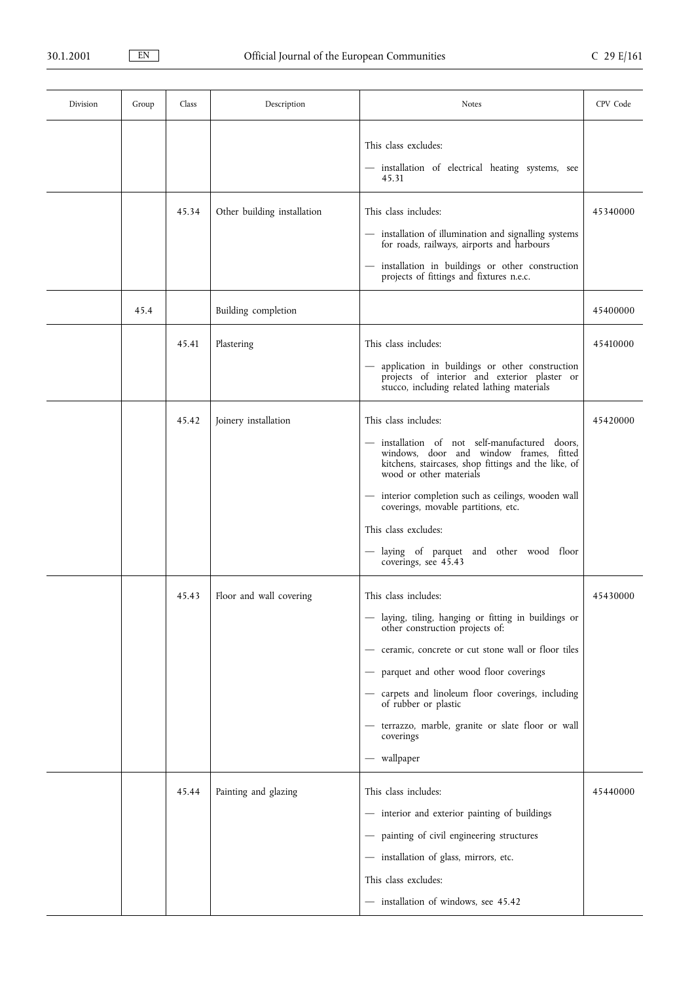| Division | Group | Class | Description                 | Notes                                                                                                                                                                                                                                                                                                                                                                                          | CPV Code |
|----------|-------|-------|-----------------------------|------------------------------------------------------------------------------------------------------------------------------------------------------------------------------------------------------------------------------------------------------------------------------------------------------------------------------------------------------------------------------------------------|----------|
|          |       |       |                             | This class excludes:<br>- installation of electrical heating systems, see<br>45.31                                                                                                                                                                                                                                                                                                             |          |
|          |       | 45.34 | Other building installation | This class includes:<br>- installation of illumination and signalling systems<br>for roads, railways, airports and harbours<br>- installation in buildings or other construction<br>projects of fittings and fixtures n.e.c.                                                                                                                                                                   | 45340000 |
|          | 45.4  |       | Building completion         |                                                                                                                                                                                                                                                                                                                                                                                                | 45400000 |
|          |       | 45.41 | Plastering                  | This class includes:<br>application in buildings or other construction<br>projects of interior and exterior plaster or<br>stucco, including related lathing materials                                                                                                                                                                                                                          | 45410000 |
|          |       | 45.42 | Joinery installation        | This class includes:<br>- installation of not self-manufactured doors,<br>windows, door and window frames, fitted<br>kitchens, staircases, shop fittings and the like, of<br>wood or other materials<br>- interior completion such as ceilings, wooden wall<br>coverings, movable partitions, etc.<br>This class excludes:<br>- laying of parquet and other wood floor<br>coverings, see 45.43 | 45420000 |
|          |       | 45.43 | Floor and wall covering     | This class includes:<br>laying, tiling, hanging or fitting in buildings or<br>other construction projects of:<br>- ceramic, concrete or cut stone wall or floor tiles<br>- parquet and other wood floor coverings<br>- carpets and linoleum floor coverings, including<br>of rubber or plastic<br>- terrazzo, marble, granite or slate floor or wall<br>coverings<br>- wallpaper               | 45430000 |
|          |       | 45.44 | Painting and glazing        | This class includes:<br>- interior and exterior painting of buildings<br>- painting of civil engineering structures<br>- installation of glass, mirrors, etc.<br>This class excludes:<br>- installation of windows, see 45.42                                                                                                                                                                  | 45440000 |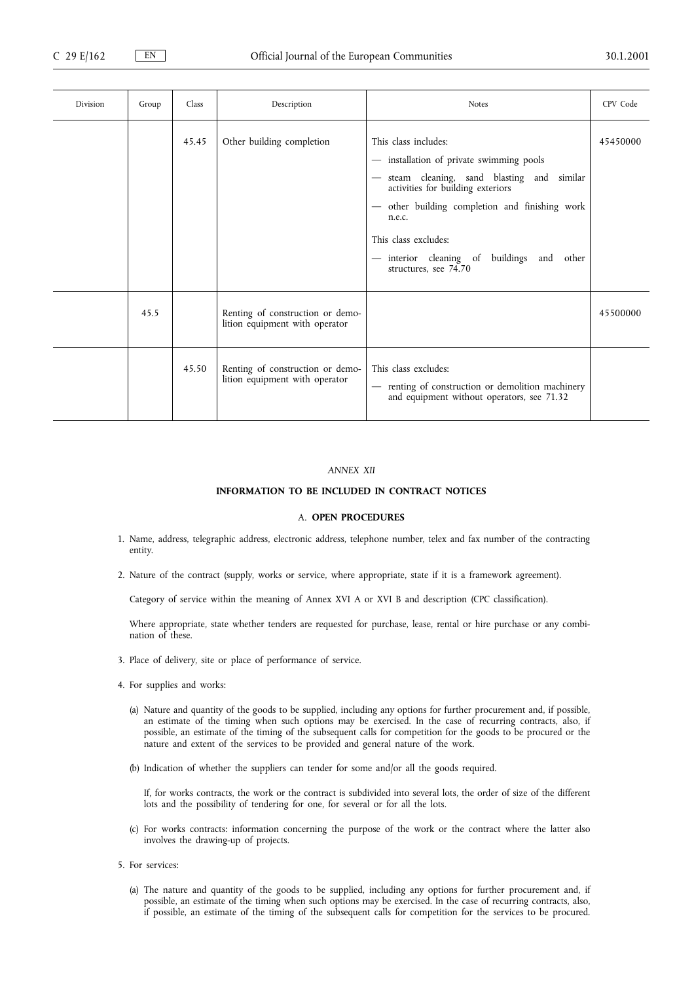| Division | Group | Class | Description                                                        | <b>Notes</b>                                                                                                                                                                                                                                                                                                  | CPV Code |
|----------|-------|-------|--------------------------------------------------------------------|---------------------------------------------------------------------------------------------------------------------------------------------------------------------------------------------------------------------------------------------------------------------------------------------------------------|----------|
|          |       | 45.45 | Other building completion                                          | This class includes:<br>- installation of private swimming pools<br>steam cleaning, sand blasting and similar<br>activities for building exteriors<br>- other building completion and finishing work<br>n.e.c.<br>This class excludes:<br>- interior cleaning of buildings and other<br>structures, see 74.70 | 45450000 |
|          | 45.5  |       | Renting of construction or demo-<br>lition equipment with operator |                                                                                                                                                                                                                                                                                                               | 45500000 |
|          |       | 45.50 | Renting of construction or demo-<br>lition equipment with operator | This class excludes:<br>- renting of construction or demolition machinery<br>and equipment without operators, see 71.32                                                                                                                                                                                       |          |

## ANNEX XII

# INFORMATION TO BE INCLUDED IN CONTRACT NOTICES

## A. OPEN PROCEDURES

- 1. Name, address, telegraphic address, electronic address, telephone number, telex and fax number of the contracting entity.
- 2. Nature of the contract (supply, works or service, where appropriate, state if it is a framework agreement).

Category of service within the meaning of Annex XVI A or XVI B and description (CPC classification).

Where appropriate, state whether tenders are requested for purchase, lease, rental or hire purchase or any combination of these.

- 3. Place of delivery, site or place of performance of service.
- 4. For supplies and works:
	- (a) Nature and quantity of the goods to be supplied, including any options for further procurement and, if possible, an estimate of the timing when such options may be exercised. In the case of recurring contracts, also, if possible, an estimate of the timing of the subsequent calls for competition for the goods to be procured or the nature and extent of the services to be provided and general nature of the work.
	- (b) Indication of whether the suppliers can tender for some and/or all the goods required.

If, for works contracts, the work or the contract is subdivided into several lots, the order of size of the different lots and the possibility of tendering for one, for several or for all the lots.

- (c) For works contracts: information concerning the purpose of the work or the contract where the latter also involves the drawing-up of projects.
- 5. For services:
	- (a) The nature and quantity of the goods to be supplied, including any options for further procurement and, if possible, an estimate of the timing when such options may be exercised. In the case of recurring contracts, also, if possible, an estimate of the timing of the subsequent calls for competition for the services to be procured.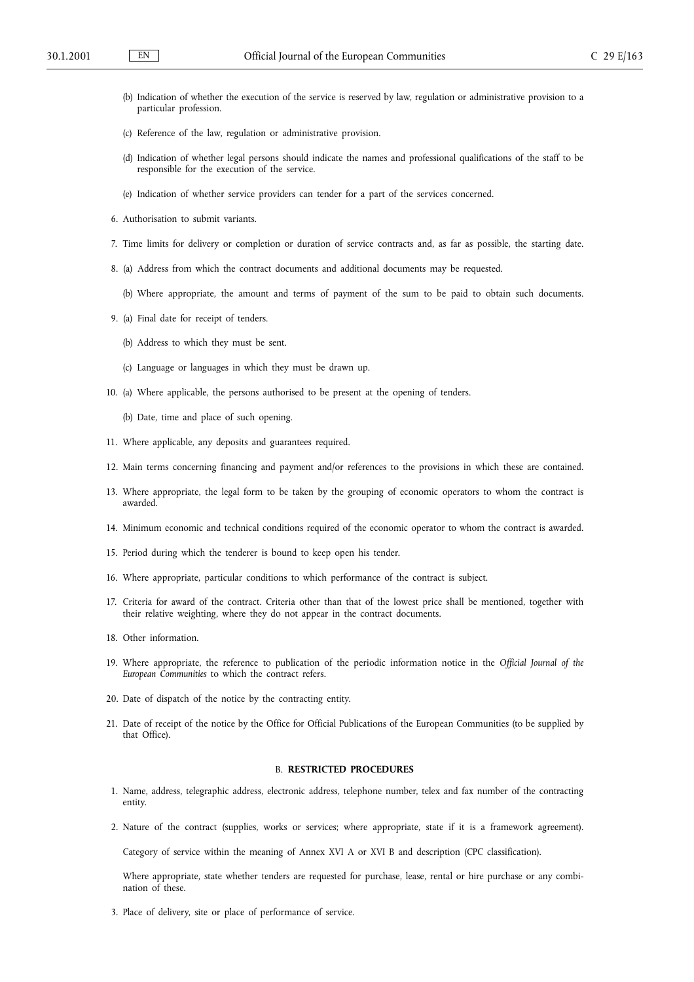- (b) Indication of whether the execution of the service is reserved by law, regulation or administrative provision to a particular profession.
- (c) Reference of the law, regulation or administrative provision.
- (d) Indication of whether legal persons should indicate the names and professional qualifications of the staff to be responsible for the execution of the service.
- (e) Indication of whether service providers can tender for a part of the services concerned.
- 6. Authorisation to submit variants.
- 7. Time limits for delivery or completion or duration of service contracts and, as far as possible, the starting date.
- 8. (a) Address from which the contract documents and additional documents may be requested.
	- (b) Where appropriate, the amount and terms of payment of the sum to be paid to obtain such documents.
- 9. (a) Final date for receipt of tenders.
	- (b) Address to which they must be sent.
	- (c) Language or languages in which they must be drawn up.
- 10. (a) Where applicable, the persons authorised to be present at the opening of tenders.
	- (b) Date, time and place of such opening.
- 11. Where applicable, any deposits and guarantees required.
- 12. Main terms concerning financing and payment and/or references to the provisions in which these are contained.
- 13. Where appropriate, the legal form to be taken by the grouping of economic operators to whom the contract is awarded.
- 14. Minimum economic and technical conditions required of the economic operator to whom the contract is awarded.
- 15. Period during which the tenderer is bound to keep open his tender.
- 16. Where appropriate, particular conditions to which performance of the contract is subject.
- 17. Criteria for award of the contract. Criteria other than that of the lowest price shall be mentioned, together with their relative weighting, where they do not appear in the contract documents.
- 18. Other information.
- 19. Where appropriate, the reference to publication of the periodic information notice in the Official Journal of the European Communities to which the contract refers.
- 20. Date of dispatch of the notice by the contracting entity.
- 21. Date of receipt of the notice by the Office for Official Publications of the European Communities (to be supplied by that Office).

## B. RESTRICTED PROCEDURES

- 1. Name, address, telegraphic address, electronic address, telephone number, telex and fax number of the contracting entity.
- 2. Nature of the contract (supplies, works or services; where appropriate, state if it is a framework agreement).

Category of service within the meaning of Annex XVI A or XVI B and description (CPC classification).

Where appropriate, state whether tenders are requested for purchase, lease, rental or hire purchase or any combination of these.

3. Place of delivery, site or place of performance of service.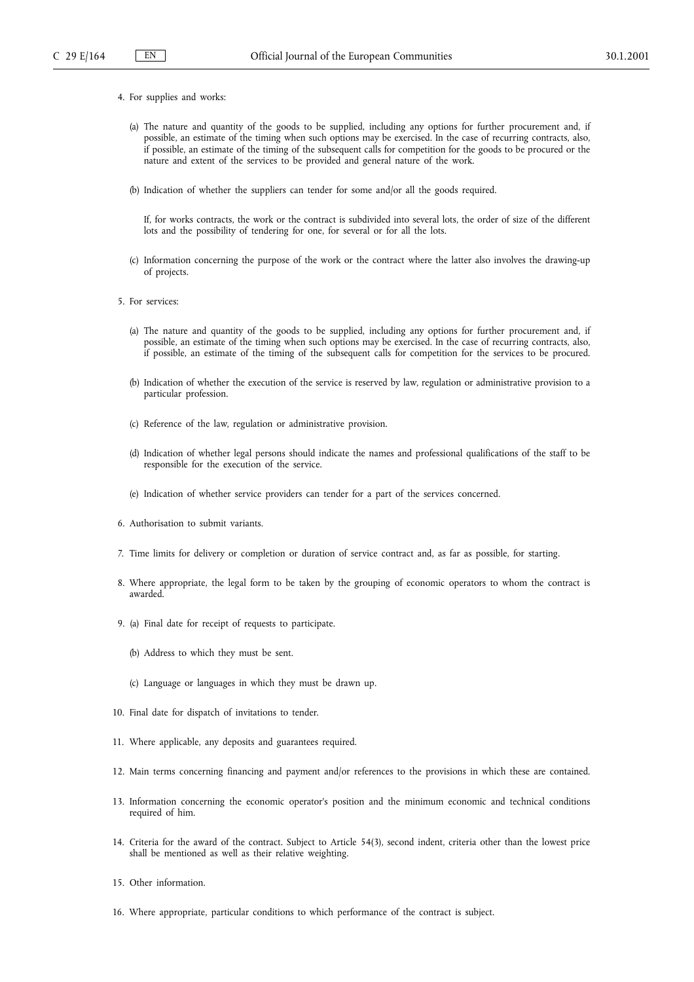- 4. For supplies and works:
	- (a) The nature and quantity of the goods to be supplied, including any options for further procurement and, if possible, an estimate of the timing when such options may be exercised. In the case of recurring contracts, also, if possible, an estimate of the timing of the subsequent calls for competition for the goods to be procured or the nature and extent of the services to be provided and general nature of the work.
	- (b) Indication of whether the suppliers can tender for some and/or all the goods required.

If, for works contracts, the work or the contract is subdivided into several lots, the order of size of the different lots and the possibility of tendering for one, for several or for all the lots.

- (c) Information concerning the purpose of the work or the contract where the latter also involves the drawing-up of projects.
- 5. For services:
	- (a) The nature and quantity of the goods to be supplied, including any options for further procurement and, if possible, an estimate of the timing when such options may be exercised. In the case of recurring contracts, also, if possible, an estimate of the timing of the subsequent calls for competition for the services to be procured.
	- (b) Indication of whether the execution of the service is reserved by law, regulation or administrative provision to a particular profession.
	- (c) Reference of the law, regulation or administrative provision.
	- (d) Indication of whether legal persons should indicate the names and professional qualifications of the staff to be responsible for the execution of the service.
	- (e) Indication of whether service providers can tender for a part of the services concerned.
- 6. Authorisation to submit variants.
- 7. Time limits for delivery or completion or duration of service contract and, as far as possible, for starting.
- 8. Where appropriate, the legal form to be taken by the grouping of economic operators to whom the contract is awarded.
- 9. (a) Final date for receipt of requests to participate.
	- (b) Address to which they must be sent.
	- (c) Language or languages in which they must be drawn up.
- 10. Final date for dispatch of invitations to tender.
- 11. Where applicable, any deposits and guarantees required.
- 12. Main terms concerning financing and payment and/or references to the provisions in which these are contained.
- 13. Information concerning the economic operator's position and the minimum economic and technical conditions required of him.
- 14. Criteria for the award of the contract. Subject to Article 54(3), second indent, criteria other than the lowest price shall be mentioned as well as their relative weighting.
- 15. Other information.
- 16. Where appropriate, particular conditions to which performance of the contract is subject.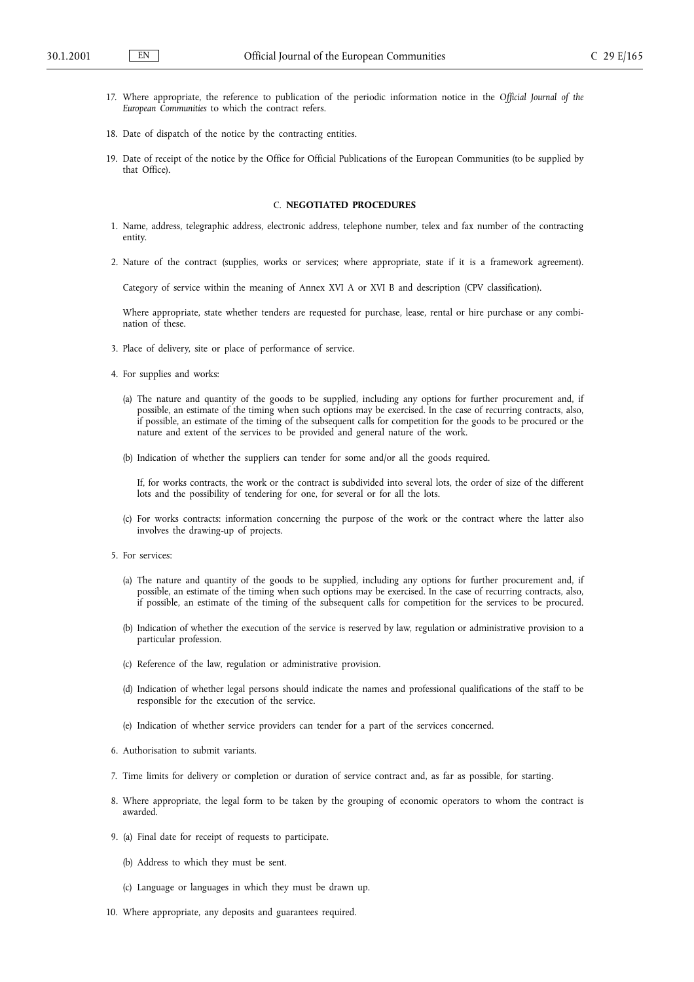- 17. Where appropriate, the reference to publication of the periodic information notice in the Official Journal of the European Communities to which the contract refers.
- 18. Date of dispatch of the notice by the contracting entities.
- 19. Date of receipt of the notice by the Office for Official Publications of the European Communities (to be supplied by that Office).

## C. NEGOTIATED PROCEDURES

- 1. Name, address, telegraphic address, electronic address, telephone number, telex and fax number of the contracting entity.
- 2. Nature of the contract (supplies, works or services; where appropriate, state if it is a framework agreement).

Category of service within the meaning of Annex XVI A or XVI B and description (CPV classification).

Where appropriate, state whether tenders are requested for purchase, lease, rental or hire purchase or any combination of these.

- 3. Place of delivery, site or place of performance of service.
- 4. For supplies and works:
	- (a) The nature and quantity of the goods to be supplied, including any options for further procurement and, if possible, an estimate of the timing when such options may be exercised. In the case of recurring contracts, also, if possible, an estimate of the timing of the subsequent calls for competition for the goods to be procured or the nature and extent of the services to be provided and general nature of the work.
	- (b) Indication of whether the suppliers can tender for some and/or all the goods required.

If, for works contracts, the work or the contract is subdivided into several lots, the order of size of the different lots and the possibility of tendering for one, for several or for all the lots.

- (c) For works contracts: information concerning the purpose of the work or the contract where the latter also involves the drawing-up of projects.
- 5. For services:
	- (a) The nature and quantity of the goods to be supplied, including any options for further procurement and, if possible, an estimate of the timing when such options may be exercised. In the case of recurring contracts, also, if possible, an estimate of the timing of the subsequent calls for competition for the services to be procured.
	- (b) Indication of whether the execution of the service is reserved by law, regulation or administrative provision to a particular profession.
	- (c) Reference of the law, regulation or administrative provision.
	- (d) Indication of whether legal persons should indicate the names and professional qualifications of the staff to be responsible for the execution of the service.
	- (e) Indication of whether service providers can tender for a part of the services concerned.
- 6. Authorisation to submit variants.
- 7. Time limits for delivery or completion or duration of service contract and, as far as possible, for starting.
- 8. Where appropriate, the legal form to be taken by the grouping of economic operators to whom the contract is awarded.
- 9. (a) Final date for receipt of requests to participate.
	- (b) Address to which they must be sent.
	- (c) Language or languages in which they must be drawn up.
- 10. Where appropriate, any deposits and guarantees required.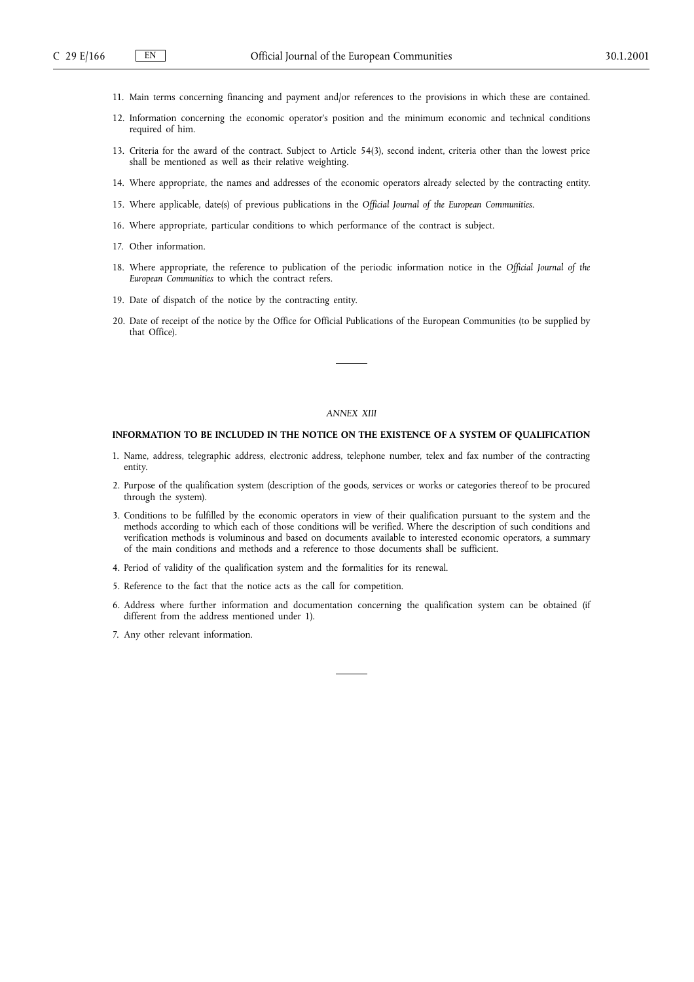- 11. Main terms concerning financing and payment and/or references to the provisions in which these are contained.
- 12. Information concerning the economic operator's position and the minimum economic and technical conditions required of him.
- 13. Criteria for the award of the contract. Subject to Article 54(3), second indent, criteria other than the lowest price shall be mentioned as well as their relative weighting.
- 14. Where appropriate, the names and addresses of the economic operators already selected by the contracting entity.
- 15. Where applicable, date(s) of previous publications in the Official Journal of the European Communities.
- 16. Where appropriate, particular conditions to which performance of the contract is subject.
- 17. Other information.
- 18. Where appropriate, the reference to publication of the periodic information notice in the Official Journal of the European Communities to which the contract refers.
- 19. Date of dispatch of the notice by the contracting entity.
- 20. Date of receipt of the notice by the Office for Official Publications of the European Communities (to be supplied by that Office).

# ANNEX XIII

## INFORMATION TO BE INCLUDED IN THE NOTICE ON THE EXISTENCE OF A SYSTEM OF QUALIFICATION

- 1. Name, address, telegraphic address, electronic address, telephone number, telex and fax number of the contracting entity.
- 2. Purpose of the qualification system (description of the goods, services or works or categories thereof to be procured through the system).
- 3. Conditions to be fulfilled by the economic operators in view of their qualification pursuant to the system and the methods according to which each of those conditions will be verified. Where the description of such conditions and verification methods is voluminous and based on documents available to interested economic operators, a summary of the main conditions and methods and a reference to those documents shall be sufficient.
- 4. Period of validity of the qualification system and the formalities for its renewal.
- 5. Reference to the fact that the notice acts as the call for competition.
- 6. Address where further information and documentation concerning the qualification system can be obtained (if different from the address mentioned under 1).
- 7. Any other relevant information.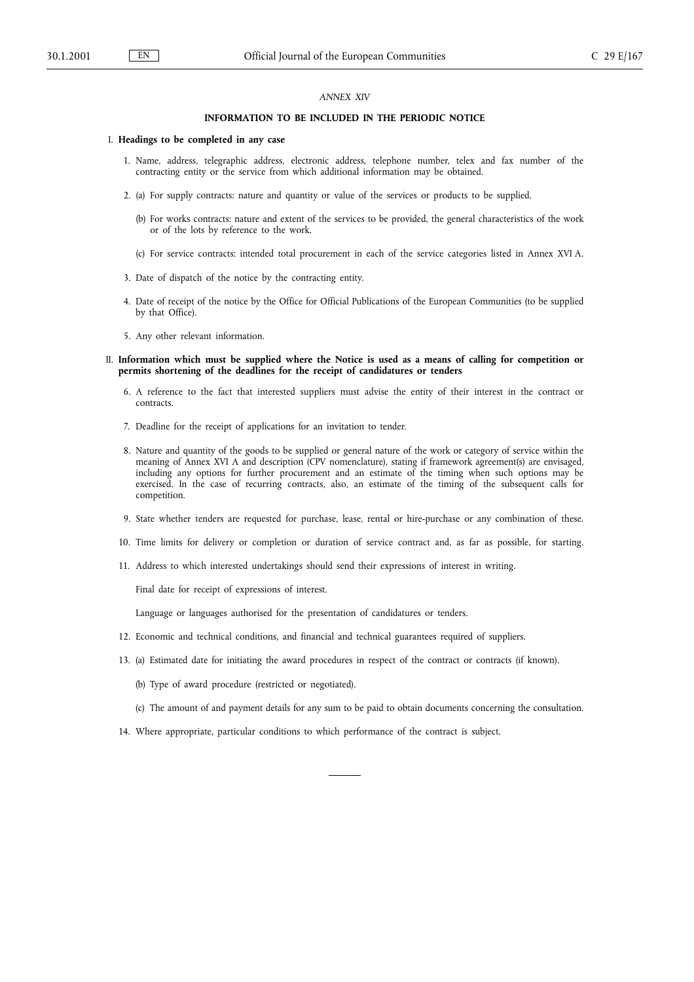## ANNEX XIV

## INFORMATION TO BE INCLUDED IN THE PERIODIC NOTICE

#### I. Headings to be completed in any case

- 1. Name, address, telegraphic address, electronic address, telephone number, telex and fax number of the contracting entity or the service from which additional information may be obtained.
- 2. (a) For supply contracts: nature and quantity or value of the services or products to be supplied.
	- (b) For works contracts: nature and extent of the services to be provided, the general characteristics of the work or of the lots by reference to the work.
	- (c) For service contracts: intended total procurement in each of the service categories listed in Annex XVI A.
- 3. Date of dispatch of the notice by the contracting entity.
- 4. Date of receipt of the notice by the Office for Official Publications of the European Communities (to be supplied by that Office).
- 5. Any other relevant information.
- II. Information which must be supplied where the Notice is used as a means of calling for competition or permits shortening of the deadlines for the receipt of candidatures or tenders
	- 6. A reference to the fact that interested suppliers must advise the entity of their interest in the contract or contracts.
	- 7. Deadline for the receipt of applications for an invitation to tender.
	- 8. Nature and quantity of the goods to be supplied or general nature of the work or category of service within the meaning of Annex XVI A and description (CPV nomenclature), stating if framework agreement(s) are envisaged, including any options for further procurement and an estimate of the timing when such options may be exercised. In the case of recurring contracts, also, an estimate of the timing of the subsequent calls for competition.
	- 9. State whether tenders are requested for purchase, lease, rental or hire-purchase or any combination of these.
	- 10. Time limits for delivery or completion or duration of service contract and, as far as possible, for starting.
	- 11. Address to which interested undertakings should send their expressions of interest in writing.

Final date for receipt of expressions of interest.

Language or languages authorised for the presentation of candidatures or tenders.

- 12. Economic and technical conditions, and financial and technical guarantees required of suppliers.
- 13. (a) Estimated date for initiating the award procedures in respect of the contract or contracts (if known).
	- (b) Type of award procedure (restricted or negotiated).
	- (c) The amount of and payment details for any sum to be paid to obtain documents concerning the consultation.
- 14. Where appropriate, particular conditions to which performance of the contract is subject.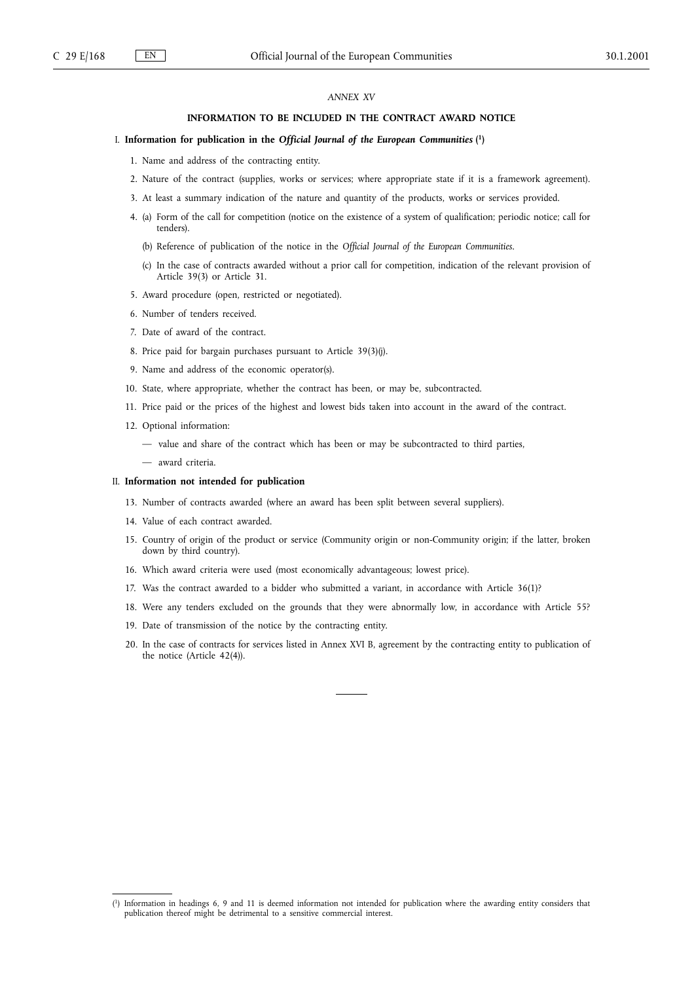# ANNEX XV

### INFORMATION TO BE INCLUDED IN THE CONTRACT AWARD NOTICE

#### I. Information for publication in the Official Journal of the European Communities  $(1)$

- 1. Name and address of the contracting entity.
- 2. Nature of the contract (supplies, works or services; where appropriate state if it is a framework agreement).
- 3. At least a summary indication of the nature and quantity of the products, works or services provided.
- 4. (a) Form of the call for competition (notice on the existence of a system of qualification; periodic notice; call for tenders).
	- (b) Reference of publication of the notice in the Official Journal of the European Communities.
	- (c) In the case of contracts awarded without a prior call for competition, indication of the relevant provision of Article 39(3) or Article 31.
- 5. Award procedure (open, restricted or negotiated).
- 6. Number of tenders received.
- 7. Date of award of the contract.
- 8. Price paid for bargain purchases pursuant to Article 39(3)(j).
- 9. Name and address of the economic operator(s).
- 10. State, where appropriate, whether the contract has been, or may be, subcontracted.
- 11. Price paid or the prices of the highest and lowest bids taken into account in the award of the contract.
- 12. Optional information:
	- value and share of the contract which has been or may be subcontracted to third parties,
	- award criteria.

## II. Information not intended for publication

- 13. Number of contracts awarded (where an award has been split between several suppliers).
- 14. Value of each contract awarded.
- 15. Country of origin of the product or service (Community origin or non-Community origin; if the latter, broken down by third country).
- 16. Which award criteria were used (most economically advantageous; lowest price).
- 17. Was the contract awarded to a bidder who submitted a variant, in accordance with Article 36(1)?
- 18. Were any tenders excluded on the grounds that they were abnormally low, in accordance with Article 55?
- 19. Date of transmission of the notice by the contracting entity.
- 20. In the case of contracts for services listed in Annex XVI B, agreement by the contracting entity to publication of the notice (Article 42(4)).

<sup>(</sup> 1) Information in headings 6, 9 and 11 is deemed information not intended for publication where the awarding entity considers that publication thereof might be detrimental to a sensitive commercial interest.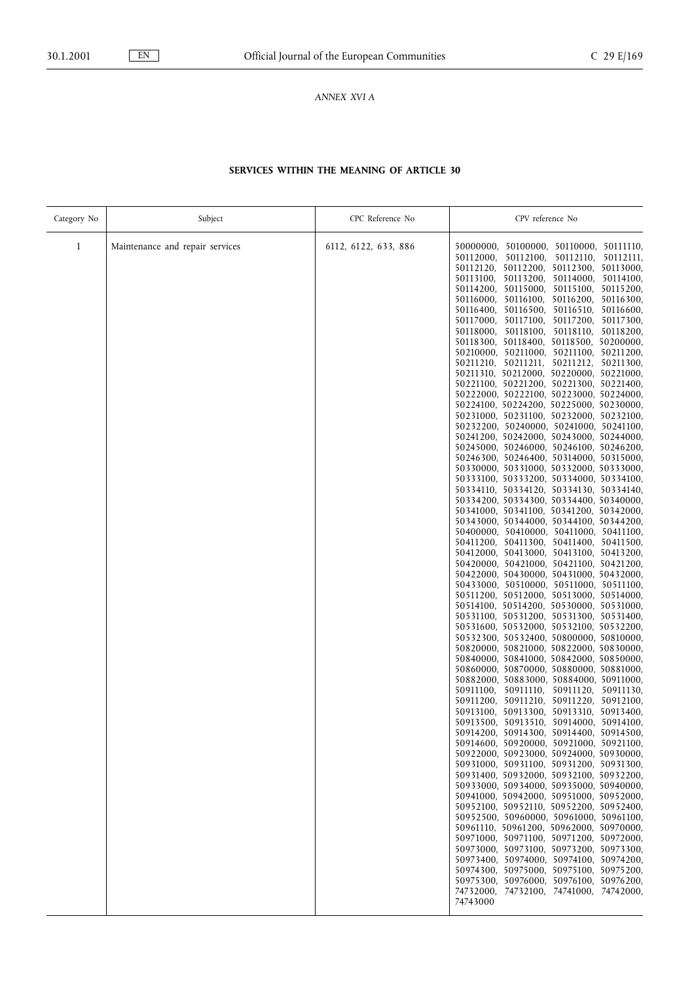# ANNEX XVI A

# SERVICES WITHIN THE MEANING OF ARTICLE 30

| Category No  | Subject                         | CPC Reference No     | CPV reference No                                                                                                                                                                                                                                                                                                                                                                                                                                                                                                                                                                                                                                                                                                                                                                                                                                                                                                                                                                                                                                                                                                                                                                                                                                                                                                                                                                                                                                                                                                                                                                                                                                                                                                                                                                                                                                                                                                                                                                                                                                                                                                                                                                                                                                                                                                                                                                                                                                                                                                                                                                                                                                                                                                                                                                   |
|--------------|---------------------------------|----------------------|------------------------------------------------------------------------------------------------------------------------------------------------------------------------------------------------------------------------------------------------------------------------------------------------------------------------------------------------------------------------------------------------------------------------------------------------------------------------------------------------------------------------------------------------------------------------------------------------------------------------------------------------------------------------------------------------------------------------------------------------------------------------------------------------------------------------------------------------------------------------------------------------------------------------------------------------------------------------------------------------------------------------------------------------------------------------------------------------------------------------------------------------------------------------------------------------------------------------------------------------------------------------------------------------------------------------------------------------------------------------------------------------------------------------------------------------------------------------------------------------------------------------------------------------------------------------------------------------------------------------------------------------------------------------------------------------------------------------------------------------------------------------------------------------------------------------------------------------------------------------------------------------------------------------------------------------------------------------------------------------------------------------------------------------------------------------------------------------------------------------------------------------------------------------------------------------------------------------------------------------------------------------------------------------------------------------------------------------------------------------------------------------------------------------------------------------------------------------------------------------------------------------------------------------------------------------------------------------------------------------------------------------------------------------------------------------------------------------------------------------------------------------------------|
| $\mathbf{1}$ | Maintenance and repair services | 6112, 6122, 633, 886 | 50000000, 50100000, 50110000, 50111110,<br>50112000, 50112100, 50112110, 50112111,<br>50112120, 50112200, 50112300, 50113000,<br>50113100, 50113200, 50114000, 50114100,<br>50114200, 50115000, 50115100, 50115200,<br>50116000, 50116100, 50116200, 50116300,<br>50116400, 50116500, 50116510, 50116600,<br>50117000, 50117100, 50117200, 50117300,<br>50118000, 50118100, 50118110, 50118200,<br>50118300, 50118400, 50118500, 50200000,<br>50210000, 50211000, 50211100, 50211200,<br>50211210, 50211211, 50211212, 50211300,<br>50211310, 50212000, 50220000, 50221000,<br>50221100, 50221200, 50221300, 50221400,<br>50222000, 50222100, 50223000, 50224000,<br>50224100, 50224200, 50225000, 50230000,<br>50231000, 50231100, 50232000, 50232100,<br>50232200, 50240000, 50241000, 50241100,<br>50241200, 50242000, 50243000, 50244000,<br>50245000, 50246000, 50246100, 50246200,<br>50246300, 50246400, 50314000, 50315000,<br>50330000, 50331000, 50332000, 50333000,<br>50333100, 50333200, 50334000, 50334100,<br>50334110, 50334120, 50334130, 50334140,<br>50334200, 50334300, 50334400, 50340000,<br>50341000, 50341100, 50341200, 50342000,<br>50343000, 50344000, 50344100, 50344200,<br>50400000, 50410000, 50411000, 50411100,<br>50411200, 50411300, 50411400, 50411500,<br>50412000, 50413000, 50413100, 50413200,<br>50420000, 50421000, 50421100, 50421200,<br>50422000, 50430000, 50431000, 50432000,<br>50433000, 50510000, 50511000, 50511100,<br>50511200, 50512000, 50513000, 50514000,<br>50514100, 50514200, 50530000, 50531000,<br>50531100, 50531200, 50531300, 50531400,<br>50531600, 50532000, 50532100, 50532200,<br>50532300, 50532400, 50800000, 50810000,<br>50820000, 50821000, 50822000, 50830000,<br>50840000, 50841000, 50842000, 50850000,<br>50860000, 50870000, 50880000, 50881000,<br>50882000, 50883000, 50884000, 50911000,<br>50911100, 50911110, 50911120, 50911130,<br>50911200, 50911210, 50911220, 50912100,<br>50913100, 50913300, 50913310, 50913400,<br>50913500, 50913510, 50914000, 50914100,<br>50914200, 50914300, 50914400, 50914500,<br>50914600, 50920000, 50921000, 50921100,<br>50922000, 50923000, 50924000, 50930000,<br>50931000, 50931100, 50931200, 50931300,<br>50931400, 50932000, 50932100, 50932200,<br>50933000, 50934000, 50935000, 50940000,<br>50941000, 50942000, 50951000, 50952000,<br>50952100, 50952110, 50952200, 50952400,<br>50952500, 50960000, 50961000, 50961100,<br>50961110, 50961200, 50962000, 50970000,<br>50971000, 50971100, 50971200, 50972000,<br>50973000, 50973100, 50973200, 50973300,<br>50973400, 50974000, 50974100, 50974200,<br>50974300, 50975000, 50975100, 50975200,<br>50975300, 50976000, 50976100, 50976200,<br>74732000, 74732100, 74741000, 74742000,<br>74743000 |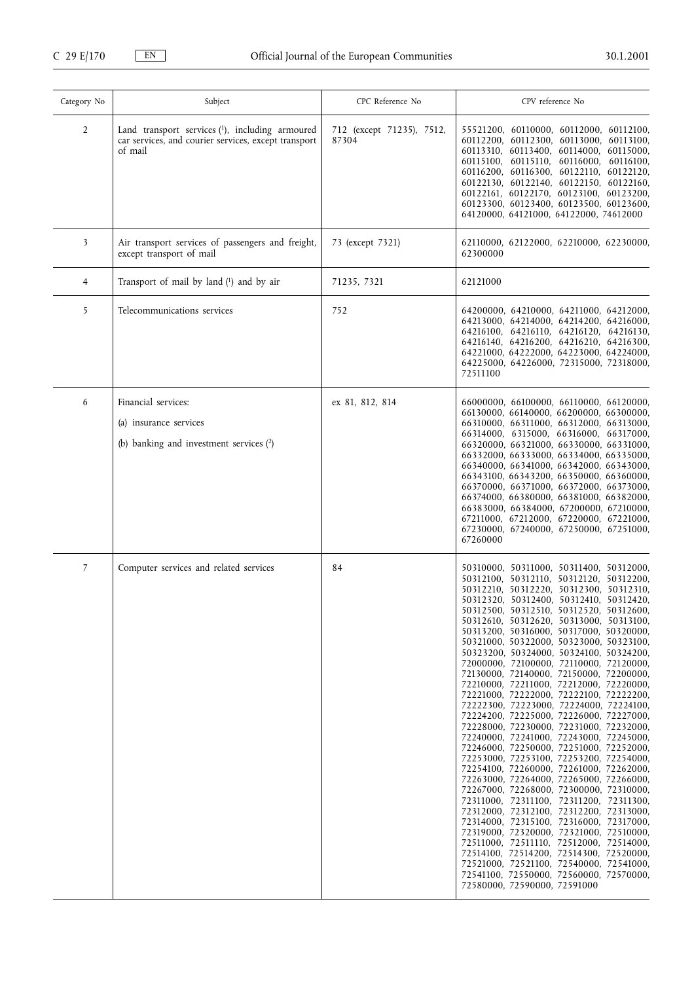| Category No | Subject                                                                                                            | CPC Reference No                   | CPV reference No                                                                                                                                                                                                                                                                                                                                                                                                                                                                                                                                                                                                                                                                                                                                                                                                                                                                                                                                                                                                                                                                                                                                                                                                                                                                                                                                                       |
|-------------|--------------------------------------------------------------------------------------------------------------------|------------------------------------|------------------------------------------------------------------------------------------------------------------------------------------------------------------------------------------------------------------------------------------------------------------------------------------------------------------------------------------------------------------------------------------------------------------------------------------------------------------------------------------------------------------------------------------------------------------------------------------------------------------------------------------------------------------------------------------------------------------------------------------------------------------------------------------------------------------------------------------------------------------------------------------------------------------------------------------------------------------------------------------------------------------------------------------------------------------------------------------------------------------------------------------------------------------------------------------------------------------------------------------------------------------------------------------------------------------------------------------------------------------------|
| 2           | Land transport services (1), including armoured<br>car services, and courier services, except transport<br>of mail | 712 (except 71235), 7512,<br>87304 | 55521200, 60110000, 60112000, 60112100,<br>60112200, 60112300, 60113000, 60113100,<br>60113310, 60113400, 60114000, 60115000,<br>60115100, 60115110, 60116000, 60116100,<br>60116200, 60116300, 60122110, 60122120,<br>60122130, 60122140, 60122150, 60122160,<br>60122161, 60122170, 60123100, 60123200,<br>60123300, 60123400, 60123500, 60123600,<br>64120000, 64121000, 64122000, 74612000                                                                                                                                                                                                                                                                                                                                                                                                                                                                                                                                                                                                                                                                                                                                                                                                                                                                                                                                                                         |
| 3           | Air transport services of passengers and freight,<br>except transport of mail                                      | 73 (except 7321)                   | 62110000, 62122000, 62210000, 62230000,<br>62300000                                                                                                                                                                                                                                                                                                                                                                                                                                                                                                                                                                                                                                                                                                                                                                                                                                                                                                                                                                                                                                                                                                                                                                                                                                                                                                                    |
| 4           | Transport of mail by land (1) and by air                                                                           | 71235, 7321                        | 62121000                                                                                                                                                                                                                                                                                                                                                                                                                                                                                                                                                                                                                                                                                                                                                                                                                                                                                                                                                                                                                                                                                                                                                                                                                                                                                                                                                               |
| 5           | Telecommunications services                                                                                        | 752                                | 64200000, 64210000, 64211000, 64212000,<br>64213000, 64214000, 64214200, 64216000,<br>64216100, 64216110, 64216120, 64216130,<br>64216140, 64216200, 64216210, 64216300,<br>64221000, 64222000, 64223000, 64224000,<br>64225000, 64226000, 72315000, 72318000,<br>72511100                                                                                                                                                                                                                                                                                                                                                                                                                                                                                                                                                                                                                                                                                                                                                                                                                                                                                                                                                                                                                                                                                             |
| 6           | Financial services:<br>(a) insurance services<br>(b) banking and investment services $(2)$                         | ex 81, 812, 814                    | 66000000, 66100000, 66110000, 66120000,<br>66130000, 66140000, 66200000, 66300000,<br>66310000, 66311000, 66312000, 66313000,<br>66314000, 6315000, 66316000, 66317000,<br>66320000, 66321000, 66330000, 66331000,<br>66332000, 66333000, 66334000, 66335000,<br>66340000, 66341000, 66342000, 66343000,<br>66343100, 66343200, 66350000, 66360000,<br>66370000, 66371000, 66372000, 66373000,<br>66374000, 66380000, 66381000, 66382000,<br>66383000, 66384000, 67200000, 67210000,<br>67211000, 67212000, 67220000, 67221000,<br>67230000, 67240000, 67250000, 67251000,<br>67260000                                                                                                                                                                                                                                                                                                                                                                                                                                                                                                                                                                                                                                                                                                                                                                                 |
| 7           | Computer services and related services                                                                             | 84                                 | 50310000, 50311000, 50311400, 50312000,<br>50312100, 50312110, 50312120, 50312200,<br>50312210, 50312220, 50312300, 50312310,<br>50312320, 50312400, 50312410, 50312420,<br>50312500, 50312510, 50312520, 50312600,<br>50312610, 50312620, 50313000, 50313100,<br>50313200, 50316000, 50317000, 50320000,<br>50321000, 50322000, 50323000, 50323100,<br>50323200, 50324000, 50324100, 50324200,<br>72000000, 72100000, 72110000, 72120000,<br>72130000, 72140000, 72150000, 72200000,<br>72210000, 72211000, 72212000, 72220000,<br>72221000, 72222000, 72222100, 72222200,<br>72222300, 72223000, 72224000, 72224100,<br>72224200, 72225000, 72226000, 72227000,<br>72228000, 72230000, 72231000, 72232000,<br>72240000, 72241000, 72243000, 72245000,<br>72246000, 72250000, 72251000, 72252000,<br>72253000, 72253100, 72253200, 72254000,<br>72254100, 72260000, 72261000, 72262000,<br>72263000, 72264000, 72265000, 72266000,<br>72267000, 72268000, 72300000, 72310000,<br>72311000, 72311100, 72311200, 72311300,<br>72312000, 72312100, 72312200, 72313000,<br>72314000, 72315100, 72316000, 72317000,<br>72319000, 72320000, 72321000, 72510000,<br>72511000, 72511110, 72512000, 72514000,<br>72514100, 72514200, 72514300, 72520000,<br>72521000, 72521100, 72540000, 72541000,<br>72541100, 72550000, 72560000, 72570000,<br>72580000, 72590000, 72591000 |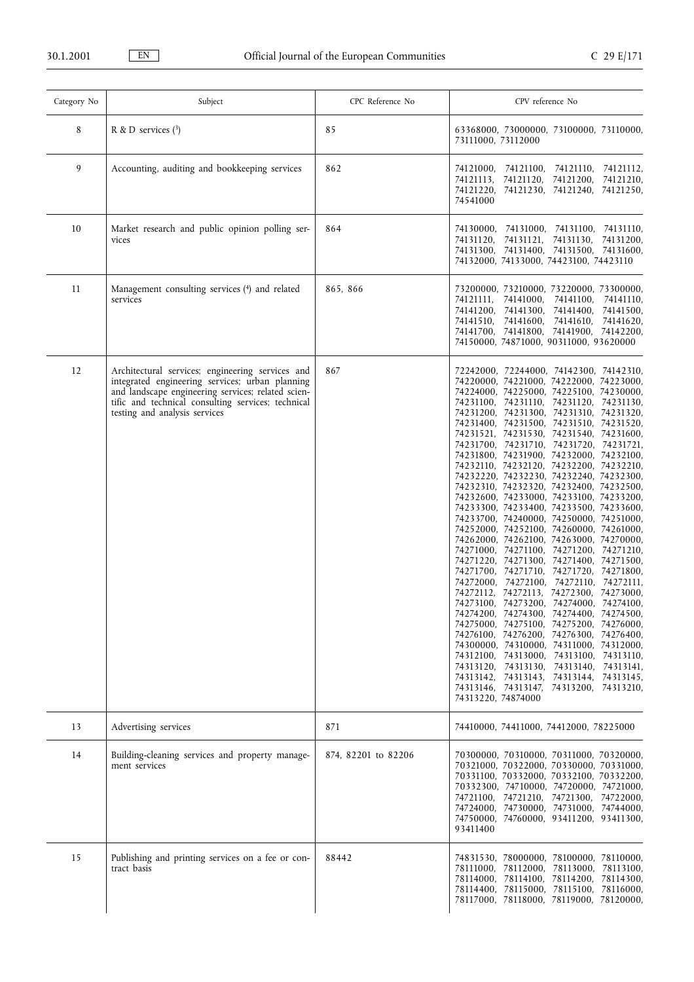| Category No | Subject                                                                                                                                                                                                                                          | CPC Reference No    | CPV reference No                                                                                                                                                                                                                                                                                                                                                                                                                                                                                                                                                                                                                                                                                                                                                                                                                                                                                                                                                                                                                                                                                                                                                                                                                                                                                                                                                                                        |
|-------------|--------------------------------------------------------------------------------------------------------------------------------------------------------------------------------------------------------------------------------------------------|---------------------|---------------------------------------------------------------------------------------------------------------------------------------------------------------------------------------------------------------------------------------------------------------------------------------------------------------------------------------------------------------------------------------------------------------------------------------------------------------------------------------------------------------------------------------------------------------------------------------------------------------------------------------------------------------------------------------------------------------------------------------------------------------------------------------------------------------------------------------------------------------------------------------------------------------------------------------------------------------------------------------------------------------------------------------------------------------------------------------------------------------------------------------------------------------------------------------------------------------------------------------------------------------------------------------------------------------------------------------------------------------------------------------------------------|
| 8           | R & D services $(3)$                                                                                                                                                                                                                             | 85                  | 63368000, 73000000, 73100000, 73110000,<br>73111000, 73112000                                                                                                                                                                                                                                                                                                                                                                                                                                                                                                                                                                                                                                                                                                                                                                                                                                                                                                                                                                                                                                                                                                                                                                                                                                                                                                                                           |
| 9           | Accounting, auditing and bookkeeping services                                                                                                                                                                                                    | 862                 | 74121000, 74121100, 74121110,<br>74121112.<br>74121120, 74121200,<br>74121210,<br>74121113,<br>74121220, 74121230, 74121240, 74121250,<br>74541000                                                                                                                                                                                                                                                                                                                                                                                                                                                                                                                                                                                                                                                                                                                                                                                                                                                                                                                                                                                                                                                                                                                                                                                                                                                      |
| 10          | Market research and public opinion polling ser-<br>vices                                                                                                                                                                                         | 864                 | 74130000, 74131000, 74131100, 74131110,<br>74131120, 74131121, 74131130, 74131200,<br>74131300, 74131400, 74131500, 74131600,<br>74132000, 74133000, 74423100, 74423110                                                                                                                                                                                                                                                                                                                                                                                                                                                                                                                                                                                                                                                                                                                                                                                                                                                                                                                                                                                                                                                                                                                                                                                                                                 |
| 11          | Management consulting services (4) and related<br>services                                                                                                                                                                                       | 865, 866            | 73200000, 73210000, 73220000, 73300000,<br>74121111,<br>74141000,<br>74141100,<br>74141110,<br>74141200, 74141300, 74141400, 74141500,<br>74141510,<br>74141600,<br>74141610,<br>74141620,<br>74141700, 74141800, 74141900, 74142200,<br>74150000, 74871000, 90311000, 93620000                                                                                                                                                                                                                                                                                                                                                                                                                                                                                                                                                                                                                                                                                                                                                                                                                                                                                                                                                                                                                                                                                                                         |
| 12          | Architectural services; engineering services and<br>integrated engineering services; urban planning<br>and landscape engineering services; related scien-<br>tific and technical consulting services; technical<br>testing and analysis services | 867                 | 72242000, 72244000, 74142300, 74142310,<br>74220000, 74221000, 74222000, 74223000,<br>74224000, 74225000, 74225100, 74230000,<br>74231100, 74231110, 74231120, 74231130,<br>74231200, 74231300, 74231310, 74231320,<br>74231400, 74231500, 74231510, 74231520,<br>74231521, 74231530, 74231540, 74231600,<br>74231700, 74231710, 74231720, 74231721,<br>74231800, 74231900, 74232000, 74232100,<br>74232110, 74232120, 74232200, 74232210,<br>74232220, 74232230, 74232240, 74232300,<br>74232310, 74232320, 74232400, 74232500,<br>74232600, 74233000, 74233100, 74233200,<br>74233300, 74233400, 74233500, 74233600,<br>74233700, 74240000, 74250000, 74251000,<br>74252000, 74252100, 74260000, 74261000,<br>74262000, 74262100, 74263000, 74270000,<br>74271000, 74271100, 74271200, 74271210,<br>74271220, 74271300, 74271400, 74271500,<br>74271700, 74271710, 74271720, 74271800,<br>74272000, 74272100, 74272110, 74272111,<br>74272112, 74272113, 74272300, 74273000,<br>74273100, 74273200, 74274000, 74274100,<br>74274200, 74274300, 74274400, 74274500,<br>74275000, 74275100, 74275200, 74276000,<br>74276100, 74276200, 74276300, 74276400,<br>74300000, 74310000, 74311000, 74312000,<br>74312100, 74313000, 74313100, 74313110,<br>74313120, 74313130, 74313140, 74313141,<br>74313142, 74313143, 74313144, 74313145,<br>74313146, 74313147, 74313200, 74313210,<br>74313220, 74874000 |
| 13          | Advertising services                                                                                                                                                                                                                             | 871                 | 74410000, 74411000, 74412000, 78225000                                                                                                                                                                                                                                                                                                                                                                                                                                                                                                                                                                                                                                                                                                                                                                                                                                                                                                                                                                                                                                                                                                                                                                                                                                                                                                                                                                  |
| 14          | Building-cleaning services and property manage-<br>ment services                                                                                                                                                                                 | 874, 82201 to 82206 | 70300000, 70310000, 70311000, 70320000,<br>70321000, 70322000, 70330000, 70331000,<br>70331100, 70332000, 70332100, 70332200,<br>70332300, 74710000, 74720000, 74721000,<br>74721100, 74721210, 74721300, 74722000,<br>74724000, 74730000, 74731000, 74744000,<br>74750000, 74760000, 93411200, 93411300,<br>93411400                                                                                                                                                                                                                                                                                                                                                                                                                                                                                                                                                                                                                                                                                                                                                                                                                                                                                                                                                                                                                                                                                   |
| 15          | Publishing and printing services on a fee or con-<br>tract basis                                                                                                                                                                                 | 88442               | 74831530, 78000000, 78100000, 78110000,<br>78111000, 78112000, 78113000, 78113100,<br>78114000, 78114100, 78114200, 78114300,<br>78114400, 78115000, 78115100, 78116000,<br>78117000, 78118000, 78119000, 78120000,                                                                                                                                                                                                                                                                                                                                                                                                                                                                                                                                                                                                                                                                                                                                                                                                                                                                                                                                                                                                                                                                                                                                                                                     |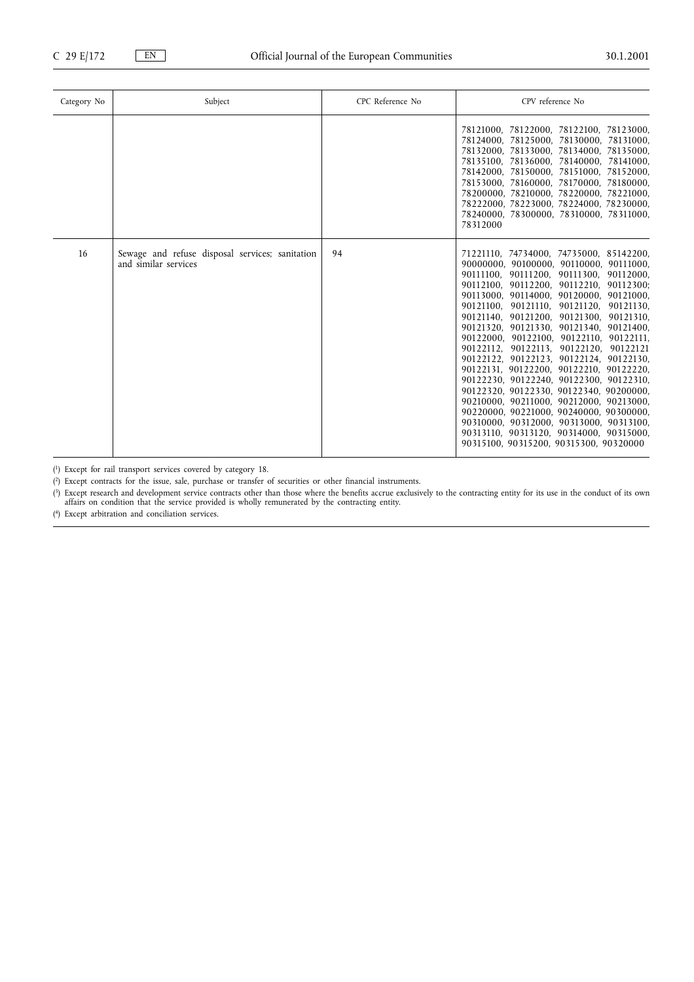| Category No | Subject                                                                 | CPC Reference No | CPV reference No                                                                                                                                                                                                                                                                                                                                                                                                                                                                                                                                                                                                                                                                                                                                                                                                                            |
|-------------|-------------------------------------------------------------------------|------------------|---------------------------------------------------------------------------------------------------------------------------------------------------------------------------------------------------------------------------------------------------------------------------------------------------------------------------------------------------------------------------------------------------------------------------------------------------------------------------------------------------------------------------------------------------------------------------------------------------------------------------------------------------------------------------------------------------------------------------------------------------------------------------------------------------------------------------------------------|
|             |                                                                         |                  | 78121000, 78122000, 78122100, 78123000,<br>78124000, 78125000, 78130000, 78131000,<br>78132000, 78133000, 78134000, 78135000,<br>78135100, 78136000, 78140000, 78141000,<br>78142000, 78150000, 78151000, 78152000,<br>78153000, 78160000, 78170000, 78180000,<br>78200000, 78210000, 78220000, 78221000,<br>78222000, 78223000, 78224000, 78230000,<br>78240000, 78300000, 78310000, 78311000,<br>78312000                                                                                                                                                                                                                                                                                                                                                                                                                                 |
| 16          | Sewage and refuse disposal services; sanitation<br>and similar services | 94               | 71221110, 74734000, 74735000, 85142200,<br>90000000, 90100000, 90110000, 90111000,<br>90111100, 90111200, 90111300, 90112000,<br>90112100, 90112200, 90112210, 90112300;<br>90113000, 90114000, 90120000, 90121000,<br>90121100, 90121110, 90121120, 90121130,<br>90121140, 90121200, 90121300, 90121310,<br>90121320, 90121330, 90121340, 90121400,<br>90122000, 90122100, 90122110, 90122111,<br>90122112, 90122113, 90122120, 90122121<br>90122122, 90122123, 90122124, 90122130,<br>90122131, 90122200, 90122210, 90122220,<br>90122230, 90122240, 90122300, 90122310,<br>90122320, 90122330, 90122340, 90200000,<br>90210000, 90211000, 90212000, 90213000,<br>90220000, 90221000, 90240000, 90300000,<br>90310000, 90312000, 90313000, 90313100,<br>90313110, 90313120, 90314000, 90315000,<br>90315100, 90315200, 90315300, 90320000 |

( 1) Except for rail transport services covered by category 18.

( 2) Except contracts for the issue, sale, purchase or transfer of securities or other financial instruments.

( 3) Except research and development service contracts other than those where the benefits accrue exclusively to the contracting entity for its use in the conduct of its own affairs on condition that the service provided is wholly remunerated by the contracting entity.

( 4) Except arbitration and conciliation services.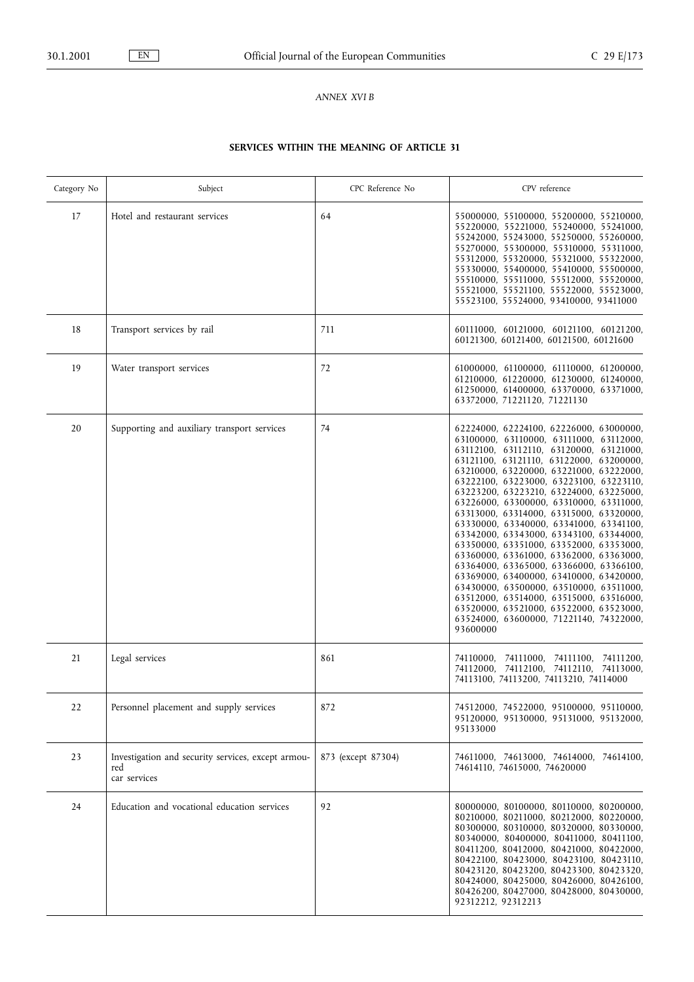# ANNEX XVI B

# SERVICES WITHIN THE MEANING OF ARTICLE 31

| Category No | Subject                                                                   | CPC Reference No   | CPV reference                                                                                                                                                                                                                                                                                                                                                                                                                                                                                                                                                                                                                                                                                                                                                                                                                                             |
|-------------|---------------------------------------------------------------------------|--------------------|-----------------------------------------------------------------------------------------------------------------------------------------------------------------------------------------------------------------------------------------------------------------------------------------------------------------------------------------------------------------------------------------------------------------------------------------------------------------------------------------------------------------------------------------------------------------------------------------------------------------------------------------------------------------------------------------------------------------------------------------------------------------------------------------------------------------------------------------------------------|
| 17          | Hotel and restaurant services                                             | 64                 | 55000000, 55100000, 55200000, 55210000,<br>55220000, 55221000, 55240000, 55241000,<br>55242000, 55243000, 55250000, 55260000,<br>55270000, 55300000, 55310000, 55311000,<br>55312000, 55320000, 55321000, 55322000,<br>55330000, 55400000, 55410000, 55500000,<br>55510000, 55511000, 55512000, 55520000,<br>55521000, 55521100, 55522000, 55523000,<br>55523100, 55524000, 93410000, 93411000                                                                                                                                                                                                                                                                                                                                                                                                                                                            |
| 18          | Transport services by rail                                                | 711                | 60111000, 60121000, 60121100, 60121200,<br>60121300, 60121400, 60121500, 60121600                                                                                                                                                                                                                                                                                                                                                                                                                                                                                                                                                                                                                                                                                                                                                                         |
| 19          | Water transport services                                                  | 72                 | 61000000, 61100000, 61110000, 61200000,<br>61210000, 61220000, 61230000, 61240000,<br>61250000, 61400000, 63370000, 63371000,<br>63372000, 71221120, 71221130                                                                                                                                                                                                                                                                                                                                                                                                                                                                                                                                                                                                                                                                                             |
| 20          | Supporting and auxiliary transport services                               | 74                 | 62224000, 62224100, 62226000, 63000000,<br>63100000, 63110000, 63111000, 63112000,<br>63112100, 63112110, 63120000, 63121000,<br>63121100, 63121110, 63122000, 63200000,<br>63210000, 63220000, 63221000, 63222000,<br>63222100, 63223000, 63223100, 63223110,<br>63223200, 63223210, 63224000, 63225000,<br>63226000, 63300000, 63310000, 63311000,<br>63313000, 63314000, 63315000, 63320000,<br>63330000, 63340000, 63341000, 63341100,<br>63342000, 63343000, 63343100, 63344000,<br>63350000, 63351000, 63352000, 63353000,<br>63360000, 63361000, 63362000, 63363000,<br>63364000, 63365000, 63366000, 63366100,<br>63369000, 63400000, 63410000, 63420000,<br>63430000, 63500000, 63510000, 63511000,<br>63512000, 63514000, 63515000, 63516000,<br>63520000, 63521000, 63522000, 63523000,<br>63524000, 63600000, 71221140, 74322000,<br>93600000 |
| 21          | Legal services                                                            | 861                | 74110000, 74111000, 74111100, 74111200,<br>74112000, 74112100, 74112110, 74113000,<br>74113100, 74113200, 74113210, 74114000                                                                                                                                                                                                                                                                                                                                                                                                                                                                                                                                                                                                                                                                                                                              |
| 22          | Personnel placement and supply services                                   | 872                | 74512000, 74522000, 95100000, 95110000,<br>95120000, 95130000, 95131000, 95132000,<br>95133000                                                                                                                                                                                                                                                                                                                                                                                                                                                                                                                                                                                                                                                                                                                                                            |
| 23          | Investigation and security services, except armou-<br>red<br>car services | 873 (except 87304) | 74611000, 74613000, 74614000, 74614100,<br>74614110, 74615000, 74620000                                                                                                                                                                                                                                                                                                                                                                                                                                                                                                                                                                                                                                                                                                                                                                                   |
| 24          | Education and vocational education services                               | 92                 | 80000000, 80100000, 80110000, 80200000,<br>80210000, 80211000, 80212000, 80220000,<br>80300000, 80310000, 80320000, 80330000,<br>80340000, 80400000, 80411000, 80411100,<br>80411200, 80412000, 80421000, 80422000,<br>80422100, 80423000, 80423100, 80423110,<br>80423120, 80423200, 80423300, 80423320,<br>80424000, 80425000, 80426000, 80426100,<br>80426200, 80427000, 80428000, 80430000,<br>92312212, 92312213                                                                                                                                                                                                                                                                                                                                                                                                                                     |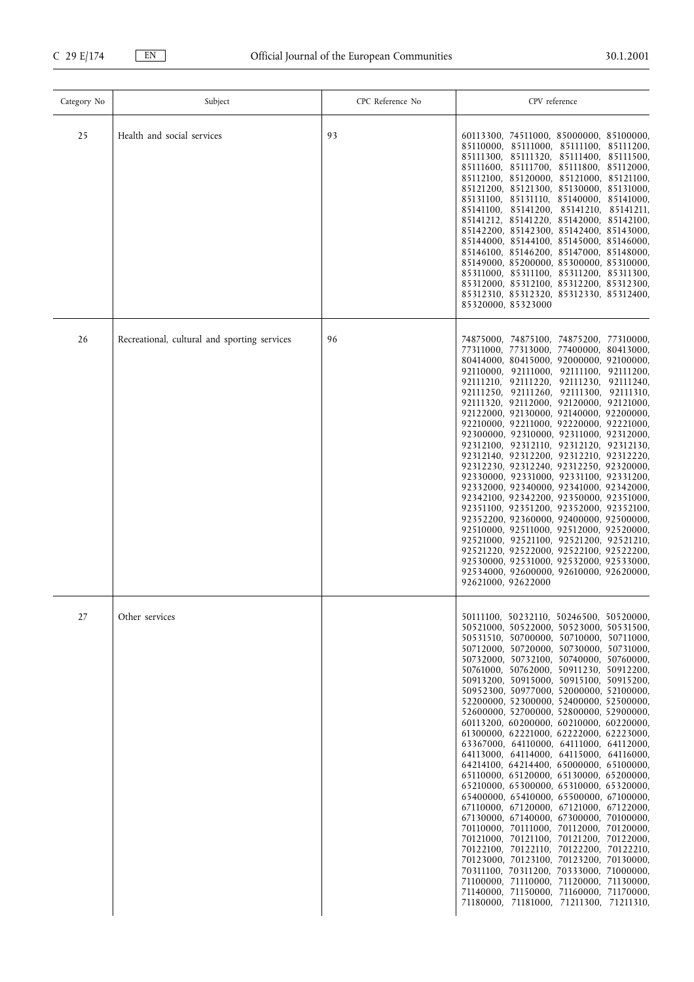| Category No | Subject                                      | CPC Reference No | CPV reference                                                                                                                                                                                                                                                                                                                                                                                                                                                                                                                                                                                                                                                                                                                                                                                                                                                                                                                                                                                                                                                                                                                                                                                                                                 |
|-------------|----------------------------------------------|------------------|-----------------------------------------------------------------------------------------------------------------------------------------------------------------------------------------------------------------------------------------------------------------------------------------------------------------------------------------------------------------------------------------------------------------------------------------------------------------------------------------------------------------------------------------------------------------------------------------------------------------------------------------------------------------------------------------------------------------------------------------------------------------------------------------------------------------------------------------------------------------------------------------------------------------------------------------------------------------------------------------------------------------------------------------------------------------------------------------------------------------------------------------------------------------------------------------------------------------------------------------------|
| 25          | Health and social services                   | 93               | 60113300, 74511000, 85000000, 85100000,<br>85110000, 85111000, 85111100, 85111200,<br>85111300, 85111320, 85111400, 85111500,<br>85111600, 85111700, 85111800, 85112000,<br>85112100, 85120000, 85121000, 85121100,<br>85121200, 85121300, 85130000, 85131000,<br>85131100, 85131110, 85140000, 85141000,<br>85141100, 85141200, 85141210, 85141211,<br>85141212, 85141220, 85142000, 85142100,<br>85142200, 85142300, 85142400, 85143000,<br>85144000, 85144100, 85145000, 85146000,<br>85146100, 85146200, 85147000, 85148000,<br>85149000, 85200000, 85300000, 85310000,<br>85311000, 85311100, 85311200, 85311300,<br>85312000, 85312100, 85312200, 85312300,<br>85312310, 85312320, 85312330, 85312400,<br>85320000, 85323000                                                                                                                                                                                                                                                                                                                                                                                                                                                                                                            |
| 26          | Recreational, cultural and sporting services | 96               | 74875000, 74875100, 74875200, 77310000,<br>77311000, 77313000, 77400000, 80413000,<br>80414000, 80415000, 92000000, 92100000,<br>92110000, 92111000, 92111100, 92111200,<br>92111210, 92111220, 92111230, 92111240,<br>92111250, 92111260, 92111300, 92111310,<br>92111320, 92112000, 92120000, 92121000,<br>92122000, 92130000, 92140000, 92200000,<br>92210000, 92211000, 92220000, 92221000,<br>92300000, 92310000, 92311000, 92312000,<br>92312100, 92312110, 92312120, 92312130,<br>92312140, 92312200, 92312210, 92312220,<br>92312230, 92312240, 92312250, 92320000,<br>92330000, 92331000, 92331100, 92331200,<br>92332000, 92340000, 92341000, 92342000,<br>92342100, 92342200, 92350000, 92351000,<br>92351100, 92351200, 92352000, 92352100,<br>92352200, 92360000, 92400000, 92500000,<br>92510000, 92511000, 92512000, 92520000,<br>92521000, 92521100, 92521200, 92521210,<br>92521220, 92522000, 92522100, 92522200,<br>92530000, 92531000, 92532000, 92533000,<br>92534000, 92600000, 92610000, 92620000,<br>92621000, 92622000                                                                                                                                                                                               |
| 27          | Other services                               |                  | 50111100,50232110,50246500,50520000,<br>50521000, 50522000, 50523000, 50531500,<br>50531510, 50700000, 50710000, 50711000,<br>50712000, 50720000, 50730000, 50731000,<br>50732000, 50732100, 50740000, 50760000,<br>50761000, 50762000, 50911230, 50912200,<br>50913200, 50915000, 50915100, 50915200,<br>50952300, 50977000, 52000000, 52100000,<br>52200000, 52300000, 52400000, 52500000,<br>52600000, 52700000, 52800000, 52900000,<br>60113200, 60200000, 60210000, 60220000,<br>61300000, 62221000, 62222000, 62223000,<br>63367000, 64110000, 64111000, 64112000,<br>64113000, 64114000, 64115000, 64116000,<br>64214100, 64214400, 65000000, 65100000,<br>65110000, 65120000, 65130000, 65200000,<br>65210000, 65300000, 65310000, 65320000,<br>65400000, 65410000, 65500000, 67100000,<br>67110000, 67120000, 67121000, 67122000,<br>67130000, 67140000, 67300000, 70100000,<br>70110000, 70111000, 70112000, 70120000,<br>70121000, 70121100, 70121200, 70122000,<br>70122100, 70122110, 70122200, 70122210,<br>70123000, 70123100, 70123200, 70130000,<br>70311100, 70311200, 70333000, 71000000,<br>71100000, 71110000, 71120000, 71130000,<br>71140000, 71150000, 71160000, 71170000,<br>71180000, 71181000, 71211300, 71211310, |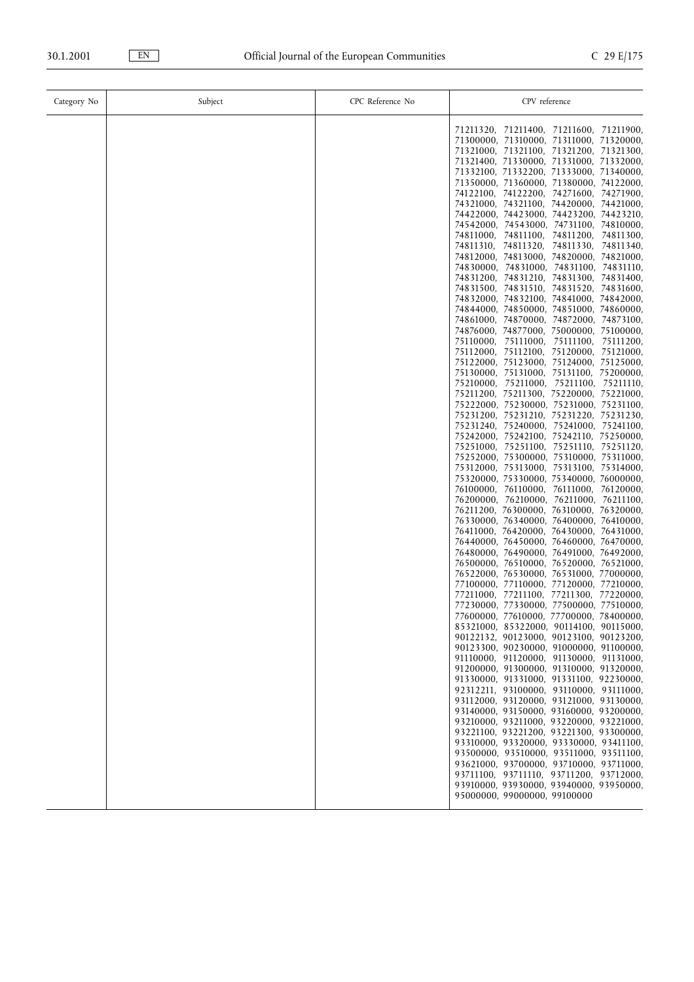| Category No | Subject | CPC Reference No | CPV reference                                                                                                                                                            |
|-------------|---------|------------------|--------------------------------------------------------------------------------------------------------------------------------------------------------------------------|
|             |         |                  | 71211320, 71211400, 71211600, 71211900,<br>71300000, 71310000, 71311000, 71320000,<br>71321000, 71321100, 71321200, 71321300,<br>71321400, 71330000, 71331000, 71332000, |
|             |         |                  | 71332100, 71332200, 71333000, 71340000,<br>71350000, 71360000, 71380000, 74122000,<br>74122100, 74122200, 74271600, 74271900,                                            |
|             |         |                  | 74321000, 74321100, 74420000, 74421000,<br>74422000, 74423000, 74423200, 74423210,<br>74542000, 74543000, 74731100, 74810000,<br>74811000, 74811100, 74811200, 74811300, |
|             |         |                  | 74811310, 74811320, 74811330, 74811340,<br>74812000, 74813000, 74820000, 74821000,<br>74830000, 74831000, 74831100, 74831110,                                            |
|             |         |                  | 74831200, 74831210, 74831300, 74831400,<br>74831500, 74831510, 74831520, 74831600,<br>74832000, 74832100, 74841000, 74842000,<br>74844000, 74850000, 74851000, 74860000, |
|             |         |                  | 74861000, 74870000, 74872000, 74873100,<br>74876000, 74877000, 75000000, 75100000,<br>75110000, 75111000, 75111100, 75111200,                                            |
|             |         |                  | 75112000, 75112100, 75120000, 75121000,<br>75122000, 75123000, 75124000, 75125000,<br>75130000, 75131000, 75131100, 75200000,<br>75210000, 75211000, 75211100, 75211110, |
|             |         |                  | 75211200, 75211300, 75220000, 75221000,<br>75222000, 75230000, 75231000, 75231100,<br>75231200, 75231210, 75231220, 75231230,                                            |
|             |         |                  | 75231240, 75240000, 75241000, 75241100,<br>75242000, 75242100, 75242110, 75250000,<br>75251000, 75251100, 75251110, 75251120,<br>75252000, 75300000, 75310000, 75311000, |
|             |         |                  | 75312000, 75313000, 75313100, 75314000,<br>75320000, 75330000, 75340000, 76000000,<br>76100000, 76110000, 76111000, 76120000,<br>76200000, 76210000, 76211000, 76211100, |
|             |         |                  | 76211200, 76300000, 76310000, 76320000,<br>76330000, 76340000, 76400000, 76410000,<br>76411000, 76420000, 76430000, 76431000,                                            |
|             |         |                  | 76440000, 76450000, 76460000, 76470000,<br>76480000, 76490000, 76491000, 76492000,<br>76500000, 76510000, 76520000, 76521000,<br>76522000, 76530000, 76531000, 77000000, |
|             |         |                  | 77100000, 77110000, 77120000, 77210000,<br>77211000, 77211100, 77211300, 77220000,<br>77230000, 77330000, 77500000, 77510000,<br>77600000, 77610000, 77700000, 78400000, |
|             |         |                  | 85321000, 85322000, 90114100, 90115000,<br>90122132, 90123000, 90123100, 90123200,<br>90123300, 90230000, 91000000, 91100000,                                            |
|             |         |                  | 91110000, 91120000, 91130000, 91131000,<br>91200000, 91300000, 91310000, 91320000,<br>91330000, 91331000, 91331100, 92230000,<br>92312211, 93100000, 93110000, 93111000, |
|             |         |                  | 93112000, 93120000, 93121000, 93130000,<br>93140000, 93150000, 93160000, 93200000,<br>93210000, 93211000, 93220000, 93221000,<br>93221100, 93221200, 93221300, 93300000, |
|             |         |                  | 93310000, 93320000, 93330000, 93411100,<br>93500000, 93510000, 93511000, 93511100,<br>93621000, 93700000, 93710000, 93711000,                                            |
|             |         |                  | 93711100, 93711110, 93711200, 93712000,<br>93910000, 93930000, 93940000, 93950000,<br>95000000, 99000000, 99100000                                                       |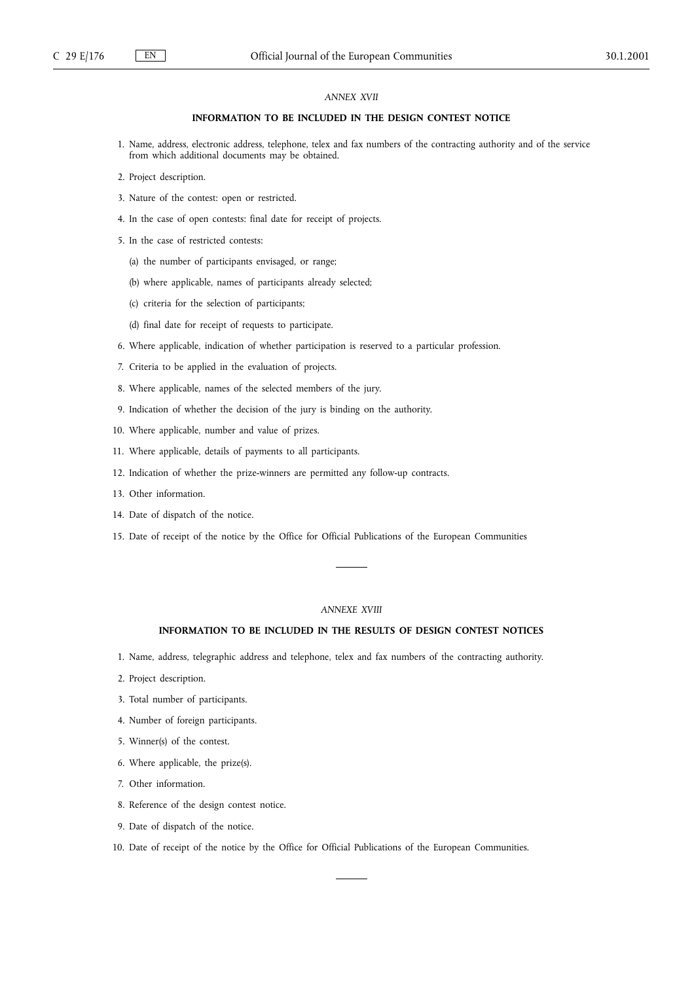# ANNEX XVII

### INFORMATION TO BE INCLUDED IN THE DESIGN CONTEST NOTICE

- 1. Name, address, electronic address, telephone, telex and fax numbers of the contracting authority and of the service from which additional documents may be obtained.
- 2. Project description.
- 3. Nature of the contest: open or restricted.
- 4. In the case of open contests: final date for receipt of projects.
- 5. In the case of restricted contests:
	- (a) the number of participants envisaged, or range;
	- (b) where applicable, names of participants already selected;
	- (c) criteria for the selection of participants;
- (d) final date for receipt of requests to participate.
- 6. Where applicable, indication of whether participation is reserved to a particular profession.
- 7. Criteria to be applied in the evaluation of projects.
- 8. Where applicable, names of the selected members of the jury.
- 9. Indication of whether the decision of the jury is binding on the authority.
- 10. Where applicable, number and value of prizes.
- 11. Where applicable, details of payments to all participants.
- 12. Indication of whether the prize-winners are permitted any follow-up contracts.
- 13. Other information.
- 14. Date of dispatch of the notice.
- 15. Date of receipt of the notice by the Office for Official Publications of the European Communities

#### ANNEXE XVIII

# INFORMATION TO BE INCLUDED IN THE RESULTS OF DESIGN CONTEST NOTICES

- 1. Name, address, telegraphic address and telephone, telex and fax numbers of the contracting authority.
- 2. Project description.
- 3. Total number of participants.
- 4. Number of foreign participants.
- 5. Winner(s) of the contest.
- 6. Where applicable, the prize(s).
- 7. Other information.
- 8. Reference of the design contest notice.
- 9. Date of dispatch of the notice.
- 10. Date of receipt of the notice by the Office for Official Publications of the European Communities.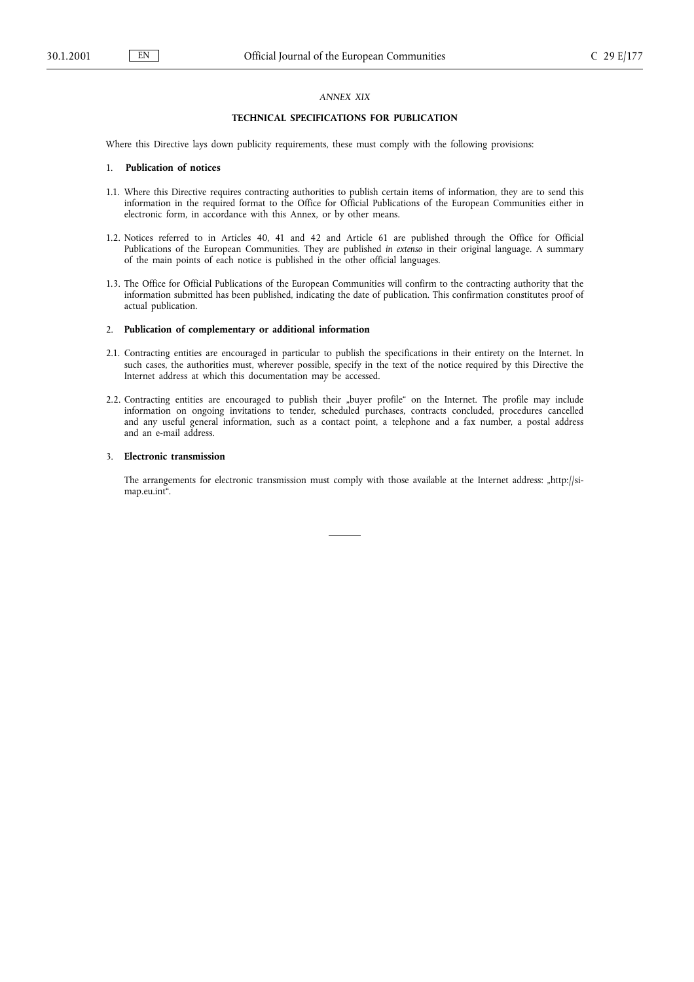## ANNEX XIX

# TECHNICAL SPECIFICATIONS FOR PUBLICATION

Where this Directive lays down publicity requirements, these must comply with the following provisions:

## 1. Publication of notices

- 1.1. Where this Directive requires contracting authorities to publish certain items of information, they are to send this information in the required format to the Office for Official Publications of the European Communities either in electronic form, in accordance with this Annex, or by other means.
- 1.2. Notices referred to in Articles 40, 41 and 42 and Article 61 are published through the Office for Official Publications of the European Communities. They are published in extenso in their original language. A summary of the main points of each notice is published in the other official languages.
- 1.3. The Office for Official Publications of the European Communities will confirm to the contracting authority that the information submitted has been published, indicating the date of publication. This confirmation constitutes proof of actual publication.

#### 2. Publication of complementary or additional information

- 2.1. Contracting entities are encouraged in particular to publish the specifications in their entirety on the Internet. In such cases, the authorities must, wherever possible, specify in the text of the notice required by this Directive the Internet address at which this documentation may be accessed.
- 2.2. Contracting entities are encouraged to publish their "buyer profile" on the Internet. The profile may include information on ongoing invitations to tender, scheduled purchases, contracts concluded, procedures cancelled and any useful general information, such as a contact point, a telephone and a fax number, a postal address and an e-mail address.

## 3. Electronic transmission

The arrangements for electronic transmission must comply with those available at the Internet address: "http://simap.eu.int".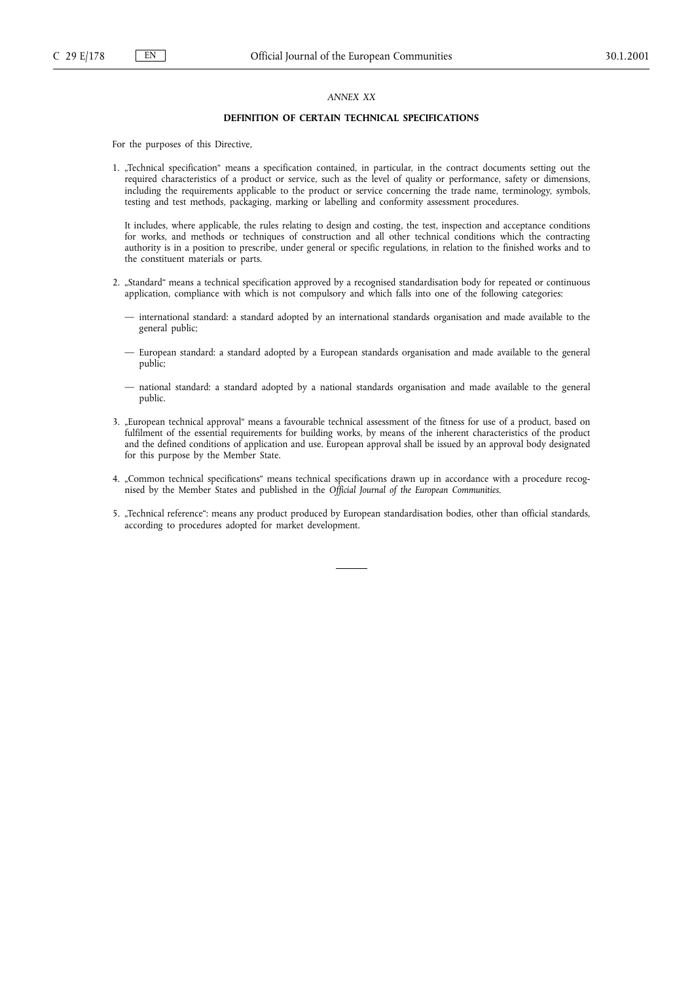## ANNEX XX

# DEFINITION OF CERTAIN TECHNICAL SPECIFICATIONS

For the purposes of this Directive,

1. "Technical specification" means a specification contained, in particular, in the contract documents setting out the required characteristics of a product or service, such as the level of quality or performance, safety or dimensions, including the requirements applicable to the product or service concerning the trade name, terminology, symbols, testing and test methods, packaging, marking or labelling and conformity assessment procedures.

It includes, where applicable, the rules relating to design and costing, the test, inspection and acceptance conditions for works, and methods or techniques of construction and all other technical conditions which the contracting authority is in a position to prescribe, under general or specific regulations, in relation to the finished works and to the constituent materials or parts.

- 2. "Standard" means a technical specification approved by a recognised standardisation body for repeated or continuous application, compliance with which is not compulsory and which falls into one of the following categories:
	- international standard: a standard adopted by an international standards organisation and made available to the general public;
	- European standard: a standard adopted by a European standards organisation and made available to the general public;
	- national standard: a standard adopted by a national standards organisation and made available to the general public.
- 3. "European technical approval" means a favourable technical assessment of the fitness for use of a product, based on fulfilment of the essential requirements for building works, by means of the inherent characteristics of the product and the defined conditions of application and use. European approval shall be issued by an approval body designated for this purpose by the Member State.
- 4. "Common technical specifications" means technical specifications drawn up in accordance with a procedure recognised by the Member States and published in the Official Journal of the European Communities.
- 5. "Technical reference": means any product produced by European standardisation bodies, other than official standards, according to procedures adopted for market development.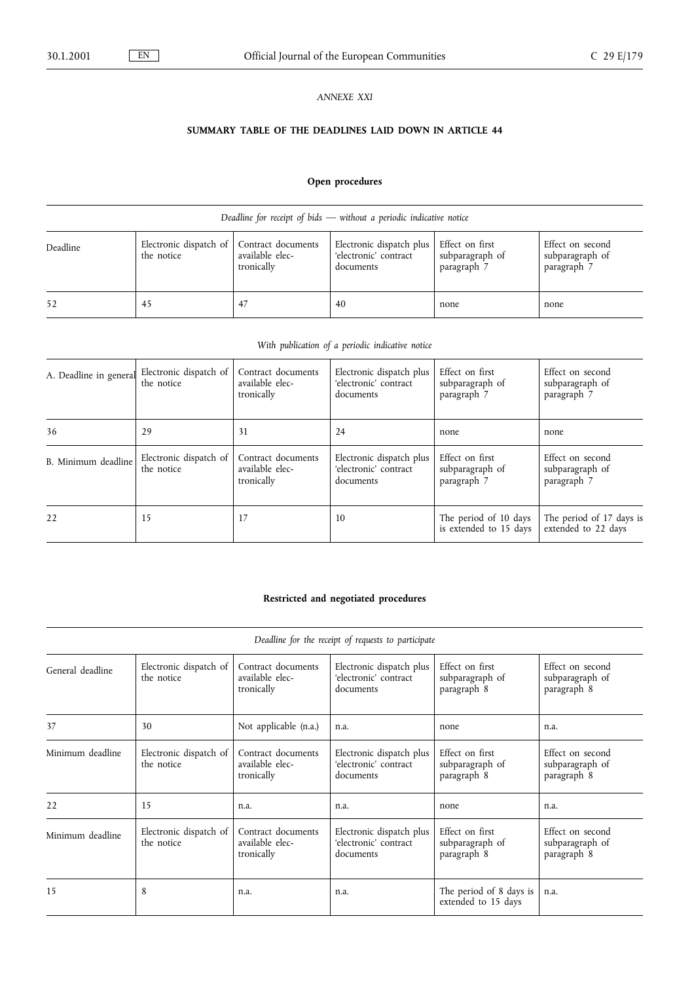# ANNEXE XXI

# SUMMARY TABLE OF THE DEADLINES LAID DOWN IN ARTICLE 44

# Open procedures

| Deadline for receipt of bids $-$ without a periodic indicative notice |                                                         |                               |                                                                |                                                   |                                                    |
|-----------------------------------------------------------------------|---------------------------------------------------------|-------------------------------|----------------------------------------------------------------|---------------------------------------------------|----------------------------------------------------|
| Deadline                                                              | Electronic dispatch of Contract documents<br>the notice | available elec-<br>tronically | Electronic dispatch plus<br>'electronic' contract<br>documents | Effect on first<br>subparagraph of<br>paragraph 7 | Effect on second<br>subparagraph of<br>paragraph 7 |
| 52                                                                    | 45                                                      | 47                            | 40                                                             | none                                              | none                                               |

# With publication of a periodic indicative notice

| A. Deadline in general | Electronic dispatch of<br>the notice | Contract documents<br>available elec-<br>tronically | Electronic dispatch plus<br>'electronic' contract<br>documents | Effect on first<br>subparagraph of<br>paragraph 7 | Effect on second<br>subparagraph of<br>paragraph 7 |
|------------------------|--------------------------------------|-----------------------------------------------------|----------------------------------------------------------------|---------------------------------------------------|----------------------------------------------------|
| 36                     | 29                                   | 31                                                  | 24                                                             | none                                              | none                                               |
| B. Minimum deadline    | Electronic dispatch of<br>the notice | Contract documents<br>available elec-<br>tronically | Electronic dispatch plus<br>'electronic' contract<br>documents | Effect on first<br>subparagraph of<br>paragraph 7 | Effect on second<br>subparagraph of<br>paragraph 7 |
| 22                     | 15                                   | 17                                                  | 10                                                             | The period of 10 days<br>is extended to 15 days   | The period of 17 days is<br>extended to 22 days    |

# Restricted and negotiated procedures

| Deadline for the receipt of requests to participate |                                      |                                                     |                                                                |                                                   |                                                    |
|-----------------------------------------------------|--------------------------------------|-----------------------------------------------------|----------------------------------------------------------------|---------------------------------------------------|----------------------------------------------------|
| General deadline                                    | Electronic dispatch of<br>the notice | Contract documents<br>available elec-<br>tronically | Electronic dispatch plus<br>'electronic' contract<br>documents | Effect on first<br>subparagraph of<br>paragraph 8 | Effect on second<br>subparagraph of<br>paragraph 8 |
| 37                                                  | 30                                   | Not applicable (n.a.)                               | n.a.                                                           | none                                              | n.a.                                               |
| Minimum deadline                                    | Electronic dispatch of<br>the notice | Contract documents<br>available elec-<br>tronically | Electronic dispatch plus<br>'electronic' contract<br>documents | Effect on first<br>subparagraph of<br>paragraph 8 | Effect on second<br>subparagraph of<br>paragraph 8 |
| 22                                                  | 15                                   | n.a.                                                | n.a.                                                           | none                                              | n.a.                                               |
| Minimum deadline                                    | Electronic dispatch of<br>the notice | Contract documents<br>available elec-<br>tronically | Electronic dispatch plus<br>'electronic' contract<br>documents | Effect on first<br>subparagraph of<br>paragraph 8 | Effect on second<br>subparagraph of<br>paragraph 8 |
| 15                                                  | 8                                    | n.a.                                                | n.a.                                                           | The period of 8 days is<br>extended to 15 days    | n.a.                                               |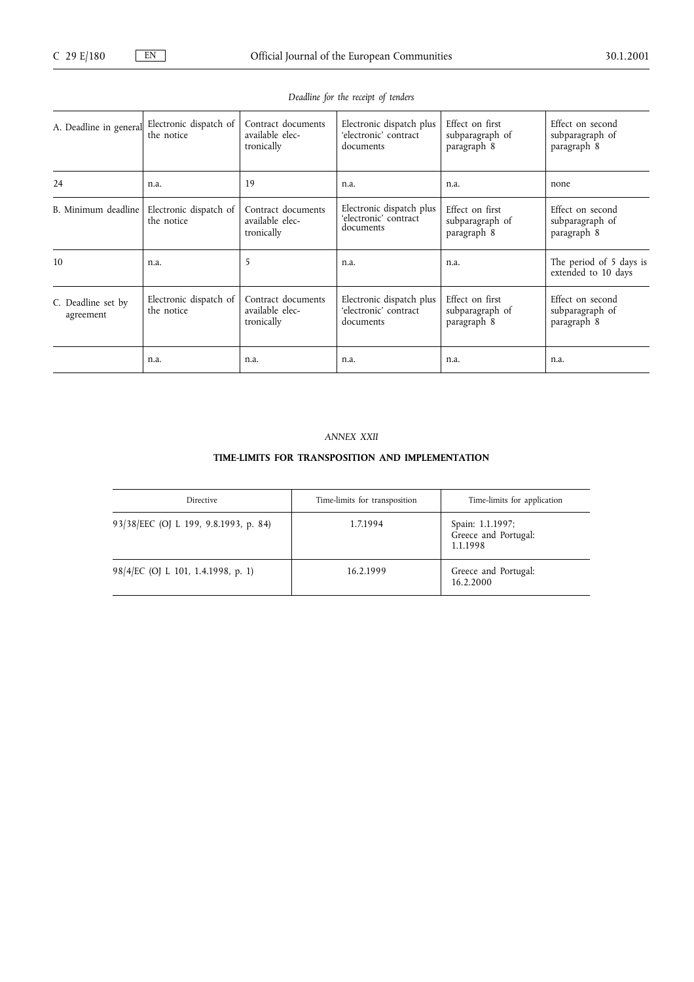| A. Deadline in general          | Electronic dispatch of<br>the notice | Contract documents<br>available elec-<br>tronically | Electronic dispatch plus<br>'electronic' contract<br>documents | Effect on first<br>subparagraph of<br>paragraph 8 | Effect on second<br>subparagraph of<br>paragraph 8 |
|---------------------------------|--------------------------------------|-----------------------------------------------------|----------------------------------------------------------------|---------------------------------------------------|----------------------------------------------------|
| 24                              | n.a.                                 | 19                                                  | n.a.                                                           | n.a.                                              | none                                               |
| B. Minimum deadline             | Electronic dispatch of<br>the notice | Contract documents<br>available elec-<br>tronically | Electronic dispatch plus<br>'electronic' contract<br>documents | Effect on first<br>subparagraph of<br>paragraph 8 | Effect on second<br>subparagraph of<br>paragraph 8 |
| 10                              | n.a.                                 | 5                                                   | n.a.                                                           | n.a.                                              | The period of 5 days is<br>extended to 10 days     |
| C. Deadline set by<br>agreement | Electronic dispatch of<br>the notice | Contract documents<br>available elec-<br>tronically | Electronic dispatch plus<br>'electronic' contract<br>documents | Effect on first<br>subparagraph of<br>paragraph 8 | Effect on second<br>subparagraph of<br>paragraph 8 |
|                                 | n.a.                                 | n.a.                                                | n.a.                                                           | n.a.                                              | n.a.                                               |

# Deadline for the receipt of tenders

# ANNEX XXII

# TIME-LIMITS FOR TRANSPOSITION AND IMPLEMENTATION

| <b>Directive</b>                      | Time-limits for transposition | Time-limits for application                          |
|---------------------------------------|-------------------------------|------------------------------------------------------|
| 93/38/EEC (OJ L 199, 9.8.1993, p. 84) | 1.7.1994                      | Spain: 1.1.1997;<br>Greece and Portugal:<br>1.1.1998 |
| 98/4/EC (OJ L 101, 1.4.1998, p. 1)    | 16.2.1999                     | Greece and Portugal:<br>16.2.2000                    |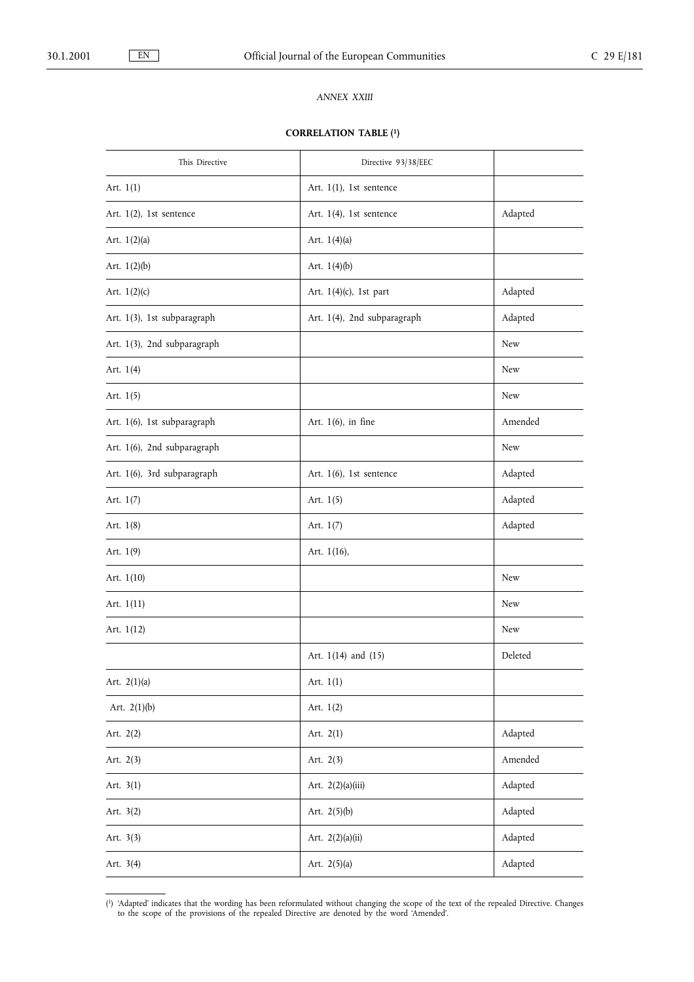# ANNEX XXIII

# CORRELATION TABLE (1)

| This Directive              | Directive 93/38/EEC         |         |
|-----------------------------|-----------------------------|---------|
| Art. $1(1)$                 | Art. 1(1), 1st sentence     |         |
| Art. $1(2)$ , 1st sentence  | Art. 1(4), 1st sentence     | Adapted |
| Art. $1(2)(a)$              | Art. $1(4)(a)$              |         |
| Art. $1(2)(b)$              | Art. $1(4)(b)$              |         |
| Art. $1(2)(c)$              | Art. 1(4)(c), 1st part      | Adapted |
| Art. 1(3), 1st subparagraph | Art. 1(4), 2nd subparagraph | Adapted |
| Art. 1(3), 2nd subparagraph |                             | New     |
| Art. $1(4)$                 |                             | New     |
| Art. $1(5)$                 |                             | New     |
| Art. 1(6), 1st subparagraph | Art. $1(6)$ , in fine       | Amended |
| Art. 1(6), 2nd subparagraph |                             | New     |
| Art. 1(6), 3rd subparagraph | Art. $1(6)$ , 1st sentence  | Adapted |
| Art. $1(7)$                 | Art. $1(5)$                 | Adapted |
| Art. 1(8)                   | Art. $1(7)$                 | Adapted |
| Art. 1(9)                   | Art. 1(16),                 |         |
| Art. 1(10)                  |                             | New     |
| Art. $1(11)$                |                             | New     |
| Art. 1(12)                  |                             | New     |
|                             | Art. 1(14) and (15)         | Deleted |
| Art. 2(1)(a)                | Art. $1(1)$                 |         |
| Art. $2(1)(b)$              | Art. $1(2)$                 |         |
| Art. 2(2)                   | Art. $2(1)$                 | Adapted |
| Art. 2(3)                   | Art. 2(3)                   | Amended |
| Art. 3(1)                   | Art. 2(2)(a)(iii)           | Adapted |
| Art. 3(2)                   | Art. $2(5)(b)$              | Adapted |
| Art. 3(3)                   | Art. 2(2)(a)(ii)            | Adapted |
| Art. 3(4)                   | Art. 2(5)(a)                | Adapted |

<sup>(1) &#</sup>x27;Adapted' indicates that the wording has been reformulated without changing the scope of the text of the repealed Directive. Changes to the scope of the provisions of the repealed Directive are denoted by the word 'Ame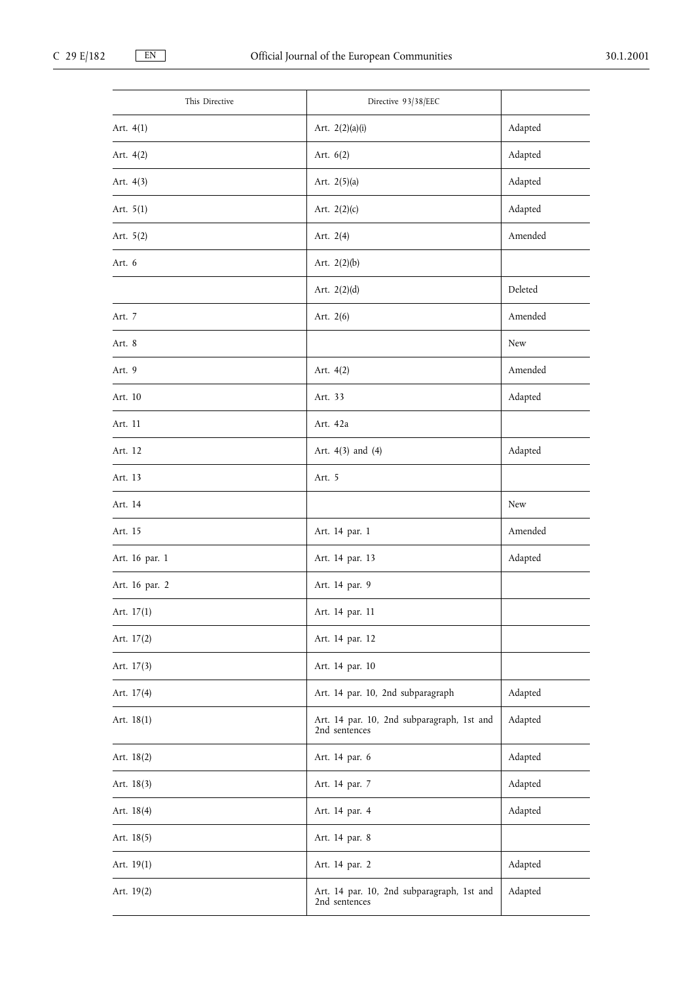| This Directive | Directive 93/38/EEC                                         |         |
|----------------|-------------------------------------------------------------|---------|
| Art. $4(1)$    | Art. 2(2)(a)(i)                                             | Adapted |
| Art. 4(2)      | Art. $6(2)$                                                 | Adapted |
| Art. $4(3)$    | Art. $2(5)(a)$                                              | Adapted |
| Art. $5(1)$    | Art. $2(2)(c)$                                              | Adapted |
| Art. $5(2)$    | Art. $2(4)$                                                 | Amended |
| Art. 6         | Art. $2(2)(b)$                                              |         |
|                | Art. $2(2)(d)$                                              | Deleted |
| Art. 7         | Art. 2(6)                                                   | Amended |
| Art. 8         |                                                             | New     |
| Art. 9         | Art. 4(2)                                                   | Amended |
| Art. 10        | Art. 33                                                     | Adapted |
| Art. 11        | Art. 42a                                                    |         |
| Art. 12        | Art. 4(3) and (4)                                           | Adapted |
| Art. 13        | Art. 5                                                      |         |
| Art. 14        |                                                             | New     |
| Art. 15        | Art. 14 par. 1                                              | Amended |
| Art. 16 par. 1 | Art. 14 par. 13                                             | Adapted |
| Art. 16 par. 2 | Art. 14 par. 9                                              |         |
| Art. 17(1)     | Art. 14 par. 11                                             |         |
| Art. 17(2)     | Art. 14 par. 12                                             |         |
| Art. 17(3)     | Art. 14 par. 10                                             |         |
| Art. 17(4)     | Art. 14 par. 10, 2nd subparagraph                           | Adapted |
| Art. 18(1)     | Art. 14 par. 10, 2nd subparagraph, 1st and<br>2nd sentences | Adapted |
| Art. 18(2)     | Art. 14 par. 6                                              | Adapted |
| Art. 18(3)     | Art. 14 par. 7                                              | Adapted |
| Art. 18(4)     | Art. 14 par. 4                                              | Adapted |
| Art. 18(5)     | Art. 14 par. 8                                              |         |
| Art. 19(1)     | Art. 14 par. 2                                              | Adapted |
| Art. 19(2)     | Art. 14 par. 10, 2nd subparagraph, 1st and<br>2nd sentences | Adapted |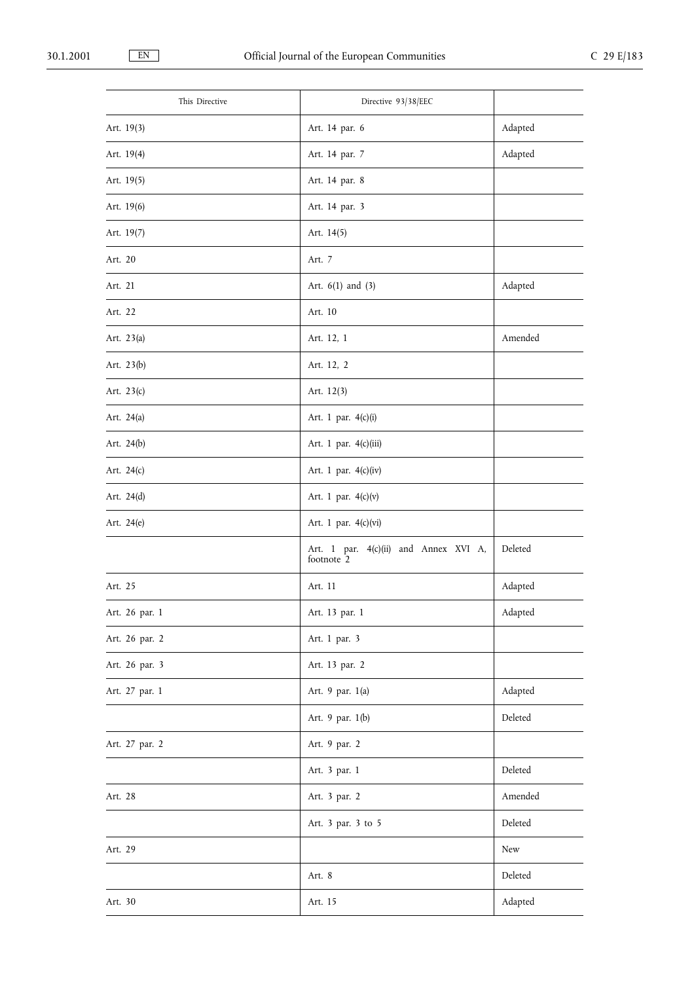| This Directive | Directive 93/38/EEC                                 |         |
|----------------|-----------------------------------------------------|---------|
|                |                                                     |         |
| Art. 19(3)     | Art. 14 par. 6                                      | Adapted |
| Art. 19(4)     | Art. 14 par. 7                                      | Adapted |
| Art. 19(5)     | Art. 14 par. 8                                      |         |
| Art. 19(6)     | Art. 14 par. 3                                      |         |
| Art. 19(7)     | Art. 14(5)                                          |         |
| Art. 20        | Art. 7                                              |         |
| Art. 21        | Art. $6(1)$ and $(3)$                               | Adapted |
| Art. 22        | Art. 10                                             |         |
| Art. 23(a)     | Art. 12, 1                                          | Amended |
| Art. $23(b)$   | Art. 12, 2                                          |         |
| Art. 23(c)     | Art. $12(3)$                                        |         |
| Art. 24(a)     | Art. 1 par. 4(c)(i)                                 |         |
| Art. 24(b)     | Art. 1 par. 4(c)(iii)                               |         |
| Art. 24(c)     | Art. 1 par. 4(c)(iv)                                |         |
| Art. 24(d)     | Art. 1 par. 4(c)(v)                                 |         |
| Art. 24(e)     | Art. 1 par. 4(c)(vi)                                |         |
|                | Art. 1 par. 4(c)(ii) and Annex XVI A,<br>footnote 2 | Deleted |
| Art. 25        | Art. 11                                             | Adapted |
| Art. 26 par. 1 | Art. 13 par. 1                                      | Adapted |
| Art. 26 par. 2 | Art. 1 par. 3                                       |         |
| Art. 26 par. 3 | Art. 13 par. 2                                      |         |
| Art. 27 par. 1 | Art. 9 par. 1(a)                                    | Adapted |
|                | Art. 9 par. 1(b)                                    | Deleted |
| Art. 27 par. 2 | Art. 9 par. 2                                       |         |
|                | Art. 3 par. 1                                       | Deleted |
| Art. 28        | Art. 3 par. 2                                       | Amended |
|                | Art. 3 par. 3 to 5                                  | Deleted |
| Art. 29        |                                                     | New     |
|                | Art. 8                                              | Deleted |
| Art. 30        | Art. 15                                             | Adapted |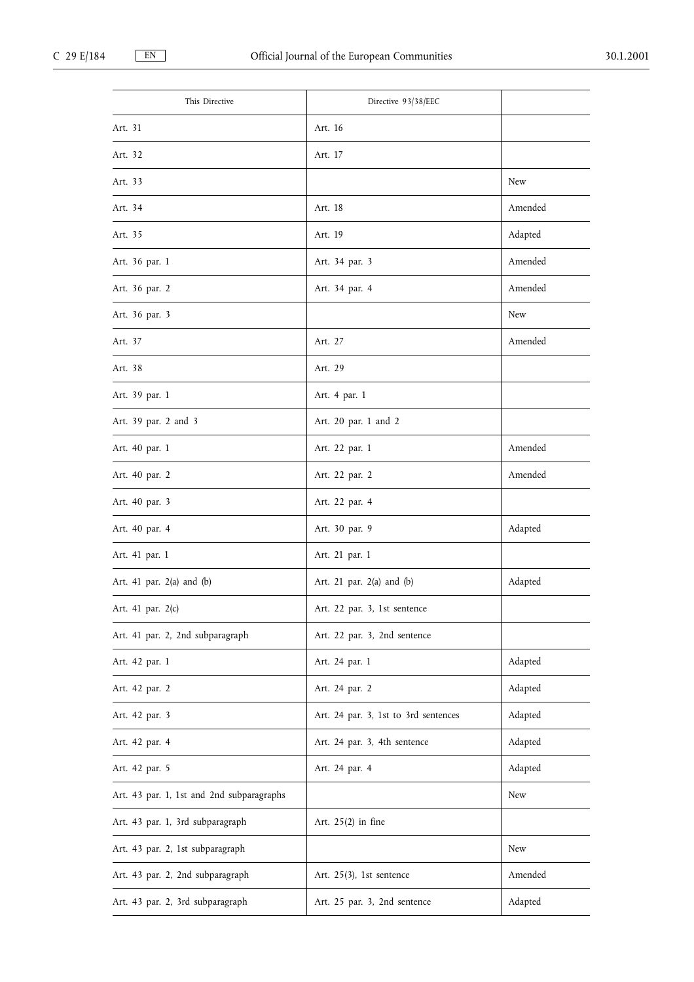| This Directive                            | Directive 93/38/EEC                  |         |
|-------------------------------------------|--------------------------------------|---------|
| Art. 31                                   | Art. 16                              |         |
| Art. 32                                   | Art. 17                              |         |
| Art. 33                                   |                                      | New     |
| Art. 34                                   | Art. 18                              | Amended |
| Art. 35                                   | Art. 19                              | Adapted |
| Art. 36 par. 1                            | Art. 34 par. 3                       | Amended |
| Art. 36 par. 2                            | Art. 34 par. 4                       | Amended |
| Art. 36 par. 3                            |                                      | New     |
| Art. 37                                   | Art. 27                              | Amended |
| Art. 38                                   | Art. 29                              |         |
| Art. 39 par. 1                            | Art. 4 par. 1                        |         |
| Art. 39 par. 2 and 3                      | Art. 20 par. 1 and 2                 |         |
| Art. 40 par. 1                            | Art. 22 par. 1                       | Amended |
| Art. 40 par. 2                            | Art. 22 par. 2                       | Amended |
| Art. 40 par. 3                            | Art. 22 par. 4                       |         |
| Art. 40 par. 4                            | Art. 30 par. 9                       | Adapted |
| Art. 41 par. 1                            | Art. 21 par. 1                       |         |
| Art. 41 par. 2(a) and (b)                 | Art. 21 par. 2(a) and (b)            | Adapted |
| Art. 41 par. 2(c)                         | Art. 22 par. 3, 1st sentence         |         |
| Art. 41 par. 2, 2nd subparagraph          | Art. 22 par. 3, 2nd sentence         |         |
| Art. 42 par. 1                            | Art. 24 par. 1                       | Adapted |
| Art. 42 par. 2                            | Art. 24 par. 2                       | Adapted |
| Art. 42 par. 3                            | Art. 24 par. 3, 1st to 3rd sentences | Adapted |
| Art. 42 par. 4                            | Art. 24 par. 3, 4th sentence         | Adapted |
| Art. 42 par. 5                            | Art. 24 par. 4                       | Adapted |
| Art. 43 par. 1, 1st and 2nd subparagraphs |                                      | New     |
| Art. 43 par. 1, 3rd subparagraph          | Art. $25(2)$ in fine                 |         |
| Art. 43 par. 2, 1st subparagraph          |                                      | New     |
| Art. 43 par. 2, 2nd subparagraph          | Art. $25(3)$ , 1st sentence          | Amended |
| Art. 43 par. 2, 3rd subparagraph          | Art. 25 par. 3, 2nd sentence         | Adapted |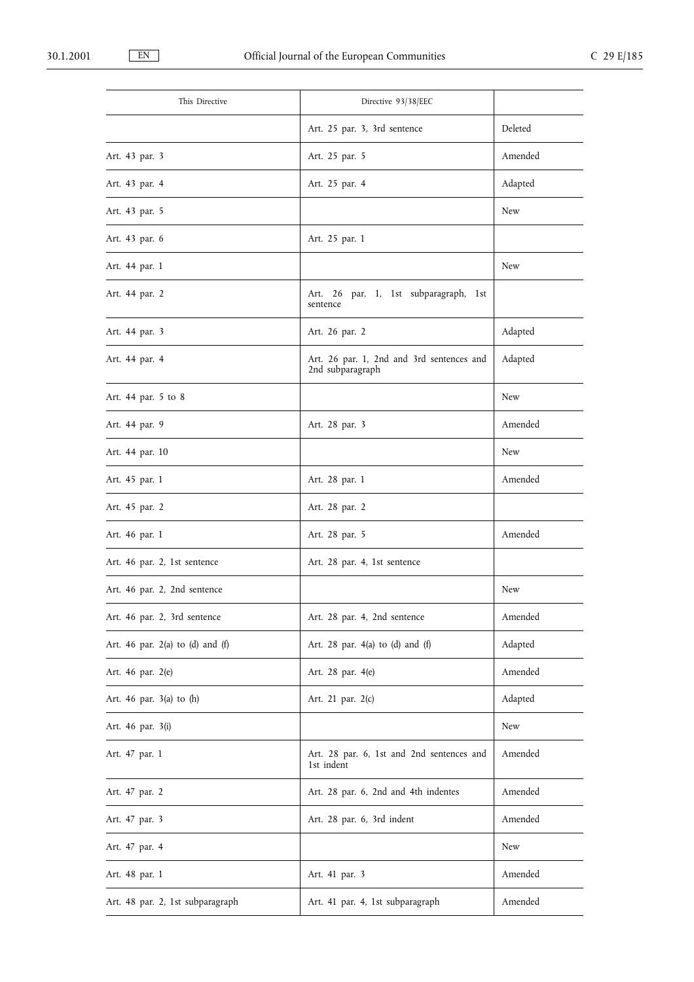| This Directive                   | Directive 93/38/EEC                                           |            |
|----------------------------------|---------------------------------------------------------------|------------|
|                                  | Art. 25 par. 3, 3rd sentence                                  | Deleted    |
| Art. 43 par. 3                   | Art. 25 par. 5                                                | Amended    |
| Art. 43 par. 4                   | Art. 25 par. 4                                                | Adapted    |
| Art. 43 par. 5                   |                                                               | <b>New</b> |
| Art. 43 par. 6                   | Art. 25 par. 1                                                |            |
| Art. 44 par. 1                   |                                                               | <b>New</b> |
| Art. 44 par. 2                   | Art. 26 par. 1, 1st subparagraph, 1st<br>sentence             |            |
| Art. 44 par. 3                   | Art. 26 par. 2                                                | Adapted    |
| Art. 44 par. 4                   | Art. 26 par. 1, 2nd and 3rd sentences and<br>2nd subparagraph | Adapted    |
| Art. 44 par. 5 to 8              |                                                               | <b>New</b> |
| Art. 44 par. 9                   | Art. 28 par. 3                                                | Amended    |
| Art. 44 par. 10                  |                                                               | New        |
| Art. 45 par. 1                   | Art. 28 par. 1                                                | Amended    |
| Art. 45 par. 2                   | Art. 28 par. 2                                                |            |
| Art. 46 par. 1                   | Art. 28 par. 5                                                | Amended    |
| Art. 46 par. 2, 1st sentence     | Art. 28 par. 4, 1st sentence                                  |            |
| Art. 46 par. 2, 2nd sentence     |                                                               | <b>New</b> |
| Art. 46 par. 2, 3rd sentence     | Art. 28 par. 4, 2nd sentence                                  | Amended    |
| Art. 46 par. 2(a) to (d) and (f) | Art. 28 par. 4(a) to (d) and (f)                              | Adapted    |
| Art. 46 par. 2(e)                | Art. 28 par. 4(e)                                             | Amended    |
| Art. 46 par. 3(a) to (h)         | Art. 21 par. 2(c)                                             | Adapted    |
| Art. 46 par. 3(i)                |                                                               | New        |
| Art. 47 par. 1                   | Art. 28 par. 6, 1st and 2nd sentences and<br>1st indent       | Amended    |
| Art. 47 par. 2                   | Art. 28 par. 6, 2nd and 4th indentes                          | Amended    |
| Art. 47 par. 3                   | Art. 28 par. 6, 3rd indent                                    | Amended    |
| Art. 47 par. 4                   |                                                               | New        |
| Art. 48 par. 1                   | Art. 41 par. 3                                                | Amended    |
| Art. 48 par. 2, 1st subparagraph | Art. 41 par. 4, 1st subparagraph                              | Amended    |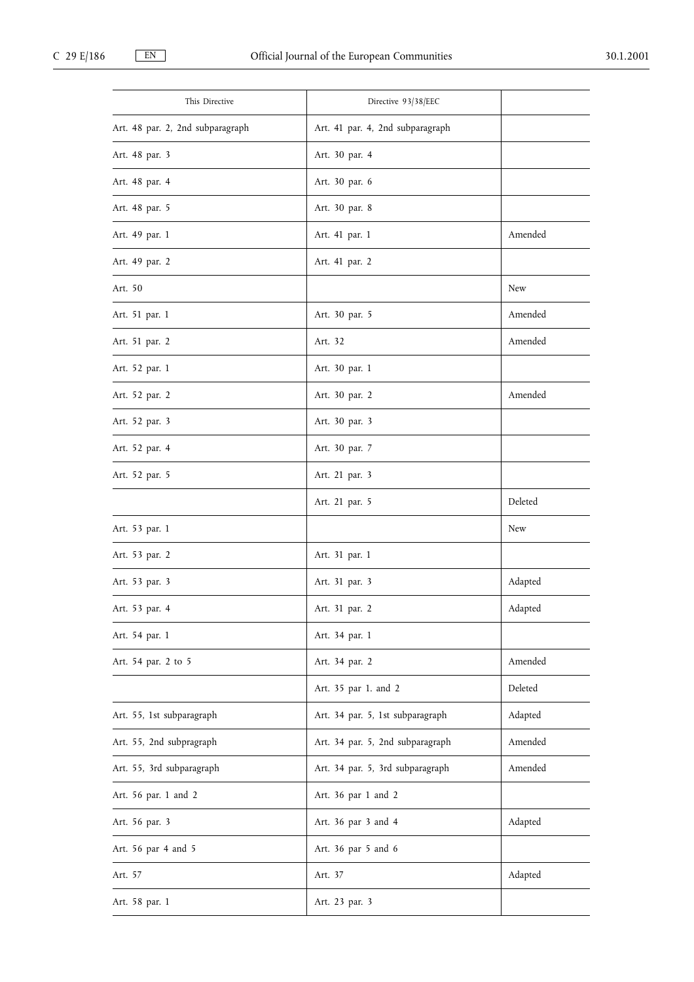| This Directive                   | Directive 93/38/EEC              |         |
|----------------------------------|----------------------------------|---------|
| Art. 48 par. 2, 2nd subparagraph | Art. 41 par. 4, 2nd subparagraph |         |
| Art. 48 par. 3                   | Art. 30 par. 4                   |         |
| Art. 48 par. 4                   | Art. 30 par. 6                   |         |
| Art. 48 par. 5                   | Art. 30 par. 8                   |         |
| Art. 49 par. 1                   | Art. 41 par. 1                   | Amended |
| Art. 49 par. 2                   | Art. 41 par. 2                   |         |
| Art. 50                          |                                  | New     |
| Art. 51 par. 1                   | Art. 30 par. 5                   | Amended |
| Art. 51 par. 2                   | Art. 32                          | Amended |
| Art. 52 par. 1                   | Art. 30 par. 1                   |         |
| Art. 52 par. 2                   | Art. 30 par. 2                   | Amended |
| Art. 52 par. 3                   | Art. 30 par. 3                   |         |
| Art. 52 par. 4                   | Art. 30 par. 7                   |         |
| Art. 52 par. 5                   | Art. 21 par. 3                   |         |
|                                  | Art. 21 par. 5                   | Deleted |
| Art. 53 par. 1                   |                                  | New     |
| Art. 53 par. 2                   | Art. 31 par. 1                   |         |
| Art. 53 par. 3                   | Art. 31 par. 3                   | Adapted |
| Art. 53 par. 4                   | Art. 31 par. 2                   | Adapted |
| Art. 54 par. 1                   | Art. 34 par. 1                   |         |
| Art. 54 par. 2 to 5              | Art. 34 par. 2                   | Amended |
|                                  | Art. 35 par 1. and 2             | Deleted |
| Art. 55, 1st subparagraph        | Art. 34 par. 5, 1st subparagraph | Adapted |
| Art. 55, 2nd subpragraph         | Art. 34 par. 5, 2nd subparagraph | Amended |
| Art. 55, 3rd subparagraph        | Art. 34 par. 5, 3rd subparagraph | Amended |
| Art. 56 par. 1 and 2             | Art. 36 par 1 and 2              |         |
| Art. 56 par. 3                   | Art. 36 par 3 and 4              | Adapted |
| Art. 56 par 4 and 5              | Art. 36 par 5 and 6              |         |
| Art. 57                          | Art. 37                          | Adapted |
| Art. 58 par. 1                   | Art. 23 par. 3                   |         |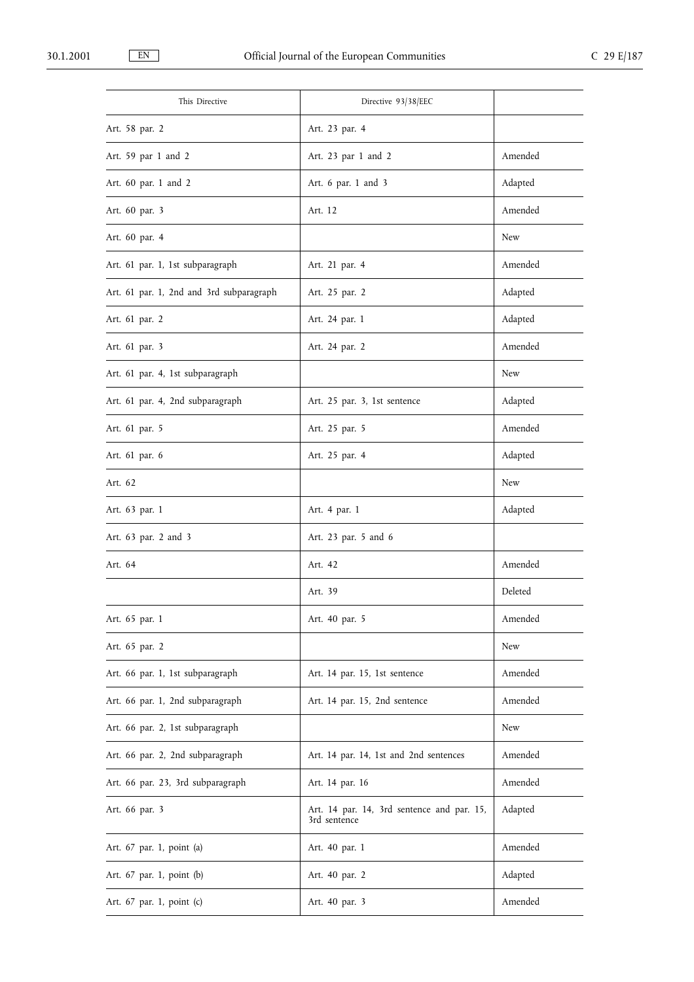| This Directive                           | Directive 93/38/EEC                                        |            |
|------------------------------------------|------------------------------------------------------------|------------|
| Art. 58 par. 2                           | Art. 23 par. 4                                             |            |
| Art. 59 par 1 and 2                      | Art. 23 par 1 and 2                                        | Amended    |
| Art. 60 par. 1 and 2                     | Art. 6 par. 1 and 3                                        | Adapted    |
| Art. 60 par. 3                           | Art. 12                                                    | Amended    |
| Art. 60 par. 4                           |                                                            | <b>New</b> |
| Art. 61 par. 1, 1st subparagraph         | Art. 21 par. 4                                             | Amended    |
| Art. 61 par. 1, 2nd and 3rd subparagraph | Art. 25 par. 2                                             | Adapted    |
| Art. 61 par. 2                           | Art. 24 par. 1                                             | Adapted    |
| Art. 61 par. 3                           | Art. 24 par. 2                                             | Amended    |
| Art. 61 par. 4, 1st subparagraph         |                                                            | <b>New</b> |
| Art. 61 par. 4, 2nd subparagraph         | Art. 25 par. 3, 1st sentence                               | Adapted    |
| Art. 61 par. 5                           | Art. 25 par. 5                                             | Amended    |
| Art. 61 par. 6                           | Art. 25 par. 4                                             | Adapted    |
| Art. 62                                  |                                                            | New        |
| Art. 63 par. 1                           | Art. 4 par. 1                                              | Adapted    |
| Art. 63 par. 2 and 3                     | Art. 23 par. 5 and 6                                       |            |
| Art. 64                                  | Art. 42                                                    | Amended    |
|                                          | Art. 39                                                    | Deleted    |
| Art. 65 par. 1                           | Art. 40 par. 5                                             | Amended    |
| Art. 65 par. 2                           |                                                            | New        |
| Art. 66 par. 1, 1st subparagraph         | Art. 14 par. 15, 1st sentence                              | Amended    |
| Art. 66 par. 1, 2nd subparagraph         | Art. 14 par. 15, 2nd sentence                              | Amended    |
| Art. 66 par. 2, 1st subparagraph         |                                                            | New        |
| Art. 66 par. 2, 2nd subparagraph         | Art. 14 par. 14, 1st and 2nd sentences                     | Amended    |
| Art. 66 par. 23, 3rd subparagraph        | Art. 14 par. 16                                            | Amended    |
| Art. 66 par. 3                           | Art. 14 par. 14, 3rd sentence and par. 15,<br>3rd sentence | Adapted    |
| Art. 67 par. 1, point (a)                | Art. 40 par. 1                                             | Amended    |
| Art. 67 par. 1, point (b)                | Art. 40 par. 2                                             | Adapted    |
| Art. 67 par. 1, point (c)                | Art. 40 par. 3                                             | Amended    |